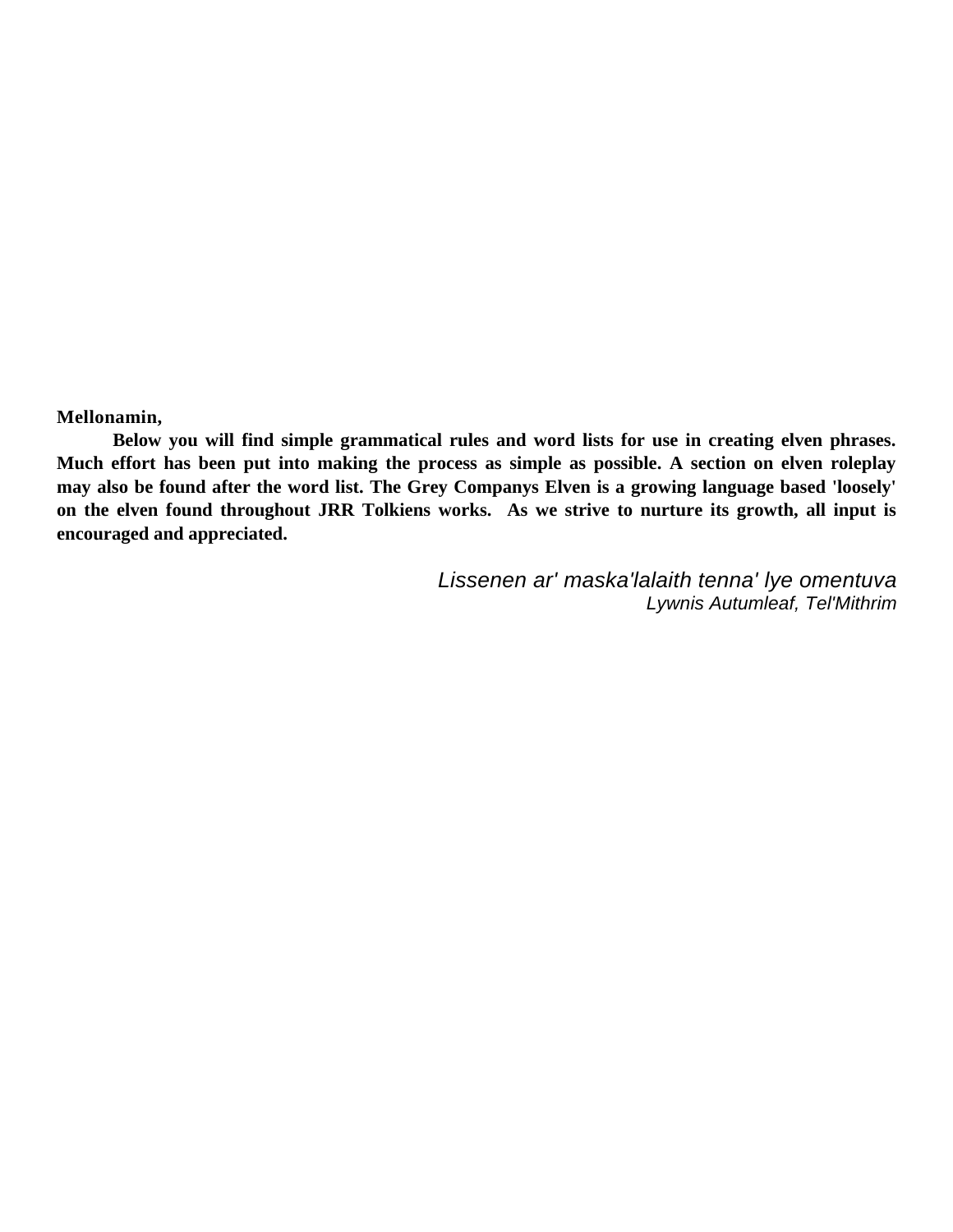**Mellonamin,**

**Below you will find simple grammatical rules and word lists for use in creating elven phrases. Much effort has been put into making the process as simple as possible. A section on elven roleplay may also be found after the word list. The Grey Companys Elven is a growing language based 'loosely' on the elven found throughout JRR Tolkiens works. As we strive to nurture its growth, all input is encouraged and appreciated.**

> *Lissenen ar' maska'lalaith tenna' lye omentuva Lywnis Autumleaf, Tel'Mithrim*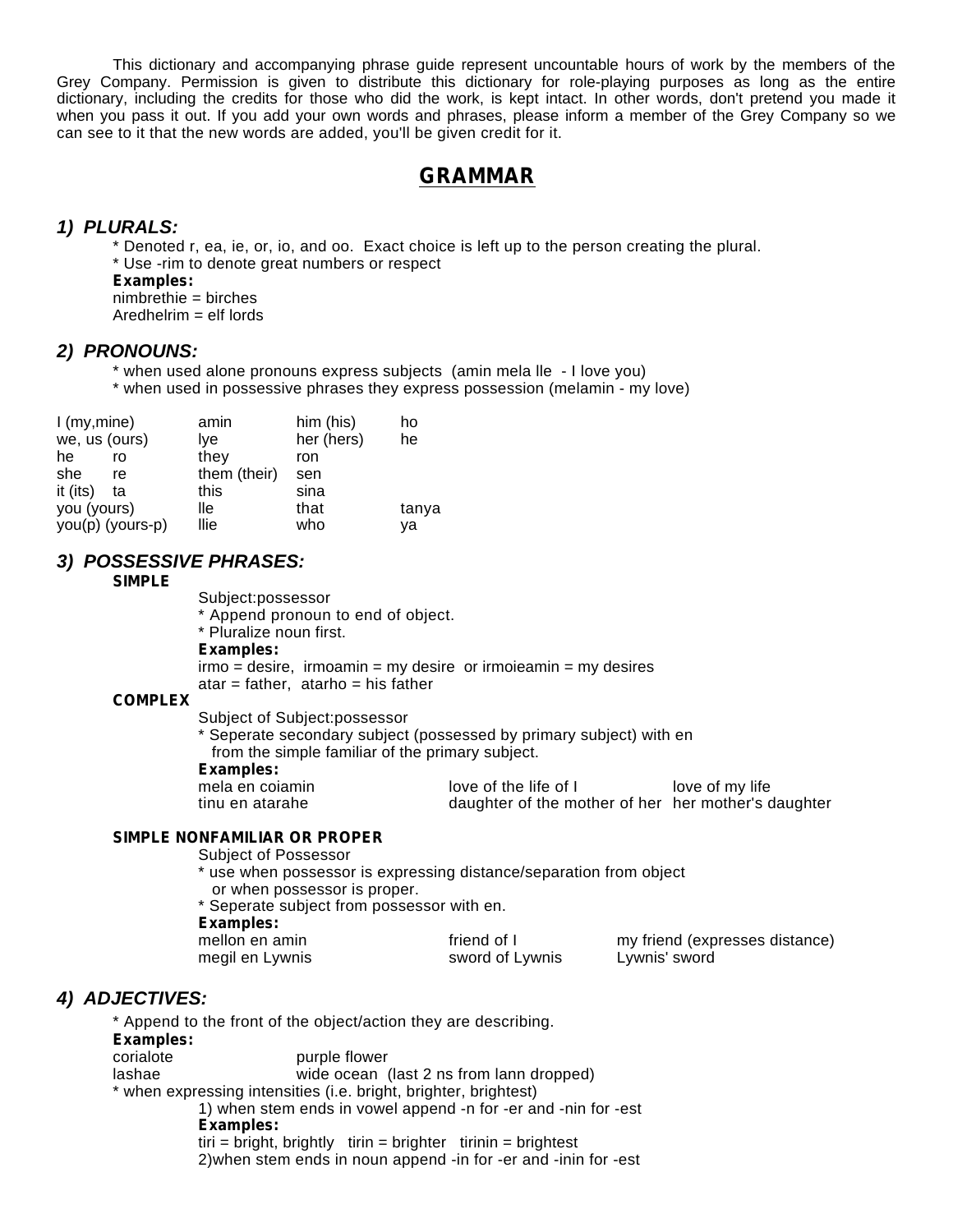This dictionary and accompanying phrase guide represent uncountable hours of work by the members of the Grey Company. Permission is given to distribute this dictionary for role-playing purposes as long as the entire dictionary, including the credits for those who did the work, is kept intact. In other words, don't pretend you made it when you pass it out. If you add your own words and phrases, please inform a member of the Grey Company so we can see to it that the new words are added, you'll be given credit for it.

## **GRAMMAR**

### *1) PLURALS:*

\* Denoted r, ea, ie, or, io, and oo. Exact choice is left up to the person creating the plural. \* Use -rim to denote great numbers or respect

**Examples:**

nimbrethie = birches

Aredhelrim = elf lords

## *2) PRONOUNS:*

\* when used alone pronouns express subjects (amin mela lle - I love you)

\* when used in possessive phrases they express possession (melamin - my love)

| $l$ (my, mine)   |    | amin         | him (his)  | ho    |
|------------------|----|--------------|------------|-------|
| we, us (ours)    |    | <i>lve</i>   | her (hers) | he    |
| he               | ro | they         | ron        |       |
| she              | re | them (their) | sen        |       |
| it (its)         | ta | this         | sina       |       |
| you (yours)      |    | lle          | that       | tanya |
| you(p) (yours-p) |    | llie         | who        | ya    |

# *3) POSSESSIVE PHRASES:*

#### **SIMPLE**

Subject:possessor

\* Append pronoun to end of object.

\* Pluralize noun first.

**Examples:**

irmo = desire, irmoamin = my desire or irmoieamin = my desires  $\text{atar} = \text{father}, \text{ atarho} = \text{his father}$ 

#### **COMPLEX**

Subject of Subject:possessor

\* Seperate secondary subject (possessed by primary subject) with en from the simple familiar of the primary subject.

#### **Examples:**

| mela en coiamin | love of the life of I                               | love of my life |
|-----------------|-----------------------------------------------------|-----------------|
| tinu en atarahe | daughter of the mother of her her mother's daughter |                 |

#### **SIMPLE NONFAMILIAR OR PROPER**

Subject of Possessor

\* use when possessor is expressing distance/separation from object or when possessor is proper.

\* Seperate subject from possessor with en.

**Examples:**

| mellon en amin  | friend of I     | my friend (expresses distance) |
|-----------------|-----------------|--------------------------------|
| megil en Lywnis | sword of Lywnis | Lywnis' sword                  |

### *4) ADJECTIVES:*

\* Append to the front of the object/action they are describing. **Examples:** corialote **purple flower** lashae wide ocean (last 2 ns from lann dropped) \* when expressing intensities (i.e. bright, brighter, brightest)

> 1) when stem ends in vowel append -n for -er and -nin for -est **Examples:**

 $t$ iri = bright, brightly  $t$ irin = brighter  $t$ irinin = brightest

2)when stem ends in noun append -in for -er and -inin for -est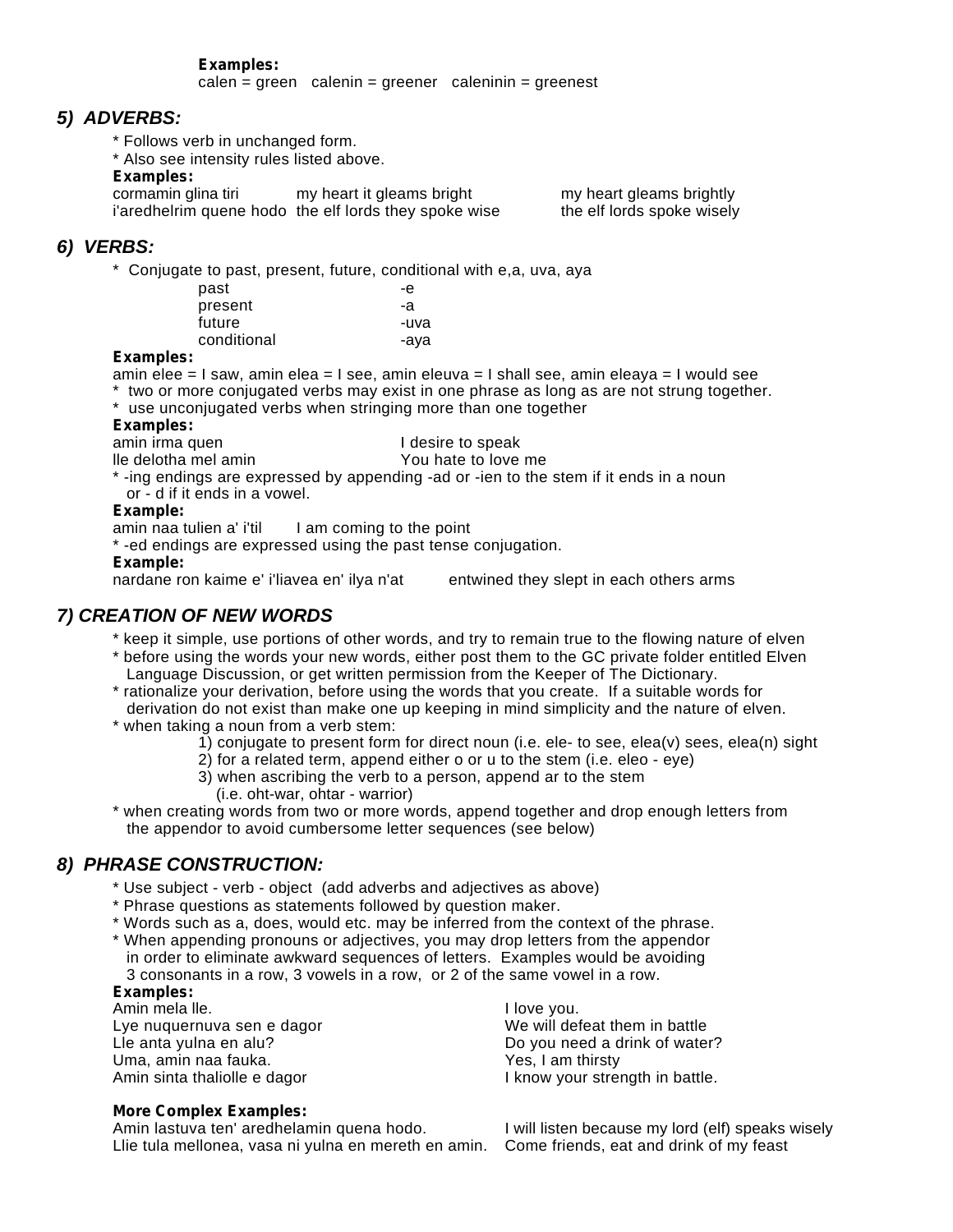**Examples:**

calen = green calenin = greener caleninin = greenest

## *5) ADVERBS:*

\* Follows verb in unchanged form.

\* Also see intensity rules listed above.

### **Examples:**

cormamin glina tiri my heart it gleams bright my heart gleams brightly i'aredhelrim quene hodo the elf lords they spoke wise the elf lords spoke wisely

## *6) VERBS:*

\* Conjugate to past, present, future, conditional with e,a, uva, aya

| past        | -e   |
|-------------|------|
| present     | -а   |
| future      | -uva |
| conditional | -ava |

#### **Examples:**

amin elee  $=$  I saw, amin elea  $=$  I see, amin eleuva  $=$  I shall see, amin eleava  $=$  I would see

\* two or more conjugated verbs may exist in one phrase as long as are not strung together.

\* use unconjugated verbs when stringing more than one together

#### **Examples:**

amin irma quen **I desire to speak** 

lle delotha mel amin You hate to love me

\* -ing endings are expressed by appending -ad or -ien to the stem if it ends in a noun or - d if it ends in a vowel.

#### **Example:**

amin naa tulien a' i'til lam coming to the point

\* -ed endings are expressed using the past tense conjugation.

#### **Example:**

nardane ron kaime e' i'liavea en' ilya n'at entwined they slept in each others arms

## *7) CREATION OF NEW WORDS*

- \* keep it simple, use portions of other words, and try to remain true to the flowing nature of elven
- \* before using the words your new words, either post them to the GC private folder entitled Elven Language Discussion, or get written permission from the Keeper of The Dictionary.
- rationalize your derivation, before using the words that you create. If a suitable words for derivation do not exist than make one up keeping in mind simplicity and the nature of elven.
- \* when taking a noun from a verb stem:
	- 1) conjugate to present form for direct noun (i.e. ele- to see, elea(v) sees, elea(n) sight
	- 2) for a related term, append either o or u to the stem (i.e. eleo eye)
	- 3) when ascribing the verb to a person, append ar to the stem (i.e. oht-war, ohtar - warrior)
- \* when creating words from two or more words, append together and drop enough letters from the appendor to avoid cumbersome letter sequences (see below)

## *8) PHRASE CONSTRUCTION:*

- \* Use subject verb object (add adverbs and adjectives as above)
- \* Phrase questions as statements followed by question maker.
- \* Words such as a, does, would etc. may be inferred from the context of the phrase.
- \* When appending pronouns or adjectives, you may drop letters from the appendor in order to eliminate awkward sequences of letters. Examples would be avoiding 3 consonants in a row, 3 vowels in a row, or 2 of the same vowel in a row.

#### **Examples:**

Amin mela lle. **I love you.** I love you. Lye nuquernuva sen e dagor van the will defeat them in battle Uma, amin naa fauka.

Lle anta yulna en alu? Do you need a drink of water?<br>Uma, amin naa fauka. Do you need a drink of water? Amin sinta thaliolle e dagor **I know your strength in battle**.

#### **More Complex Examples:**

Amin lastuva ten' aredhelamin quena hodo. I will listen because my lord (elf) speaks wisely Llie tula mellonea, vasa ni yulna en mereth en amin. Come friends, eat and drink of my feast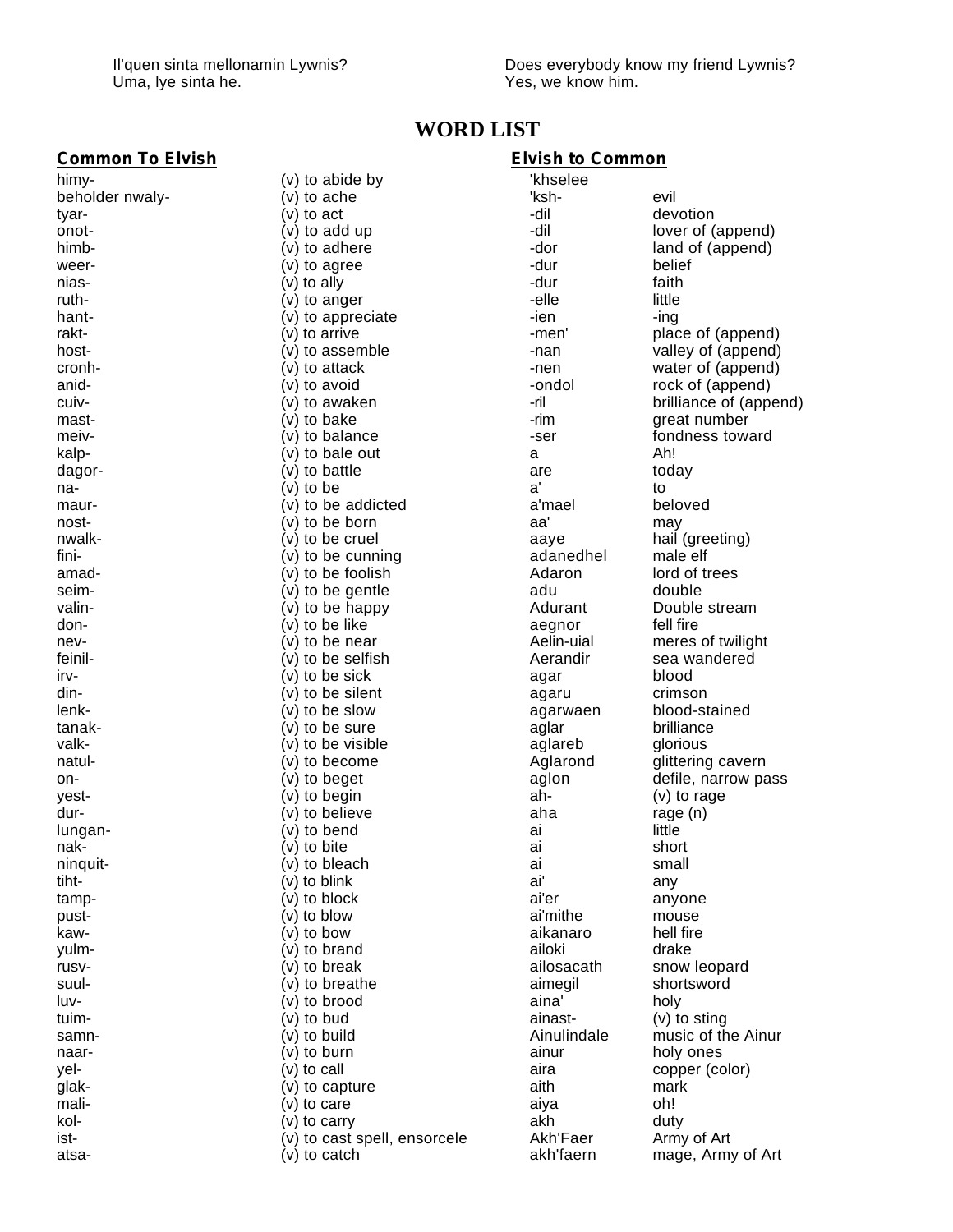#### **Common To Elvish Elvish to Common**

himy- (v) to abide by 'khselee

#### beholder nwaly- (v) to ache 'ksh- 'ksh- evil tyar- (v) to act -dil devotion onot- (v) to add up -dil lover of (append) weer-  $(v)$  to agree  $-\text{dur}$  belief nias- (v) to ally -dur faith ruth- The contract of the contract of the contract of the little little in the contract of the little in the contract of the little in the contract of the contract of the contract of the contract of the contract of the con hant- (v) to appreciate -ien -ing rakt-<br>
rakt-<br>
host-<br>
(v) to assemble -man -man valley of (append) host- (v) to assemble -nan valley of (append) cronh- (v) to attack -nen water of (append) anid- anid- anid- (v) to avoid condol rock of (append) mast-<br>
mast-<br>
(v) to balance<br>
(v) to balance<br>
(v) to balance<br>
example the ser<br>
tondness tow: meiv- (v) to balance -ser fondness toward  $k$ alp- $(v)$  to bale out a Ah ah  $(w)$  to bale out a Ah and  $(w)$  to bale out a Ah and  $(w)$ dagor- (v) to battle are are today na- (v) to be a' to maur- (v) to be addicted a'mael beloved nost- (v) to be born aa' may nwalk-<br>
(v) to be cruel the company of the adamedhel male elf<br>
(v) to be cunning<br>
adanedhel male elf fini- (v) to be cunning finiamad- (v) to be foolish Adaron lord of trees seim- (v) to be gentle adu double adu double valin- valin- (v) to be happy and adurant Double stream don-<br>
(v) to be like and the aegnor fell fire<br>
(v) to be near<br>
(v) to be near<br>
(v) to be near<br>
Aelin-uial meres nev-<br>
(v) to be near and the Aelin-uial meres of twilight<br>
(v) to be selfish<br>
Aerandir sea wandered  $\overline{v}$  feinil-  $\overline{v}$  and  $\overline{v}$  (v) to be selfish irv- (v) to be sick agar blood din- example and the signal control of the sident agaruate crimson crimson lenk- 
(v) to be slow 
agarwaen blood-stained tanak- (v) to be sure aglar brilliance valk-<br>
valk-<br>
(v) to become and alittering<br>
(v) to become and alittering<br>
vallend alittering on- aglon aglon defile, narrow pass (v) to beget and aglon defile, narrow pass yest- (v) to begin ah- (v) to rage (v) to rage (v) to rage (v) to rage (v) to rage dur- example and the control of the believe and the control and the rage (n) durlungan- (v) to bend ai little nak- (v) to bite ai short  $(v)$  to bleach ai tiht- (v) to blink ai' any any tamp- (v) to block ai'er anyone pust- (v) to blow ai'mithe mouse kaw- (v) to bow aikanaro hell fire yulm- (v) to brand ailoki drake rusv- (v) to break ailosacath snow leopard suul- (v) to breathe aimegil shortsword luv- (v) to brood aina' holy tuim- (v) to bud ainast- (v) to sting samn- (v) to build Ainulindale music of the Ainur naar- (v) to burn ainur holy ones yel- (v) to call aira copper (color) yelglak- (v) to capture aith mark mali- (v) to care aiya oh! kol- (v) to carry akh duty ist- (v) to cast spell, ensorcele Akh'Faer Army of Art atsa- (v) to catch akh'faern mage, Army of Art

land of (append) cuiv- (v) to awaken -ril brilliance of (append) glittering cavern

## **WORD LIST**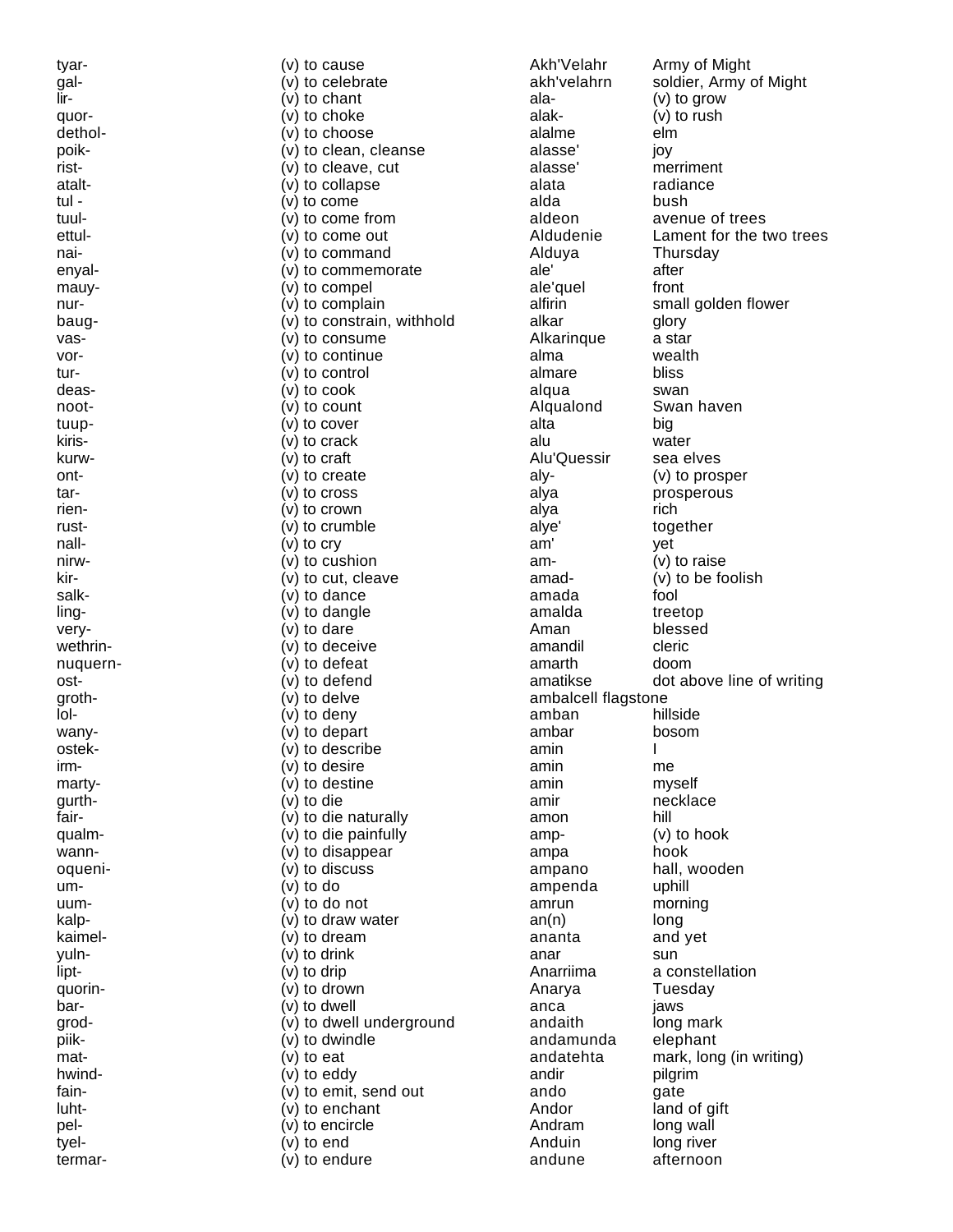tyar- (v) to cause Akh'Velahr Army of Might gal- (v) to celebrate akh'velahrn soldier, Army of Might lir- and the contract of the contract of the contract of the contract of the contract of the contract of the contract of the contract of the contract of the contract of the contract of the contract of the contract of the c quor- (v) to choke alak- (v) to rush alak- (v) to rush alakdethol- (v) to choose alalme elm poik- **(v)** to clean, cleanse alasse' iov rist- The contract of the cleave, cut alasse alasse intermediate merriment atalt- and intervention (v) to collapse alata radiance alata radiance tul - (v) to come alda bush tuul- tuul- (v) to come from aldeon avenue of trees ettul- (v) to come out Aldudenie Lament for the two trees nai- (v) to command Alduya Thursday enyal- (v) to commemorate ale' after mauy-  $(v)$  to compel ale'quel front nur- and the complain alfiring the small golden flower baug- baug- (v) to constrain, withhold alkar glory vas- (v) to consume a Salian and Alkarinque a star vor- vor- (v) to continue alma alma wealth tur- (v) to control almare bliss deas- (v) to cook alqua swan noot- (v) to count Alqualond Swan haven tuup- (v) to cover alta big kiris- (v) to crack alu water kurw- (v) to craft Alu'Quessir sea elves ont- (v) to create aly- (v) to prosper tar- (v) to cross alya prosperous rien- (v) to crown alya rich rust- The contract of the crumble all the contract of the contract of the contract of the contract of the contract of the contract of the contract of the contract of the contract of the contract of the contract of the cont nall- (v) to cry am' yet nirw- (v) to cushion am- (v) to raise kir- **but a contract to cut, cleave amad-** (v) to be foolish (v) to be foolish salk- (v) to dance amada fool ling- amalda treetop (v) to dangle amalda treetop very- example and the set of the date of the date and the Aman blessed wethrin-  $(v)$  to deceive amandil cleric nuquern- (v) to defeat amarth doom ost- (v) to defend amatikse dot above line of writing groth- (v) to delve ambalcell flagstone lol- **1988** (v) to deny amban hillside wany- wang to the control of the control of the control of the control of the control of the control of the control of the control of the control of the control of the control of the control of the control of the control o ostek- (v) to describe amin I irm- in the contract of the contract of the contract of the contract of the contract of the contract of the contract of the contract of the contract of the contract of the contract of the contract of the contract of the co marty- and the control of the control of the control of the control of the mathematic myself gurth- (v) to die amir necklace fair- (v) to die naturally amon hill qualm- (v) to die painfully amp- (v) to hook wann-  $(v)$  to disappear ampa hook oqueni- (v) to discuss ampano hall, wooden um- (v) to do ampenda uphill uum- (v) to do not amrun morning kalp- (v) to draw water and more and long kaimel- (v) to dream ananta and yet yuln- (v) to drink anar sun lipt- (v) to drip Anarriima a constellation quorin- (v) to drown Anarya Tuesday bar- (v) to dwell anca jaws grod- (v) to dwell underground andaith long mark piik- andamunda elephant (v) to dwindle andamunda elephant mat- and the control of the control of the material mark, long (in writing) material mark, long (in writing) hwind- (v) to eddy andir pilgrim fain- (v) to emit, send out ando gate luht- (v) to enchant and and of gift and of gift in the land of gift and of gift in the land of gift and of gift in the land of gift and  $\alpha$  in the land of gift and  $\alpha$  in the land of gift and  $\alpha$  in the land of gift an pel- the contract of the contract of the encircle term of the Andram long wall tyel- (v) to end Anduin long river termar- (v) to endure andune afternoon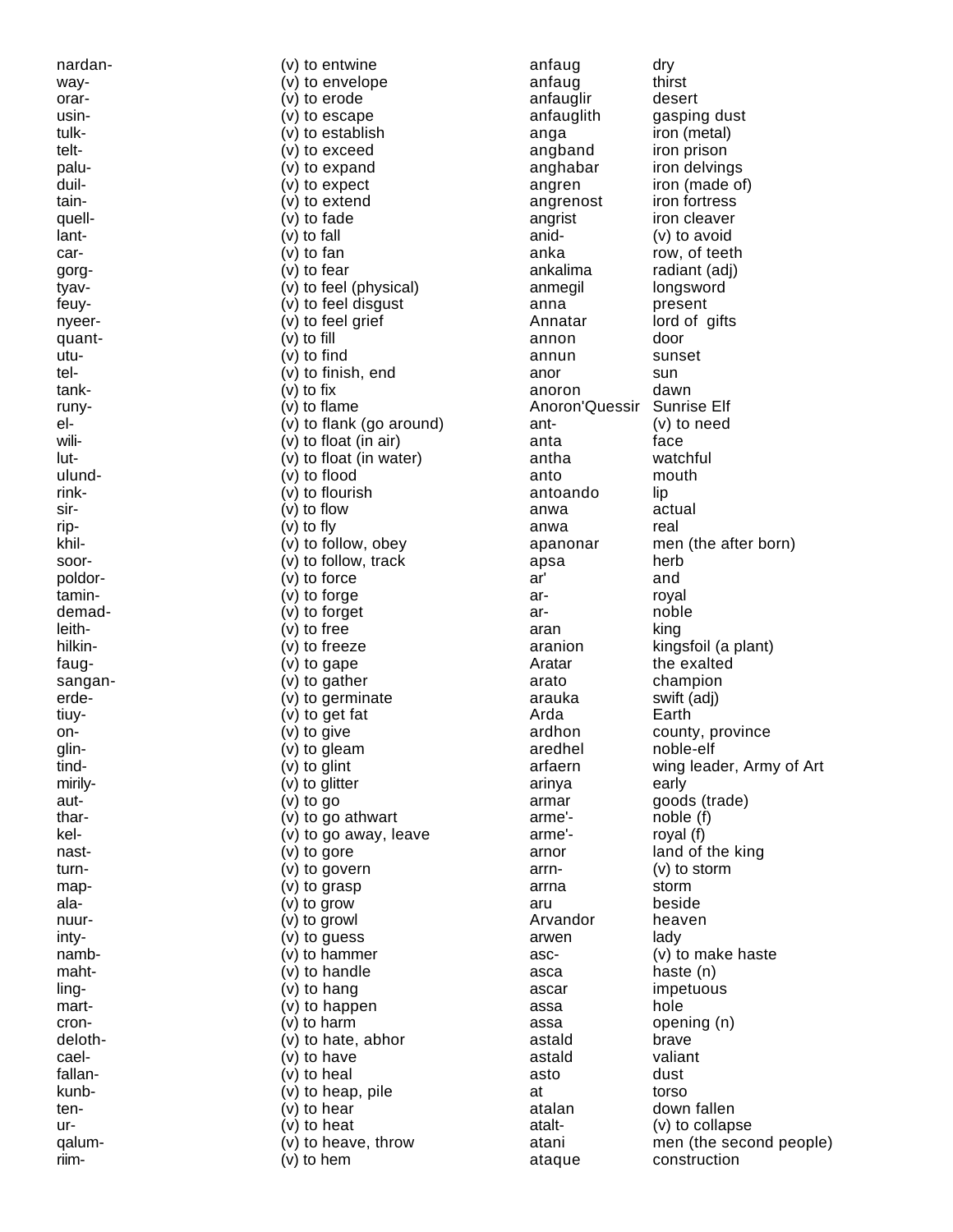nardan- (v) to entwine anfaug dry way-  $(v)$  to envelope anfaug thirst orar- (v) to erode anfauglir desert and desert usin- example and the scape and anfauglith gasping dust usintulk- **1988** (v) to establish anga iron (metal) telt- (v) to exceed angband iron prison palu- (v) to expand anghabar iron delvings duil- (v) to expect angren iron (made of) tain-  $(v)$  to extend angrenost iron fortress quell- (v) to fade angrist iron cleaver lant- (v) to fall anid- (v) to fall anid- (v) to avoid car- and contract the contract of the contract of the contract of the contract of teeth contract of teeth contract of teeth contract of teeth contract of teeth contract of the contract of teeth contract of the contract of gorg- (v) to fear ankalima radiant (adj) tyav- **120 Contract Contract Contract Contract Contract Contract Contract Contract Contract Contract Contract Contract Contract Contract Contract Contract Contract Contract Contract Contract Contract Contract Contract Cont** feuy- (v) to feel disgust anna present nyeer- (v) to feel grief Annatar lord of gifts quant- (v) to fill annon door utu- (v) to find annun sunset tel- (v) to finish, end anor sun tank- (v) to fix anoron dawn runy- The Communist Communist Communist Communist Communist Communist Communist Communist Communist Communist Communist Communist Communist Communist Communist Communist Communist Communist Communist Communist Communist Co el- (v) to flank (go around) ant- (v) to need wili- (v) to float (in air) anta face lut- (v) to float (in water) antha watchful ulund- (v) to flood anto mouth rink- (v) to flourish antoando lip sir- (v) to flow anwa actual rip- (v) to fly anwa real khil- (v) to follow, obey apanonar men (the after born) soor- (v) to follow, track apsa herb poldor-  $(v)$  to force  $\alpha$ <sup>'</sup> ar' and tamin-  $(0)$  to forge ar- ar- royal demad-  $(v)$  to forget ar- ar- noble leith- (v) to free aran king hilkin- (v) to freeze aranion kingsfoil (a plant) faug- the exalted (v) to gape the exalted and the exalted sangan- (v) to gather arato champion erde- ender arauka swift (adj) to germinate arauka swift (adj) tiuy- the contract of the contract of the contract of the contract of the contract of the contract of the contract of the contract of the contract of the contract of the contract of the contract of the contract of the cont on- and the county, province the county, province are county, province glin- (v) to gleam aredhel noble-elf noble-elf mirily- arinya early (v) to glitter arinya early early aut- automobility (v) to go armar goods (trade) thar-  $(v)$  to go athwart arme'- noble (f) kel- (v) to go away, leave arme'- royal (f) nast- architecture (v) to gore and arnor land of the king turn- (v) to govern arrn- (v) to storm map- arrna (v) to grasp arrna storm storm ala- (v) to grow aru beside nuur- (v) to growl Arvandor heaven inty- and the control of the control of the control of the control of the control of the control of the control of the control of the control of the control of the control of the control of the control of the control of th namb- (v) to hammer asc- (v) to make haste maht- (v) to handle asca haste (n) ling- (v) to hang ascar impetuous mart- (v) to happen assa hole cron- (v) to harm assa opening (n) deloth- (v) to hate, abhor astald brave cael- cael- (v) to have astald valiant fallan- (v) to heal asto dust kunb- (v) to heap, pile at torso at torso ten- (v) to hear atalan down fallen ur- (v) to heat atalt- (v) to collapse riim- (v) to hem ataque construction

tind- (v) to glint arfaern wing leader, Army of Art qalum- (v) to heave, throw atani men (the second people)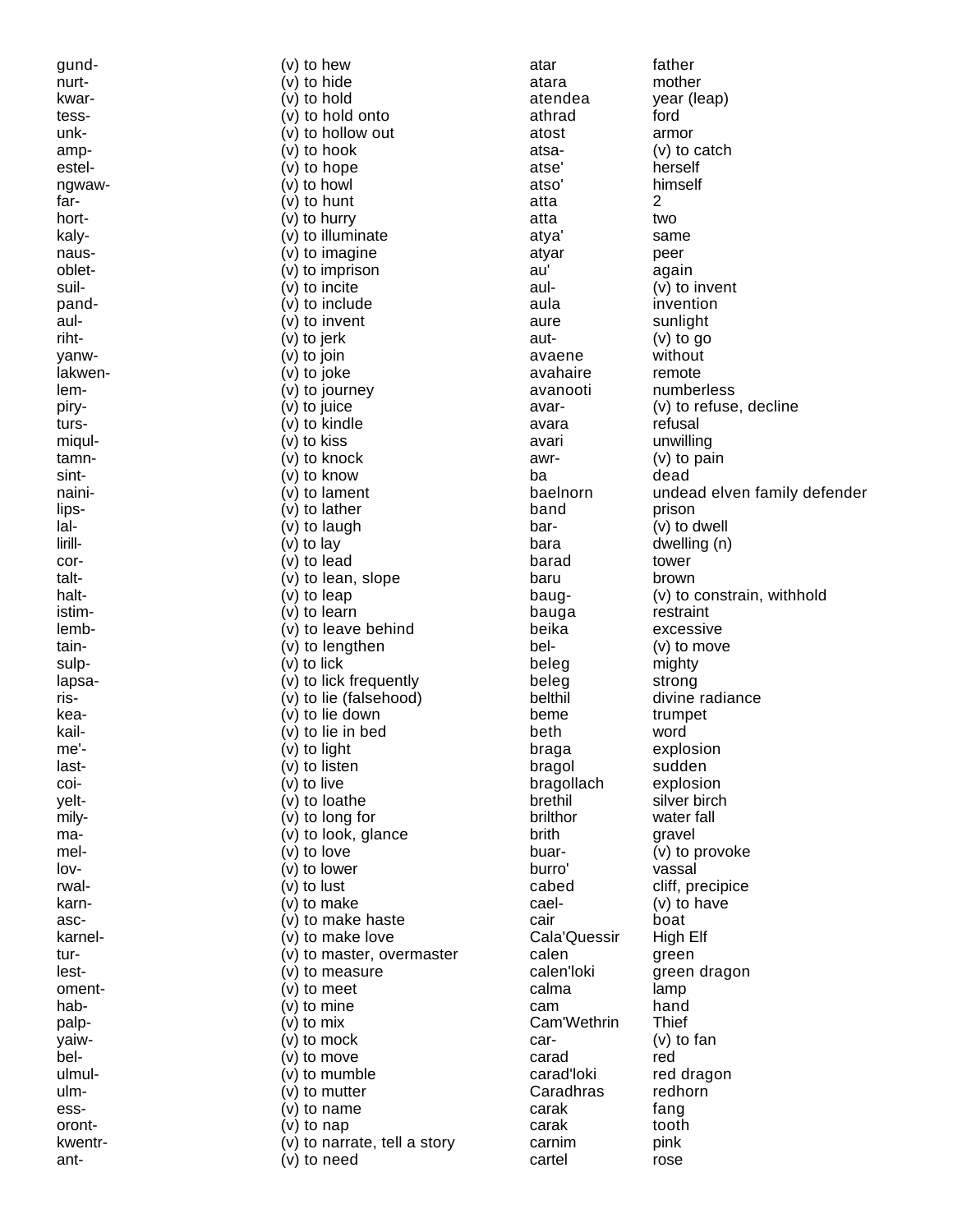gund- (v) to hew atar father nurt- atara mother (v) to hide atara mother atara mother kwar- (v) to hold atendea year (leap) tess- (v) to hold onto athrad ford unk- atost armor (v) to hollow out atost armor and the set of the set of the set of the set of the set of the s amp- (v) to hook atsa- (v) to catch estel- estel- (v) to hope atse' herself ngwaw- (v) to howl atso' himself far- (v) to hunt atta hort- (v) to hurry atta two two kaly- example atya' same (v) to illuminate the same atya' same naus- example at the control of the imagine attached atyar at the peer oblet- (v) to imprison au' au' again suil- (v) to incite aul- (v) to incite aul- (v) to invent pand- (v) to include aula invention aul- aul- (v) to invent aure sunlight riht- (v) to jerk aut- (v) to go yanw- (v) to join avaene without lakwen- (v) to joke avahaire remote lem- (v) to journey avanooti numberless piry- (v) to juice avar- (v) to refuse, decline turs- turs- (v) to kindle avara avara refusal miqul- (v) to kiss avari unwilling tamn- (v) to knock awr- (v) to pain sint- (v) to know ba dead lips- (v) to lather band prison lal- (v) to laugh bar- (v) to dwell lirill- (v) to lay bara dwelling (n) cor- (v) to lead barad tower talt- talt- talt- (v) to lean, slope baru brown halt- halt- (v) to leap baug- (v) to constrain, withhold istim- (v) to learn bauga restraint lemb- (v) to leave behind beika excessive tain- (v) to lengthen bel- (v) to move sulp- (v) to lick beleg mighty lapsa-  $(v)$  to lick frequently beleg strong ris- (v) to lie (falsehood) belthil divine radiance kea- beme trumpet (v) to lie down beme trumpet kail- (v) to lie in bed beth word me'- (v) to light braga explosion last- (v) to listen bragol sudden coi- (v) to live bragollach explosion yelt- (v) to loathe brethil silver birch mily- the contract of the long for the brile brilthor water fall ma- (v) to look, glance brith gravel mel- (v) to love buar- (v) to provoke lov- low- lower (v) to lower burro' vassal rwal- cabed cliff, precipice is the lust cabed cliff, precipice karn- (v) to make cael- (v) to have asc- (v) to make haste cair boat karnel- (v) to make love Cala'Quessir High Elf tur- (v) to master, overmaster calen green lest- (v) to measure calen'loki green dragon oment-  $(v)$  to meet calma lamp hab- (v) to mine cam hand palp- (v) to mix Cam'Wethrin Thief yaiw- (v) to mock car- (v) to fan bel-<br>
ulmul-<br>
ulmul-<br>
(v) to mumble the carad loki the red ulmul- (v) to mumble carad'loki red dragon ulm- (v) to mutter Caradhras redhorn ess- (v) to name carak fang oront- (v) to nap carak tooth kwentr- (v) to narrate, tell a story carnim pink ant- ant- cartel rose (v) to need cartel cartel rose

 $\mathfrak{D}$ naini- and the lament control of the lament baelnorn undead elven family defender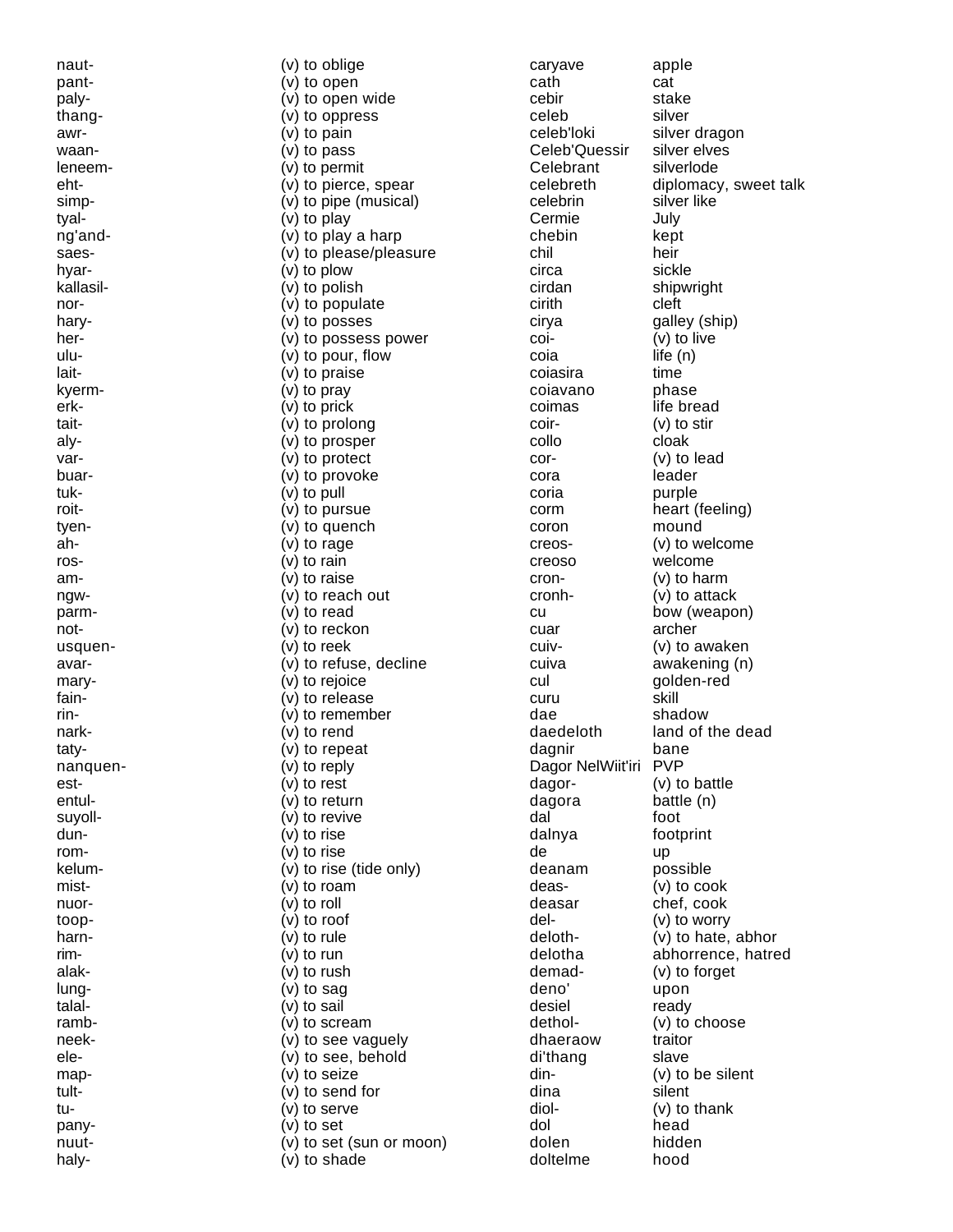naut- apple (v) to oblige the caryave apple pant- (v) to open cath cat paly- and controller controller controller cebir stake paly-<br>
palythang- (v) to oppress celeb silver awr- (v) to pain celeb'loki silver dragon waan- (v) to pass Celeb'Quessir silver elves leneem- (v) to permit Celebrant silverlode eht- (v) to pierce, spear celebreth diplomacy, sweet talk simp- silver like (v) to pipe (musical) celebrin silver like tyal- (v) to play Cermie July ng'and- (v) to play a harp chebin kept saes- (v) to please/pleasure chil heir hyar- (v) to plow circa sickle kallasil- (v) to polish cirdan shipwright nor- (v) to populate cirith cleft hary- example to the control of the posses cirva cirva galley (ship) haryher- the coinglenging of the coinglenging of the coinglenging  $\mathsf{coi}\text{-}\mathsf{coi}\text{-}$  (v) to live ulu- (v) to pour, flow coia life (n) lait- and the contract of the coinsing time coinsing time time that the coinsing time time that the coinsing time kyerm- (v) to pray coiavano phase erk- (v) to prick coimas life bread tait- (v) to prolong coir- (v) to stir- (v) to stiraly- (v) to prosper collo cloak var- (v) to protect cor- (v) to lead buar- (v) to provoke cora leader tuk- (v) to pull coria purple roit- (v) to pursue corm heart (feeling) tyen- (v) to quench coron mound ah- (v) to rage creos- (v) to welcome ros- (v) to rain creoso welcome am- (v) to raise cron- (v) to harm ngw-  $($ v) to reach out cronh-  $($ v) to attack parm- (v) to read cu cu bow (weapon) not- and cuar archer (v) to reckon cuar cuar archer usquen- (v) to reek cuiv- (v) to awaken avar- (v) to refuse, decline cuiva cuiva awakening (n) mary- (v) to rejoice cul golden-red fain- example and the second to release the curu skill sharp skill rin- (v) to remember dae shadow nark- (v) to rend daedeloth land of the dead taty- taty- (v) to repeat dagnir bane nanquen- (v) to reply Dagor NelWiit'iri PVP est- (v) to rest dagor- (v) to battle entul- (v) to return dagora battle (n) suyoll- (v) to revive dal foot dun- (v) to rise dalnya footprint rom- (v) to rise de up kelum- (v) to rise (tide only) deanam possible mist- (v) to roam deas- (v) to cook nuor- (v) to roll deasar chef, cook toop- (v) to roof del- (v) to worry harn- (v) to rule deloth- (v) to hate, abhor deloth- (v) to hate, abhor rim- (v) to run delotha abhorrence, hatred alak- (v) to rush demad- (v) to forget lung- (v) to sag deno' upon talal- (v) to sail desiel ready ramb- (v) to scream dethol- (v) to choose neek- (v) to see vaguely dhaeraow traitor ele- ele- (v) to see, behold di'thang slave map-  $(v)$  to seize din-  $(v)$  to seize din-  $(v)$  to be silent tult- tult- (v) to send for the dina silent tu- (v) to serve diol- (v) to thank pany- (v) to set dol head nuut- (v) to set (sun or moon) dolen hidden haly- haly- (v) to shade doltelme hood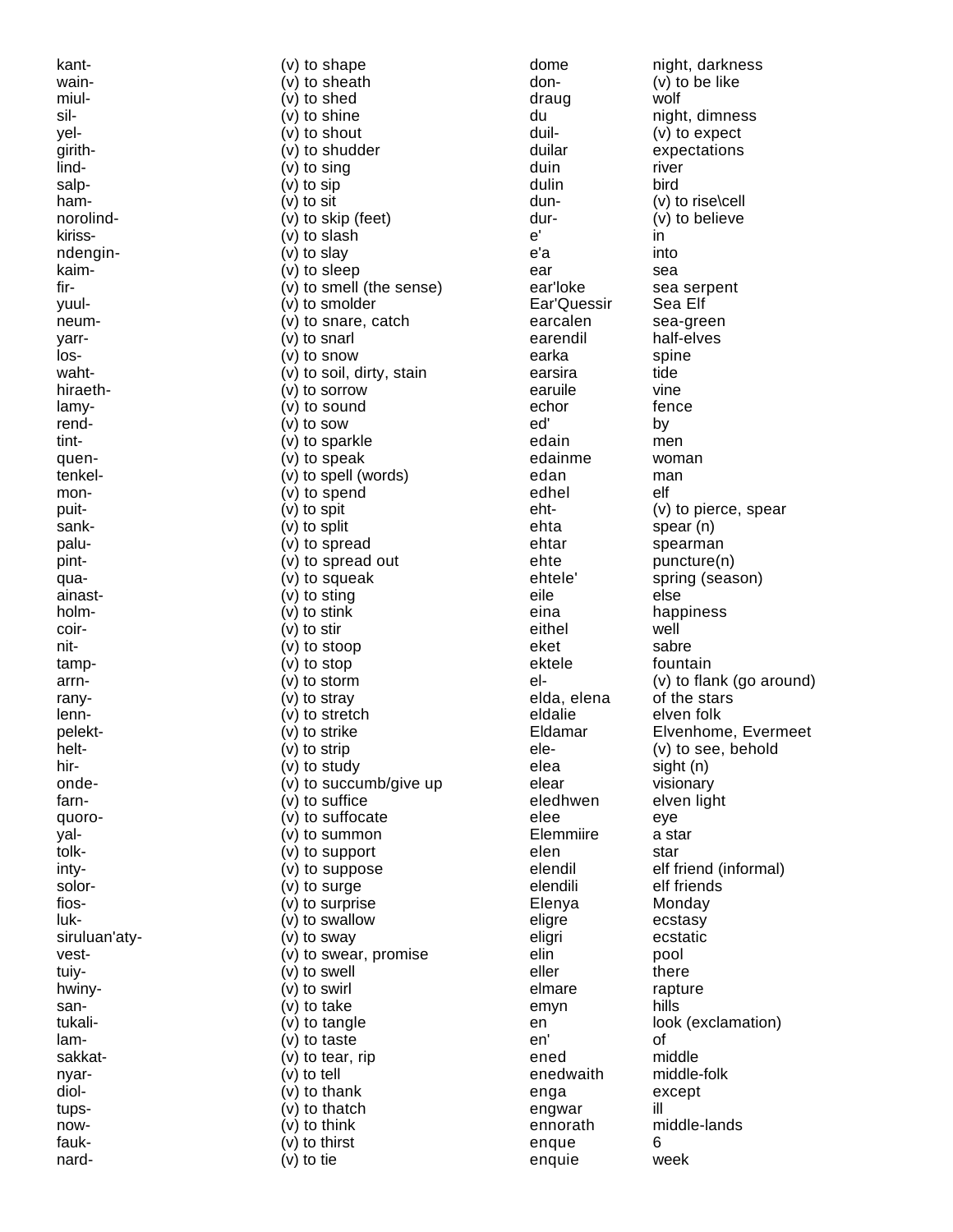kant- (v) to shape dome hight, darkness wain- (v) to sheath don- (v) to be like miul- (v) to shed draug wolf sil- (v) to shine du night, dimness yel- (v) to shout duil- (v) to expect  $\sim$ girith- (v) to shudder duilar expectations lind- (v) to sing duin river salp- (v) to sip dulin bird ham- (v) to sit dun- (v) to rise\cell norolind- (v) to skip (feet) dur- (v) to believe kiriss- (v) to slash e' in ndengin- (v) to slay e'a into kaim- (v) to sleep ear sea fir- (v) to smell (the sense) ear'loke sea serpent yuul- (v) to smolder Ear'Quessir Sea Elf neum- (v) to snare, catch earcalen sea-green yarr- (v) to snarl earendil half-elves los- (v) to snow earka spine waht-  $(v)$  to soil, dirty, stain earsira tide hiraeth- (v) to sorrow earuile vine lamy- lamy- (v) to sound echor fence rend- (v) to sow ed' by tint- (v) to sparkle edain men quen- (v) to speak edainme woman tenkel- (v) to spell (words) edan man mon- (v) to spend edhel elf puit- (v) to spit eht- (v) to pierce, spear sank- (v) to split ehta spear (n) palu- ehtar (v) to spread ehtar spearman spearman pint- ehte puncture(n)  $(v)$  to spread out ehte puncture(n) qua- (v) to squeak ehtele' spring (season) ainast- else (v) to sting eile else holm- (v) to stink eina happiness coir- (v) to stir eithel well nit- (v) to stoop eket sabre tamp- (v) to stop ektele fountain arrn- (v) to storm el- (v) to flank (go around) rany- range elda, elena of the stars (v) to stray the stars elda, elena of the stars lenn- (v) to stretch eldalie elven folk pelekt- (v) to strike Eldamar Elvenhome, Evermeet helt- helt- (v) to strip ele- (v) to see, behold hir- (v) to study elea sight (n) onde- (v) to succumb/give up elear visionary farn- elven light (v) to suffice the electrome electroment elven light quoro- (v) to suffocate elee eye yal- (v) to summon example below the example of the example of the example of the example of the example of the example of the example of the example of the example of the example of the example of the example of the examp tolk- (v) to support elen star inty- (v) to suppose elendil elf friend (informal) solor- (v) to surge elendili elf friends fios- (v) to surprise Elenya Monday luk- extra extraordinary (v) to swallow the eligre ecstasy siruluan'aty- ecstatic (v) to sway eligri ecstatic extractional extension of the sway eligri extension extendi vest- (v) to swear, promise elin pool tuiy- (v) to swell eller there hwiny- (v) to swirl elmare rapture san- (v) to take emyn hills tukali- (v) to tangle en look (exclamation) en look (exclamation) lam- (v) to taste en' of sakkat- (v) to tear, rip ened middle nyar- (v) to tell enedwaith middle-folk diol- (v) to thank enga except tups- (v) to thatch engwar ill now- (v) to think ennorath middle-lands fauk- (v) to thirst enque nard- (v) to tie enquie week

6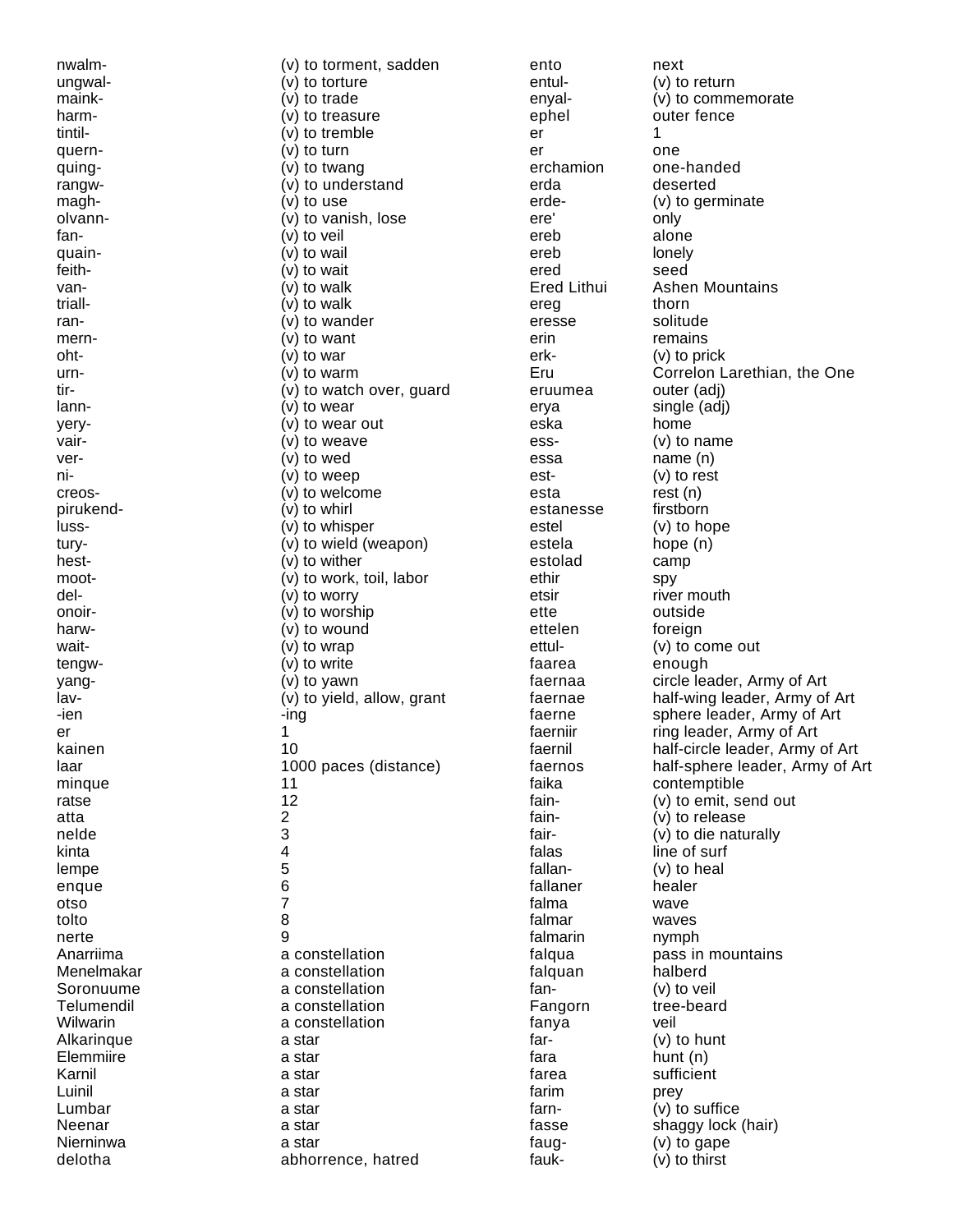er atta nelde kinta lempe enque otso tolto nerte

nwalm- (v) to torment, sadden ento next ungwal- (v) to torture entul- (v) to return maink- (v) to trade enval- (v) to commemorate envalharm- (v) to treasure ephel outer fence tintil- (v) to tremble er quern- (v) to turn er one quing- (v) to twang erchamion one-handed rangw- (v) to understand erda deserted magh- (v) to use erde- (v) to germinate olvann- (v) to vanish, lose ere' only fan- (v) to veil ereb alone quain- ereb lonely (v) to wail the ereb lonely feith- (v) to wait ered seed van- (v) to walk Ered Lithui Ashen Mountains triall- (v) to walk ereg thorn ran- eresse solitude (v) to wander the eresse solitude mern- erin in the controller (v) to want the erin the remains of the controller controller in the remains of the controller controller in the controller controller (v) to want the erin controller controller in the controll oht- (v) to war erk- (v) to prick tir- (v) to watch over, guard eruumea outer (adj) lann- (v) to wear erya single (adj) yery- example  $(v)$  to wear out the eska home vair- vair- (v) to weave ess- (v) to name ver- (v) to wed essa name (n) ni- and the contract of the contract of the contract of the contract of the contract of the contract of the contract of the contract of the contract of the contract of the contract of the contract of the contract of the co creos- (v) to welcome esta rest (n) pirukend- (v) to whirl estanesse firstborn luss- (v) to whisper estel (v) to hope tury- (v) to wield (weapon) estela hope (n) hest- hest- (v) to wither the estolad camp moot- The Contract Contract Contract Contract Contract Contract Contract Contract Contract Contract Contract Contract Contract Contract Contract Contract Contract Contract Contract Contract Contract Contract Contract Contr del- (v) to worry etsir river mouth onoir- (v) to worship ette outside harw- harw- (v) to wound ettelen foreign wait-  $(v)$  to wrap ettul-  $(v)$  to come out tengw- (v) to write faarea enough yang- (v) to yawn faernaa circle leader, Army of Art 1 faerniir ring leader, Army of Art minque 11 11 faika contemptible ratse 12 fain- (v) to emit, send out 2 fain- (v) to release 3 fair- (v) to die naturally 4 falas line of surf and the falas line of surf 5 6 fallaner healer 7 falma wave 8 **8** *a* **1** *a* **<b>1** *a a a a a a a a a a a a a a a a a a a a a a a a a a a a a a a a a* 9 falmarin nymph Anarriima aconstellation falqua pass in mountains constellation Menelmakar a constellation and talquan halberd halberd Soronuume aconstellation fan- (v) to veil Telumendil a constellation Fangorn tree-beard Wilwarin a constellation a constellation a many many veil Alkaringue a star a star far- (v) to hunt Elemmiire a star fara hunt (n) a star Karnil a star farea sufficient a star farea sufficient Luinil a star farim prey Lumbar a star a star farn- (v) to suffice Neenar a star a star fasse shaggy lock (hair) Nierninwa a star a star faug- (v) to gape delotha abhorrence, hatred fauk- (v) to thirst

5 fallan- (v) to heal

1 urn- (v) to warm Eru Correlon Larethian, the One lav- (v) to yield, allow, grant faernae half-wing leader, Army of Art -ien -ing faerne sphere leader, Army of Art kainen 10 faernil half-circle leader, Army of Art and the fact that the fact that the fact that the half-circle leader, Army of Art laar 1000 paces (distance) faernos half-sphere leader, Army of Art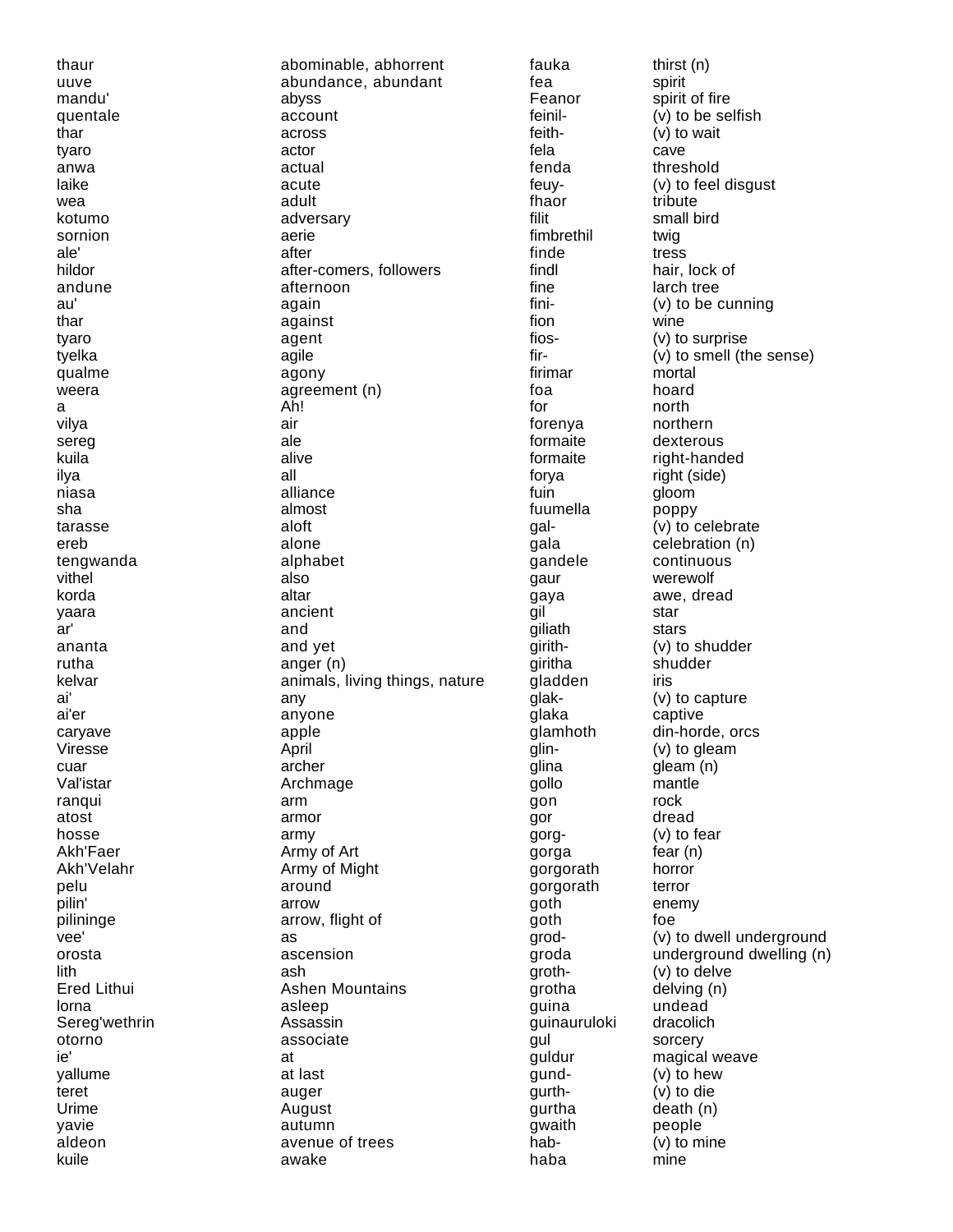kuile awake haba mine awake haba mine

thaur abominable, abhorrent fauka thirst (n) uuve abundance, abundant fea spirit mandu' abyss Feanor spirit of fire quentale account account feinil- (v) to be selfish thar across feith- (v) to wait tyaro actor fela cave anwa actual fenda threshold laike acute acute acute feuy- (v) to feel disgust wea adult fhaor tribute kotumo adversary filit small bird sornion aerie aerie fimbrethil twig ale' and the settlement of the settlement of the settlement of the settlement of the settlement of the settlem hildor **after-comers, followers** findl hair, lock of hair, lock of andune and afternoon and the larch tree larch tree au' again fini- (v) to be cunning thar against thar the moment of the moment of the moment of the moment of the moment of the moment of the mome tyaro **b** agent agent fios- (v) to surprise tyelka agile agile tyelka agile and the sense) tyelka aging the sense) qualme agony firimar mortal weera agreement (n) foa hoard a a Ah! Ah! for north vilya air forenya northern sereg ale formaite dexterous ale formaite dexterous kuila alive alive formaite right-handed ilya all forya right (side) niasa alliance fuin gloom sha almost fuumella poppy tarasse aloft aloft aloft gal- (v) to celebrate ereb alone alone and gala celebration (n)<br>
tengwanda alphabet gandele continuous tengwanda alphabet gandele continuous vithel also gaur werewolf korda altar gaya awe, dread yaara ancient gil star ar' and giliath stars ananta and yet and yet girith- (v) to shudder and yet girith- (v) to shudder and yet and yet girith- (v) to shudder  $\frac{1}{2}$  and  $\frac{1}{2}$  and  $\frac{1}{2}$  and  $\frac{1}{2}$  and  $\frac{1}{2}$  and  $\frac{1}{2}$  and  $\frac{1}{2}$  and  $\frac{1}{2}$ rutha anger (n) giritha shudder kelvar animals, living things, nature gladden iris ai' any glak- (v) to capture ai'er anyone glaka captive caryave apple apple glamhoth din-horde, orcs Viresse April glin- (v) to gleam cuar archer archer glina gleam (n) Val'istar Archmage gollo mantle ranqui arm gon rock atost armor gor dread hosse army army and the series of the series of the series of the series of the series of the series of the se Akh'Faer Army of Art gorga fear (n) Akh'Velahr **Army of Might** and the gorgorath horror pelu around gorgorath terror pilin' arrow goth enemy pilininge arrow, flight of goth foe vee' as as as grod- (v) to dwell underground orosta ascension groda underground dwelling (n) lith ash ash groth- (v) to delve Ered Lithui Ashen Mountains grotha delving (n) lorna asleep guina undead Sereg'wethrin **Assassin** Assassin and Assassin and Assassin and Greeg's extendion of the Assassin and Greegy and G otorno associate gul sorcery ie' et at a controller and the set of the guldur and magical weaver<br>
in the guldur at last the gund-<br>
in the gund-<br>
vallume (v) to hew yallume at last and the set of the set of the set of the set of the set of the set of the set of the set of th teret auger gurth- (v) to die Urime August gurtha death (n) yavie autumn gwaith people aldeon avenue of trees hab- (v) to mine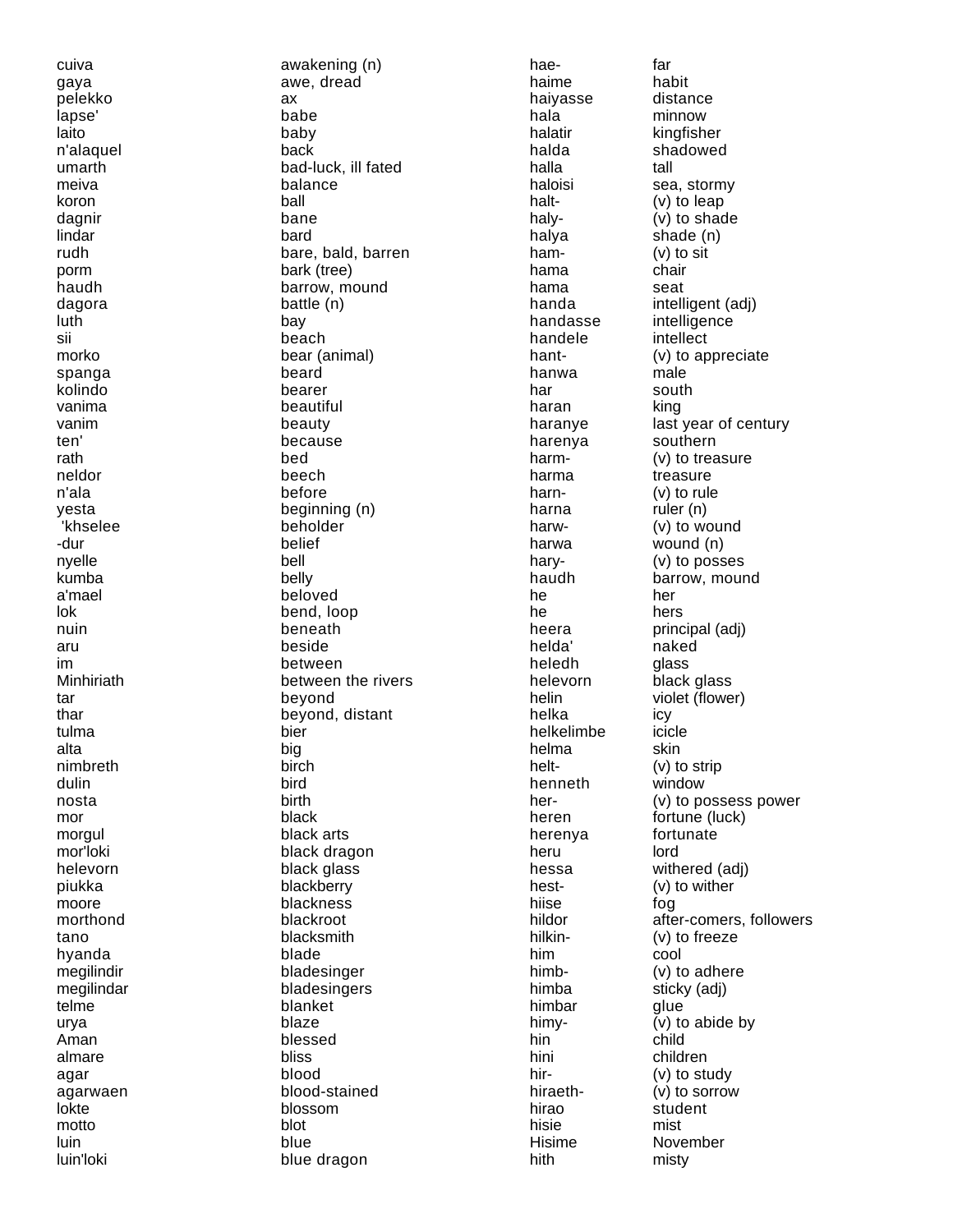cuiva awakening (n) hae- far gaya awe, dread haime habit haiwa awe, dread habit haime habit pelekko ax haiyasse distance lapse' babe hala minnow laito baby halatir kingfisher n'alaquel back halda shadowed umarth bad-luck, ill fated halla tall halla tall meiva balance haloisi sea, stormy koron ball halt- (v) to leap dagnir bane haly- (v) to shade haly- (v) to shade lindar bard halya shade (n) rudh bare, bald, barren ham- (v) to sit porm bark (tree) hama chair haudh barrow, mound hama seat dagora intelligent (adj) handa intelligent (adj) handa intelligent (adj) luth bay handasse intelligence sii beach handele intellect morko bear (animal) hant- (v) to appreciate spanga beard hanwa male kolindo bearer har south vanima beautiful haran king vanim beauty haranye last year of century beauty beauty beauty haranye last year of century ten' because harenya southern rath bed bed harm- (v) to treasure neldor beech harma treasure n'ala before harn- (v) to rule yesta beginning (n) harna ruler (n) 'khselee beholder harw- (v) to wound -dur belief harwa wound (n) nyelle bell bell hary- (v) to posses kumba haudh belly belly haudh barrow, mound a'mael beloved he her lok bend, loop hers hers hers nuin beneath heera principal (adj) aru beside helda' naked im between heledh glass between heledh glass Minhiriath between the rivers helevorn black glass tar beyond beyond helin violet (flower) thar helka icy beyond, distant helka icy icy beyond, distant helka icy icy ich helka icy ich helka ich ich helka tulma bier helkelimbe icicle alta big helma skin nimbreth birch helt- (v) to strip dulin bird henneth window nosta birth her- (v) to possess power mor black black heren fortune (luck) morgul black arts herenya fortunate mor'loki black dragon heru heru lord helevorn black glass hessa withered (adj) piukka blackberry hest- (v) to wither moore blackness hiise fog tano blacksmith hilkin- (v) to freeze hyanda blade him cool megilindir bladesinger himb- (v) to adhere himb- (v) to adhere megilindar bladesingers himba sticky (adj) telme blanket himbar glue urya blaze himy- (v) to abide by Aman blessed hin child almare bliss hini children agar blood hir- (v) to study and the study of the study of the study of the study of the study of the study of the study of the study of the study of the study of the study of the study of the study of the study of the stu agarwaen blood-stained hiraeth- (v) to sorrow lokte blossom hirao student motto blot hisie mist luin blue Hisime November luin'loki blue dragon blue dragon hith misty

morthond blackroot hildor after-comers, followers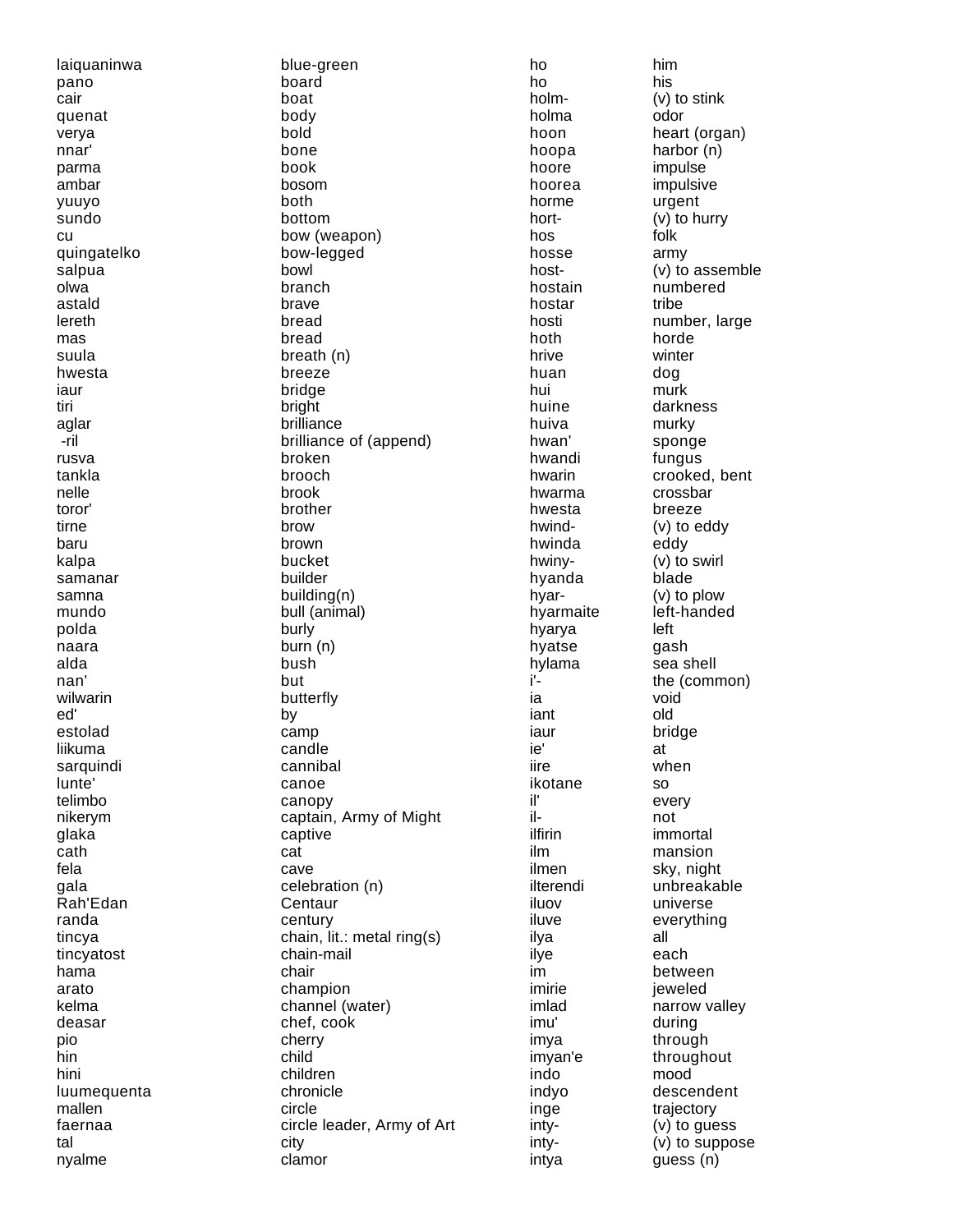nyalme internal clamor intya guess (n) and clamor internal clamor internal clamor

laiquaninwa blue-green ho him pano board ho his cair boat holm- (v) to stink quenat body holma odor verya bold hoon heart (organ) nnar' bone hoopa harbor (n) parma book hoore impulse ambar bosom hoorea impulsive yuuyo both horme urgent sundo bottom bottom hort- (v) to hurry cu cu bow (weapon) hos folk quingatelko bow-legged hosse army salpua bowl bowl host- (v) to assemble olwa branch hostain numbered astald **brave** hostar tribe lereth bread hosti number, large mas bread hoth horde suula breath (n) hrive winter hwesta breeze huan dog iaur bridge hui murk tiri bright huine darkness aglar brilliance huiva murky -ril brilliance of (append) hwan' sponge rusva broken hwandi fungus tankla brooch hwarin crooked, bent nelle brook hwarma crossbar toror' brother hwesta breeze tirne brow hwind- (v) to eddy baru brown hwinda eddy kalpa bucket hwiny- (v) to swirl samanar builder hyanda blade samna building(n) hyar- (v) to plow mundo bull (animal) hyarmaite left-handed polda burly hyarya left naara burn (n) hyatse gash alda bush hylama sea shell nan' but but i'- the (common) wilwarin butterfly ia void ed' by iant old estolad camp iaur bridge liikuma candle ie' at sarquindi cannibal iire when lunte' canoe ikotane so telimbo canopy il' every nikerym captain, Army of Might il- not glaka captive ilfirin immortal cath cat cat ilm mansion fela cave ilmen sky, night gala celebration (n) ilterendi unbreakable Rah'Edan Centaur iluov universe randa century iluve everything tincya chain, lit.: metal ring(s) ilya all tincyatost chain-mail chain-mail ilye each hama chair chair im between between and description of the between  $\mathsf{in}$ arato imirie ieweled champion imirie ieweled kelma imisah channel (water) imlad narrow valley deasar imu' during chef, cook imu' during deasar imu' during pio imagina cherry cherry imya through hin child child imyan'e throughout hini children indo mood luumequenta chronicle indyo descendent mallen inge trajectory circle the circle trajectory inget trajectory trajectory faernaa circle leader, Army of Art inty- (v) to quess tal city city city inty- (v) to suppose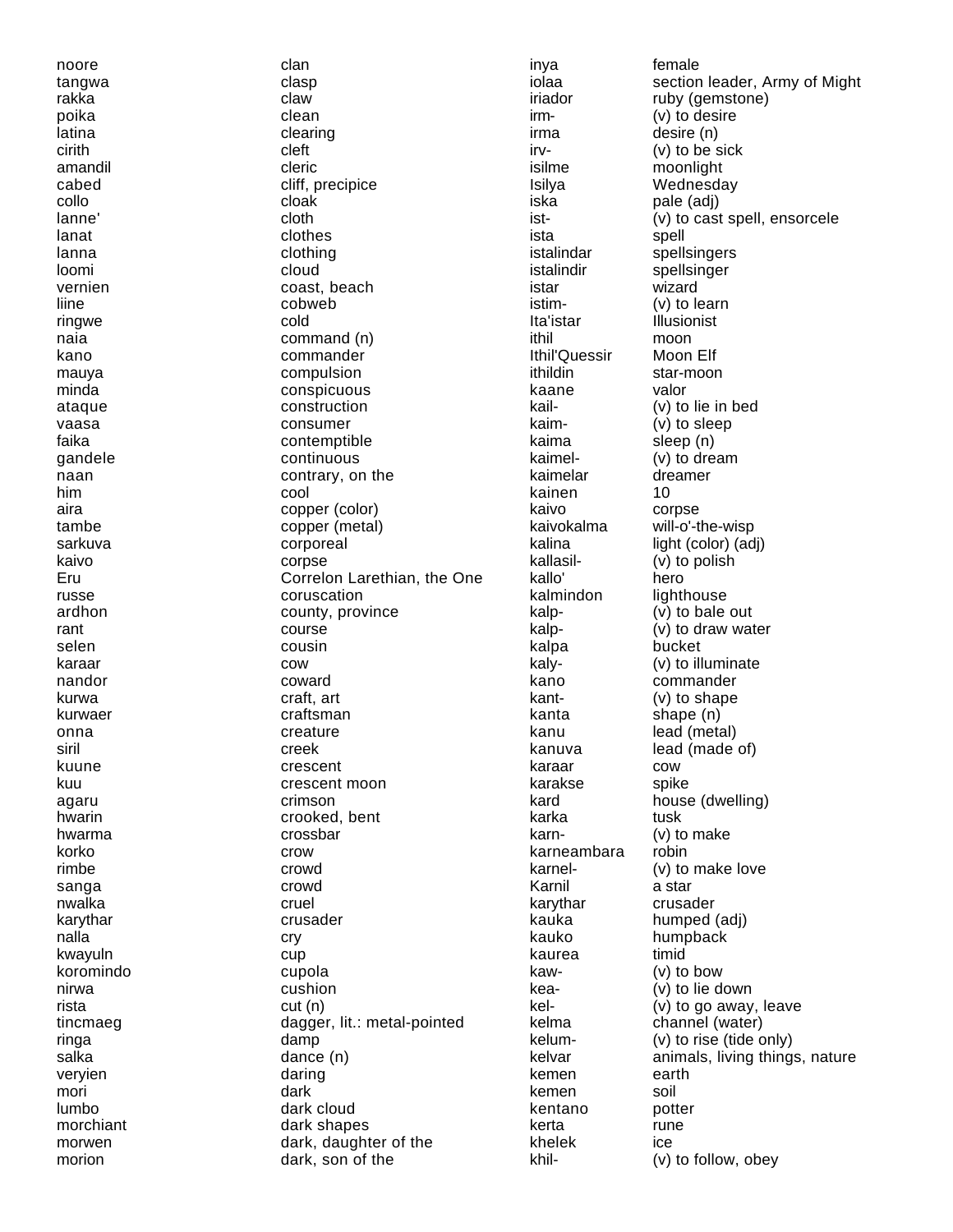noore clan inya female rakka claw claw claw iriador ruby (gemstone) poika clean clean clean in the clean contract contract to the clean contract contract contract contract contract contract contract contract contract contract contract contract contract contract contract contract contract c latina irma desire (n) clearing in the clear of the clear of the clear of the clear of the clear of the clear cirith cleft cleft cleft irv- (v) to be sick amandil cleric isilme moonlight cabed cabed cliff, precipice Isilya Wednesday collo cloak iska pale (adj) lanat clothes ista spell lanna istalindar istalindar spellsingers clothing istalindar spellsingers loomi cloud istalindir spellsinger vernien istar vernien verschieden verschieden auch der der der ausgebeneuten verschieden verschieden verschied liine cobweb istim- (v) to learn ringwe cold Ita'istar Illusionist naia command (n) ithil moon kano **commander** Commander Ithil'Quessir Moon Elf mauya ithildin star-moon compulsion ithildin star-moon minda conspicuous kaane valor ataque construction kail- (v) to lie in bed vaasa consumer kaim- (v) to sleep faika contemptible kaima sleep (n) gandele continuous kaimel- (v) to dream naan contrary, on the kaimelar dreamer him cool kainen 10 aira copper (color) kaivo corpse tambe copper (metal) kaivokalma will-o'-the-wisp sarkuva corporeal kalina light (color) (adj) kaivo corpse corpse kallasil- (v) to polish Eru Correlon Larethian, the One kallo' hero russe coruscation coruscation kalmindon lighthouse ardhon county, province kalp- (v) to bale out rant course course the course that the course that the course that the course that the course that the course that the course that the course that the course that the course that the course that the course that the course selen cousin kalpa bucket karaar cow cow cow kaly- (v) to illuminate nandor coward kano commander kurwa craft, art kant- (v) to shape kurwaer craftsman kanta shape (n) onna creature kanu lead (metal) siril creek creek kanuva lead (made of) kuune crescent cowww.crescent karaar cow kuu crescent moon karakse spike agaru crimson crimson kard house (dwelling) hwarin and crooked, bent karka tusk hwarma crossbar karn- (v) to make korko crow karneambara robin rimbe crowd crowd crowd karnel- (v) to make love sanga crowd Karnil a star nwalka cruel karythar crusader karythar crusader crusader kauka humped (adj) nalla cry cry cry kauko humpback kwayuln cup kaurea timid koromindo cupola kaw- (v) to bow nirwa cushion cushion kea- (v) to lie down rista cut (n) cut (n) kel- (v) to go away, leave tincmaeg dagger, lit.: metal-pointed kelma channel (water) ringa damp damp kelum- (v) to rise (tide only) veryien and the control of the daring the control of the control of the control of the darth mori dark kemen soil lumbo dark cloud kentano potter morchiant and dark shapes the control of the rune morwen **dark**, daughter of the khelek ice morion and the dark, son of the control of the control the control of the control of the control of the control to the control of the control of the control of the control of the control of the control of the control of th

tangwa iolasp iolaa section leader, Army of Might lanne' cloth cloth cloth ist- (v) to cast spell, ensorcele salka dance (n) kelvar animals, living things, nature animals, living things, nature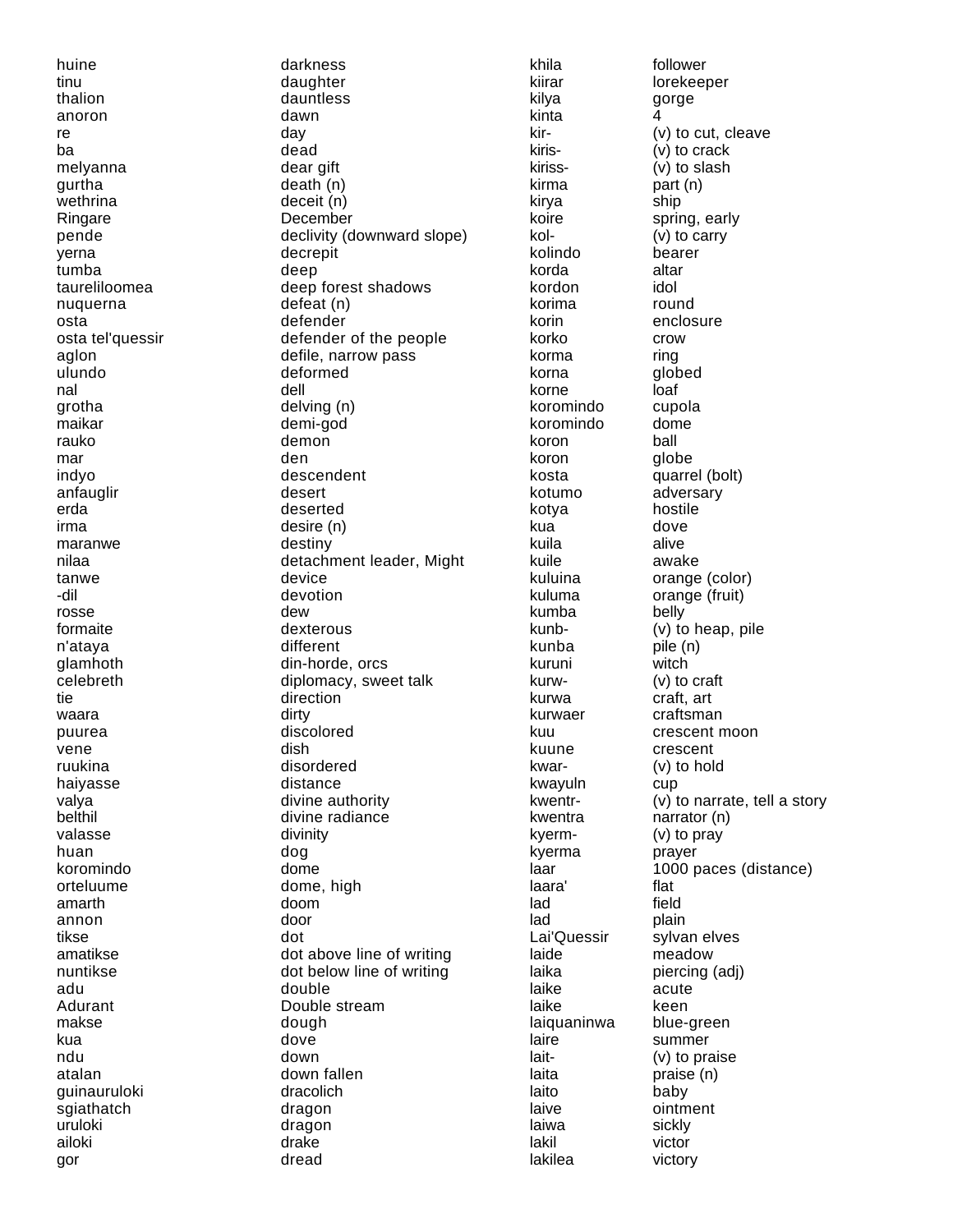gor dread lakilea victory

huine darkness khila follower tinu daughter kiirar lorekeeper thalion dauntless kilya gorge anoron dawn kinta re day kir- (v) to cut, cleave ba dead dead kiris- (v) to crack melyanna dear gift kiriss- (v) to slash gurtha death (n) kirma part (n) wethrina deceit (n) kirya ship Ringare **December** December **Ringare** spring, early pende declivity (downward slope) kol- (v) to carry yerna decrepit kolindo bearer tumba deep korda altar taureliloomea deep forest shadows kordon idol nuquerna defeat (n) korima round osta defender korin enclosure osta tel'quessir **but all a contract of the people** crow crow aglon defile, narrow pass korma ring ulundo deformed korna globed nal dell dell korne loaf loaf grotha delving (n) koromindo cupola maikar demi-god koromindo dome rauko demon koron ball mar den den koron globe indyo descendent kosta quarrel (bolt) anfauglir desert kotumo adversary erda deserted kotya hostile irma desire (n) kua dove maranwe destiny kuila alive nilaa detachment leader, Might kuile awake tanwe device tanks device tanks are device that the device that the control or the device that the control or  $\alpha$ -dil devotion kuluma orange (fruit) rosse dew kumba belly formaite dexterous kunb- (v) to heap, pile n'ataya different kunba pile (n) glamhoth din-horde, orcs kuruni witch celebreth diplomacy, sweet talk kurw- (v) to craft tie direction direction kurwa craft, art and the direction of the set of  $\alpha$ waara dirty kurwaer craftsman puurea discolored kuu crescent moon vene dish kuune crescent ruukina **disordered** kwar- (v) to hold haiyasse distance kwayuln cup valya divine authority by the section of the value of the value of the value of the story value of the value of the value of the value of the value of the value of the value of the value of the value of the value of the va belthil divine radiance heat wentra narrator (n) valasse divinity kyerm- (v) to pray huan dog kyerma prayer koromindo dome dome dome laar 1000 paces (distance) orteluume dome, high and dome, high and daara' flat amarth doom lad field annon door lad plain tikse dot Lai'Quessir sylvan elves amatikse and dot above line of writing and laide meadow nuntikse dot below line of writing laika piercing (adj) adu double laike acute Adurant **Communist Communist Communist Communist Communist Communist Communist Communist Communist Communist Communist Communist Communist Communist Communist Communist Communist Communist Communist Communist Communist Com** makse dough dough laiquaninwa blue-green kua dove laire summer ndu down lait- (v) to praise down fallen and a laita braise (n) guinauruloki dracolich laito baby sgiathatch dragon laive ointment uruloki dragon laiwa sickly ailoki drake lakil victor

4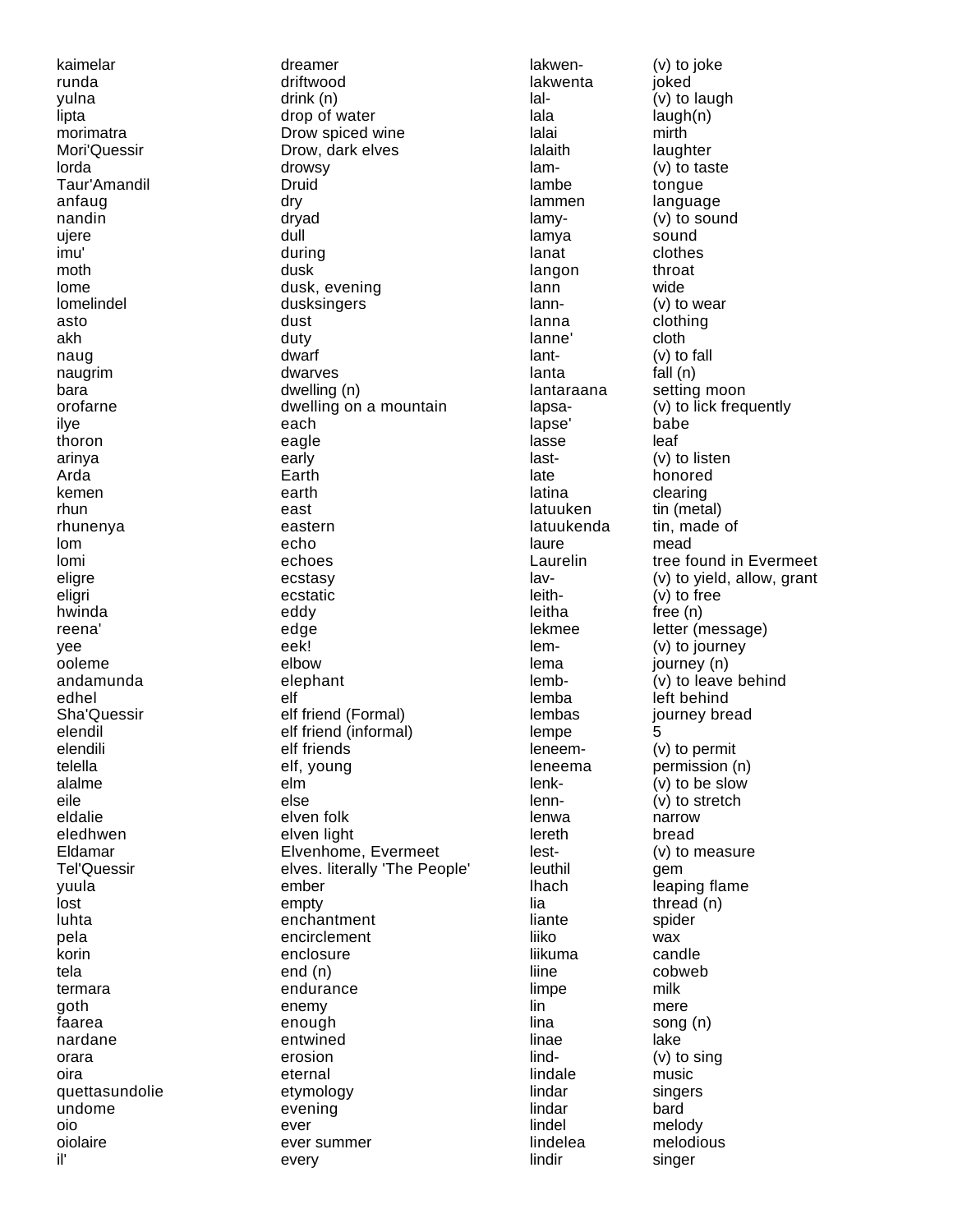kaimelar lakwen- lakwen- (v) to joke runda driftwood lakwenta joked yulna drink (n) lal- (v) to laugh lipta drop of water and lala laugh(n) land laugh(n) morimatra Drow spiced wine lalai mirth Mori'Quessir **Charlotter Drow, dark elves** languaghter laughter lorda drowsy drows and the drows in the lam- (v) to taste Taur'Amandil Druid lambe tongue anfaug dry dry dry lammen language nandin dryad dryad lamy- (v) to sound ujere dull lamya sound imu' during and during a lanat clothes moth dusk langon throat throat throat throat throat dusk throat throat throat throat throat throat throat throa lome dusk, evening and lann wide lomelindel dusksingers and dusksingers lann- (v) to wear asto dust lanna clothing akh duty lanne' cloth naug dwarf lant- (v) to fall naugrim dwarves lanta fall (n) bara dwelling (n) lantaraana setting moon orofarne dwelling on a mountain lapsa- (v) to lick frequently ilye each lapse' babe thoron eagle lasse leaf arinya early last- (v) to listen Arda Earth late honored kemen earth earth latina clearing the control of the clearing rhun east east latuuken tin (metal) rhunenya eastern eastern latuukenda tin, made of lom echo laure mead lomi echoes echoes Laurelin tree found in Evermeet eligre extasy ecstasy and the lav- (v) to yield, allow, grant eligri ecstatic leith- (v) to free hwinda eddy leitha free (n) reena' between bedge lekmee letter (message) yee eek! lem- (v) to journey ooleme elbow lema journey (n) andamunda elephant lemb- (v) to leave behind edhel elf lemba left behind Sha'Quessir **elf friend (Formal)** lembas iourney bread in the sead of the elft friend (Formal) elendil elf friend (informal) lempe elendili elf friends elf triends elf teleneem- (v) to permit<br>telella elf. voung elf teleneema permission ( elf, young elf, young permission (n) alalme elm elm elm lenk- (v) to be slow eile else lenn- (v) to stretch eldalie elven folk lenwa narrow eledhwen elven light lereth bread bread bread elven light and bread bread bread bread bread bread bread bread bread bread bread bread bread bread bread bread bread bread bread bread bread bread bread bread bread bread brea Eldamar **Elvenhome, Evermeet** lest- (v) to measure Tel'Quessir elves. literally 'The People' leuthil gem yuula ember hoog ember lhach leaping flame lost empty empty lia thread (n) luhta enchantment liante spider pela encirclement liiko wax korin enclosure enclosure liikuma candle tela end (n) liine cobweb termara endurance limpe milk goth enemy enemy lin mere faarea enough lina song (n) nardane entwined linae lake orara erosion lind- (v) to sing oira eternal eternal dindale music quettasundolie etymology is exampled that the example of the example of the example of the example of the example of the example of the example of the example of the example of the example of the example of the example of undome evening lindar bard oio ever lindel melody oiolaire ever summer lindelea melodious il' every every lindir singer singer and the singer  $\sim$ 

5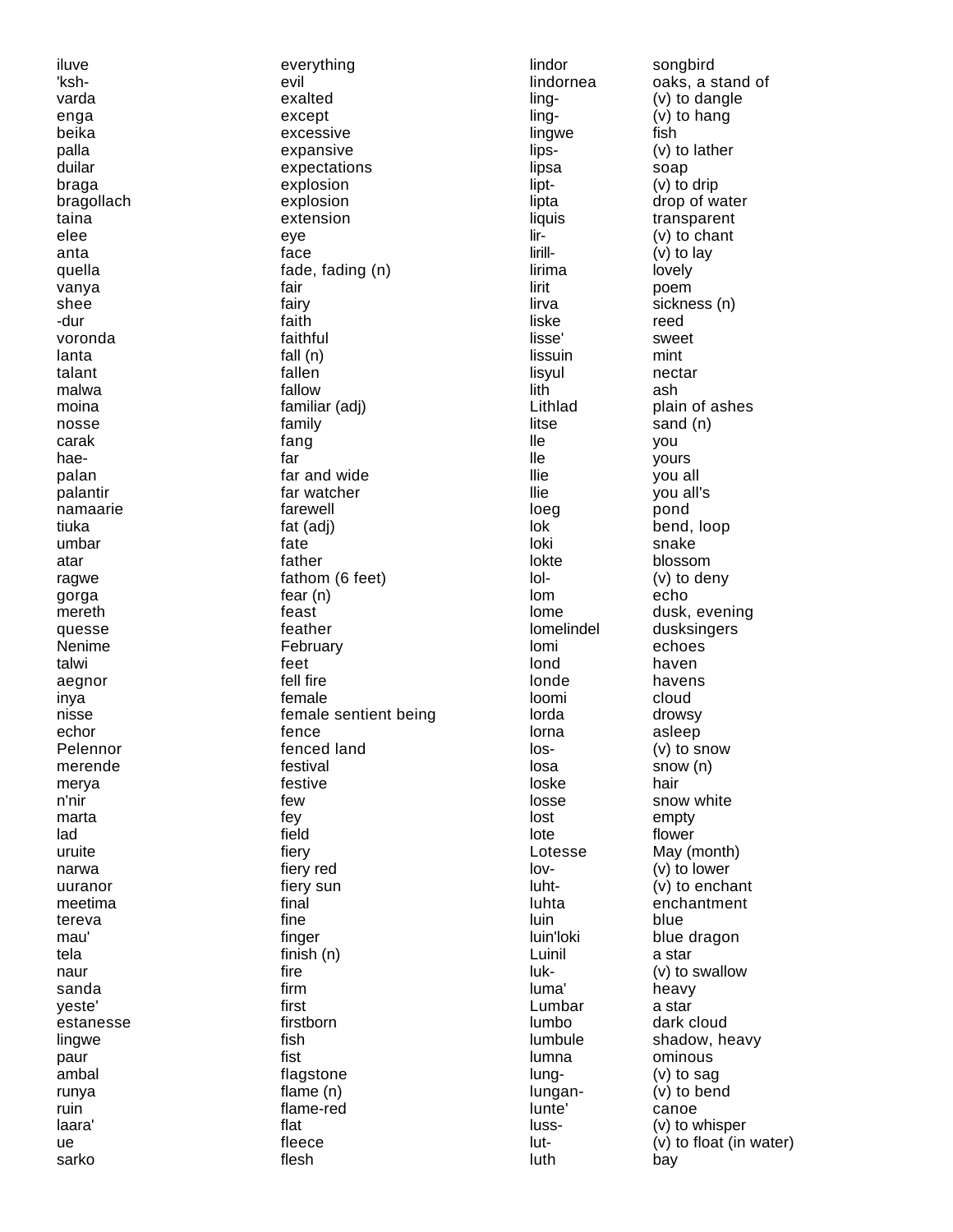'ksh- evil lindornea oaks, a stand of varda exalted example in the state of the control of the example of the example of the ling-  $\mathbf{v}$  (v) to dangle enga except except ling- (v) to hang beika excessive lingwe fish palla expansive expansive lips- (v) to lather duilar expectations and duilar soap braga explosion lipt- (v) to drip bragollach explosion explosion lipta drop of water taina extension extension liquis transparent elee elee eye eye lir- (v) to chant anta (v) to chant anta (v) to chant face that the eye in the lirill- (v) to lay anta face lirill- (v) to lay quella **fade**, fading (n) lirima lovely lovely vanya fair lirit poem shee fairy fairy shee shee sickness (n) -dur faith liske reed voronda faithful lisse' sweet lanta fall (n) lissuin mint talant fallen lisyul nectar malwa fallow lith ash moina **familiar (adj) Research Lithlad** plain of ashes nosse family litse sand (n) carak fang lle you hae- haddoor far later that the second terms of the second terms of the second terms of the second terms of th palan far and wide a lie wou all wou all be a large wide to the wou all wou all wou all wou all wou all wou all palantir far watcher llie you all's namaarie kommen in die farewell loeg bond begin het die gebou op die gewond van die gebou op die gewond van di tiuka fat (adj) lok bend, loop bend, loop umbar fate loki snake atar lokte blossom father lokte blossom blossom ragwe fathom (6 feet) lol- lol- (v) to deny gorga fear (n) lom echo mereth feast feast lome dusk, evening quesse extending the feather the control of the lomelindel dusksingers Nenime February lomi echoes talwi feet lond haven aegnor fell fire londe havens inya female loomi cloud nisse **industrial of the female sentient being** lorda drowsy echor fence lorna asleep Pelennor **Felennor** fenced land **reduced lost by the lost development of the lost v** (v) to snow merende **reduced by the feature of the feature of the feature of the feature of the feature of the feature of the feature of** merende festival losa snow (n) merya festive loske hair n'nir **n'nir** few source the snow white snow white the snow white snow white the snow white marta fey lost empty lad **field** field **field hold hold hold hold hold hold hold hold hold hold hold hold hold hold hold hold hold hold hold hold hold hold hold hold h** uruite **the interval of the fiery** fiery the context Lotesse May (month) narwa and the state of the state of the fiery red to reduce the lov- (v) to lower uuranor and fiery sun to the luht- (v) to enchant meetima final final intervention of the final term of the luhta enchantment tereva fine luin blue mau' blue dragon inger luin'loki blue dragon tela finish (n) Luinil a star naur fire fire luk- luk- (v) to swallow sanda firm luma' heavy yeste' first Lumbar a star estanesse **firstborn** firstborn **hetale firstborn** lumbo dark cloud lingwe **fish** fish the lumbule shadow, heavy heavy heavy heavy heavy the shadow, heavy paur fist lumna ominous ambal flagstone lung- (v) to sag runya **flame** (n) lungan- (v) to bend ruin flame-red lunte' canoe canoe laara' luss- (v) to whisper ue fleece fleed that is the flut- (v) to float (in water) sarko flesh luth bay

iluve everything indor songbird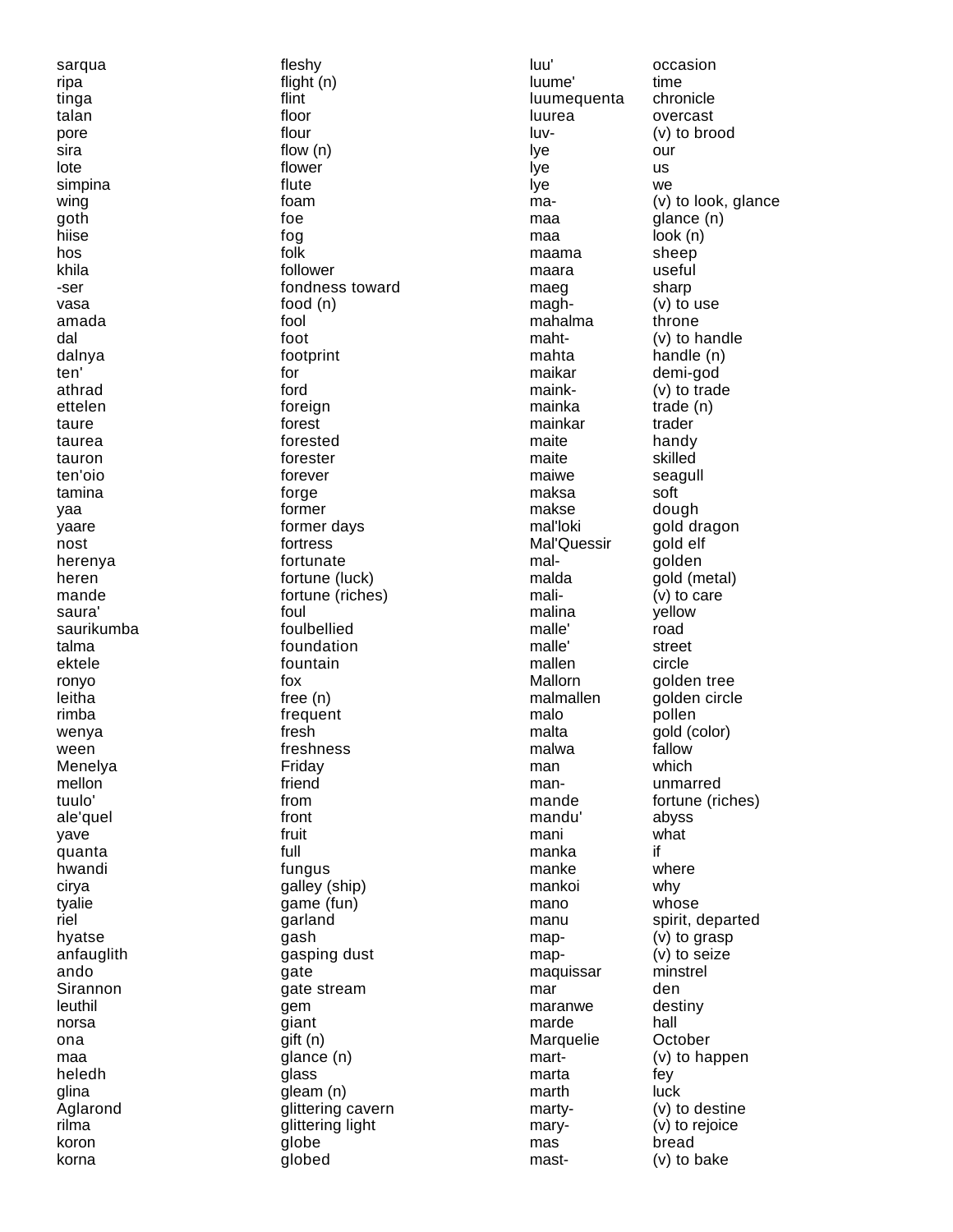korna globed mast- (v) to bake

sarqua fleshy luu' occasion ripa flight (n) luume' time tinga flint flint luumequenta chronicle talan floor luurea overcast pore flour flour that the luv- that the brood sira flow (n) lye our lote lote that is defined to the flower that the lye that  $\sim$  lye that  $\sim$ simpina flute lye we wing the foam the foam that the ma- (v) to look, glance goth foe foe maa glance (n) hiise fog fog maa look (n) hiise fog maa hos folk folk maama sheep khila follower follower and maara useful maara the man -ser fondness toward maeg sharp vasa food (n) magh- (v) to use amada fool fool amahalma throne dal dat to the foot that maht- (v) to handle dalnya footprint mahta handle (n) ten' for maikar demi-god athrad ford maink- (v) to trade ettelen mainka trade (n) foreign mainka trade (n) taure **forest** mainkar trader taurea forested maite handy tauron the skilled state of the second forester the mail of the skilled skilled ten'oio forever maiwe seagull tamina forge maksa soft yaa former makse dough yaare **former days** mal'loki gold dragon nost and the fortress the Mal'Quessir gold elf herenya fortunate mal- golden heren fortune (luck) malda gold (metal) mande **fortune** (riches) mali- (v) to care saura' foul malina yellow saurikumba foulbellied malle' road talma foundation malle' street ektele fountain mallen circle ronyo fox Mallorn golden tree leitha free (n) malmallen golden circle rimba frequent malo pollen wenya **fresh** malta gold (color) malta gold (color) ween freshness malwa fallow Menelya Friday man which mellon friend friend man- unmarred mantuulo' from mande fortune (riches) ale'quel front mandu' abyss yave fruit mani what quanta full manka if hwandi fungus manke where cirya galley (ship) mankoi why tyalie game (fun) mano whose riel and manu spirit, departed manual manu spirit, departed hyatse **gash** gash map- (v) to grasp anfauglith gasping dust map- (v) to seize ando **gate** gate maquissar minstrel Sirannon gate stream mar den leuthil and the second gem and the maranwe destiny norsa giant marde hall ona and gift (n) and Marquelie October maa glance (n) mart- (v) to happen heledh glass marta fey glina gleam (n) marth luck Aglarond and glittering cavern marty- (v) to destine rilma glittering light mary- (v) to rejoice koron globe mas bread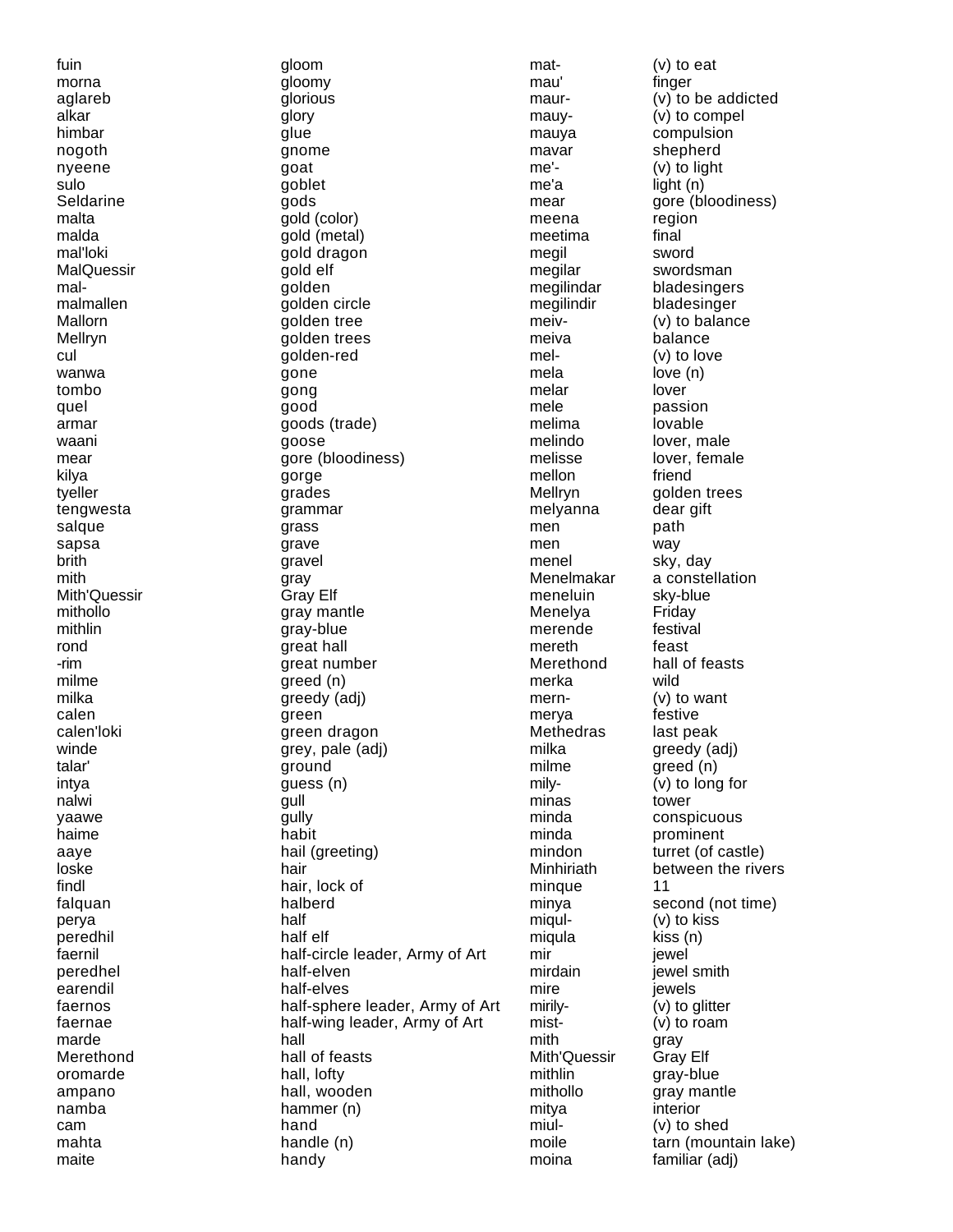maite handy handy moina familiar (adj)

fuin gloom mat- (v) to eat morna gloomy mau' finger aglareb glorious maur- (v) to be addicted alkar glory glory mauy- (v) to compel himbar glue glue mauya compulsion nogoth gnome mavar shepherd nyeene goat me'- (v) to light sulo goblet me'a light (n) Seldarine and gods gods mear gore (bloodiness) malta and gold (color) meena region malda **gold (metal)** meetima final mal'loki gold dragon megil sword MalQuessir gold elf megilar swordsman mal- golden megilindar bladesingers malmallen golden circle megilindir bladesinger Mallorn and the metal of the metal of the meiv- (v) to balance Mellryn golden trees meiva balance cul golden-red mel- (v) to love wanwa gone mela love (n) tombo gong melar lover quel good mele passion armar goods (trade) melima lovable waani waani goose waani melindo lover, male mear and gore (bloodiness) mear and melisse lover, female kilya gorge mellon friend tyeller **grades** grades Mellryn golden trees tengwesta grammar melyanna dear gift salque grass men path sapsa grave men way brith gravel menel sky, day mith gray gray and Menelmakar a constellation Mith'Quessir **Gray Elf** meneluin sky-blue meneluin sky-blue mithollo **gray mantle** and Menelya Friday mithlin **gray-blue** merende festival merende festival rond **great hall** mereth feast -rim example are of the contract number and the Merethond hall of feasts milme greed (n) merka wild milka greedy (adj) mern- (v) to want calen and green the merya festive calen'loki green dragon Methedras last peak winde grey, pale (adj) milka greedy (adj) milka greedy (adj) talar' ground milme greed (n) intya guess (n) mily- (v) to long for nalwi gull minas tower yaawe van dully quarter of the conspicuous van dully conspicuous minda haime habit minda prominent aaye **hail (greeting)** mindon turret (of castle) loske hair hair Minhiriath between the rivers findl **hair, lock of minque** 11 falquan halberd minya second (not time) perya half miqul- (v) to kiss peredhil half elf miqula kiss (n) faernil half-circle leader, Army of Art mir iewel peredhel half-elven mirdain jewel smith earendil half-elves mire jewels faernos half-sphere leader, Army of Art mirily- (v) to glitter faernae half-wing leader, Army of Art mist- (v) to roam marde hall marde hall mith gray Merethond hall of feasts Mith'Quessir Gray Elf oromarde hall, lofty mithlin gray-blue ampano **hall, wooden** mithollo gray mantle namba hammer (n) mitya interior cam hand miul- (v) to shed mahta handle (n) moile tarn (mountain lake) moile tarn (mountain lake)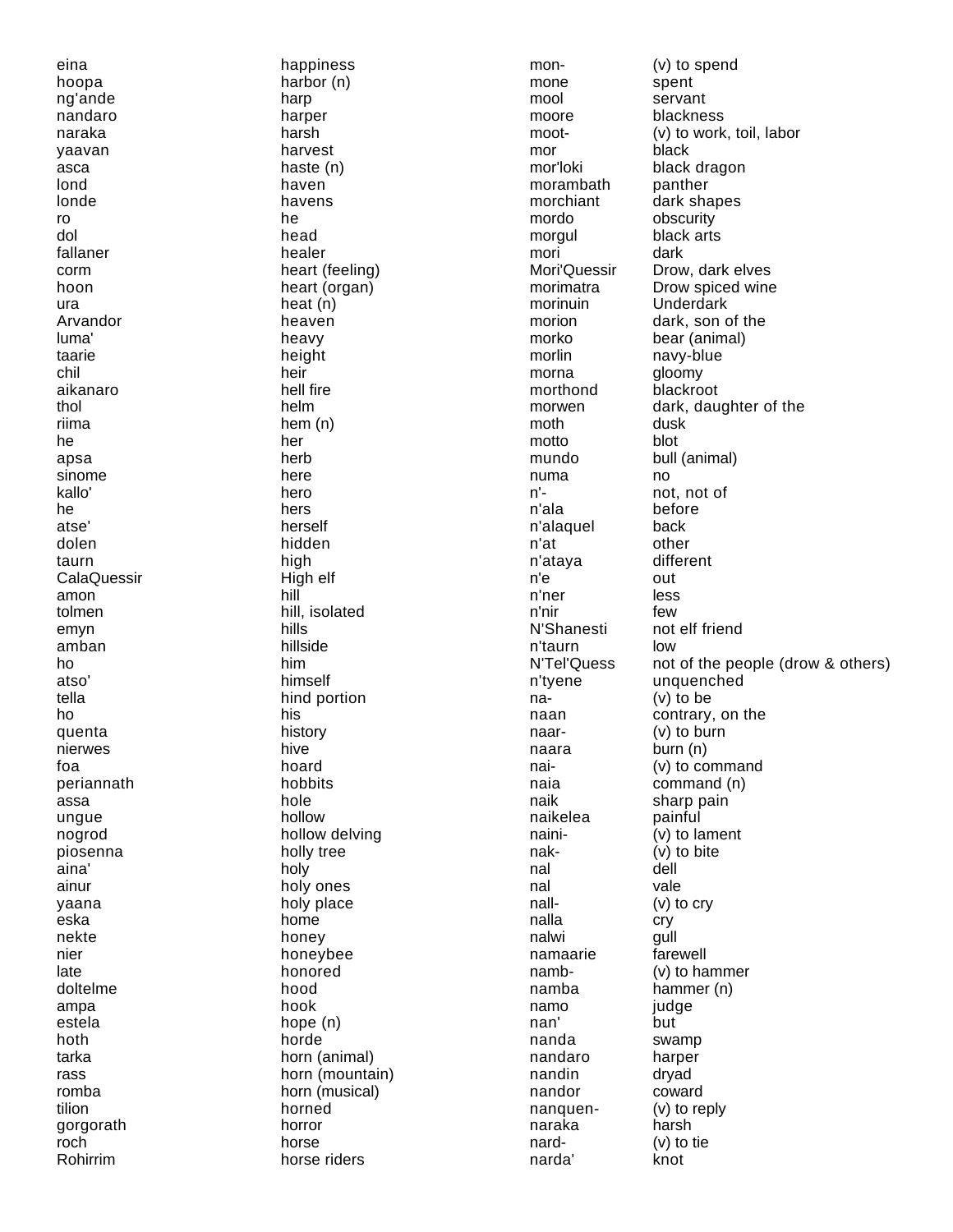eina happiness mon- (v) to spend hoopa harbor (n) mone spent ng'ande harp mool servant nandaro harper moore blackness yaavan harvest mor black asca haste (n) mor'loki black dragon lond haven morambath panther londe havens havens morchiant dark shapes ro he he mordo obscurity he mordo obscurity dol head morgul black arts fallaner healer mori dark corm heart (feeling) Mori'Quessir Drow, dark elves ura heat (n) morinuin Underdark eta baiara eta arrana herri dura beratu zen baiar beratu zen baiar d Arvandor **heaven** morion dark, son of the heaven luma' heavy heavy morko bear (animal) taarie height morlin navy-blue chil heir heir morna gloomy being heir morna gloomy aikanaro hell fire morthond blackroot riima hem (n) moth dusk he her motto blot apsa herb mundo bull (animal) sinome here here numa no kallo' hero n'- not, not of he hers hers hers n'ala before atse' herself is a same of the set of the set of the set of the back of the back dolen hidden hidden hidden hidden hidden har other taurn high high n'ataya different CalaQuessir **High elf** High elf n'e out amon hill hill n'ner less tolmen hill, isolated n'nir few emyn **hills** hills **hills** N'Shanesti not elf friend amban hillside hillside n'taurn low atso' himself n'tyene unquenched tella hind portion https://www.felland.com/inductory/inductory/inductory/inductory/inductory/inductory/inductor ho his his naan contrary, on the hotel with the hotel with the hotel with the hotel with the hotel with the ho quenta history history history naar- (v) to burn nierwes hive hive hive naara burn (n) foa hoard nai- (v) to command periannath hobbits hobbits naia command (n) assa hole naik sharp pain ungue hollow naikelea painful nogrod hollow delving naini- (v) to lament piosenna holly tree nak- (v) to bite aina' holy nal dell ainur holy ones nal vale yaana holy place nall- (v) to cry eska home home nalla cry nekte honey nalwi gull nier honeybee namaarie farewell honeybee honeybee namaarie farewell late honored namb- (v) to hammer doltelme hood namba hammer (n) ampa hook hook namo judge estela hope (n) nan' but hoth horde nanda swamp tarka horn (animal) horn (animal) horn handaro harper rass and the mountain horn (mountain) and the mandin dryad romba horn (musical) nandor coward coward tilion thorned horned horned horned nanquen- (v) to reply gorgorath **horror** horror **naraka** harsh roch horse horse horse nard- (v) to tie Rohirrim **horse riders** horse riders horse narda' knot

naraka harsh harsh moot- (v) to work, toil, labor hoon heart (organ) morimatra Drow spiced wine thol helm helm helm morwen dark, daughter of the ho ho him him him N'Tel'Quess not of the people (drow & others)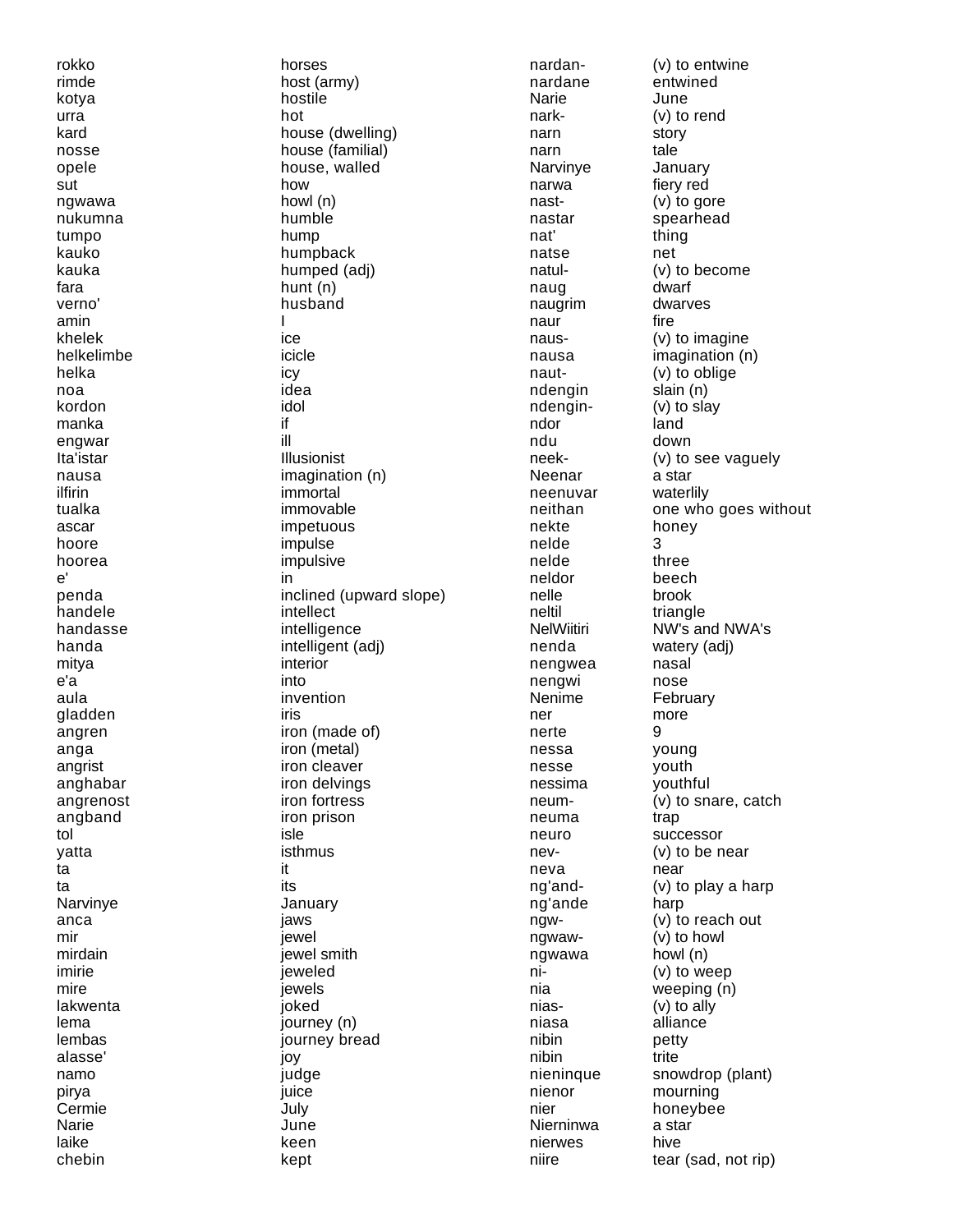rokko horses horses horses nardan- (v) to entwine rimde entwined host (army) nardane entwined kotya hostile Narie June urra hot nark- (v) to rend kard house (dwelling) and house the story of the story story nosse house (familial) narn tale opele house, walled Narvinye January sut how how how harwa fiery red ngwawa howl (n) nast- (v) to gore nukumna humble humble nastar spearhead tumpo hump nat' thing kauko humpback natse net kauka humped (adj) humped (adj) humbed (adj humbed (adj humbed to hatul- (v) to become fara hunt (n) naug dwarf verno' husband naugrim dwarves amin I naur fire khelek ice naus- (v) to imagine icicle intervalse in the nausa imagination (n) helka icy icy icy naut- (v) to oblige noa idea idea harra ndengin slain (n) noa kordon idol ndengin- (v) to slay manka if if and original motion of the manka in the motor of the motor of the motor  $\mathbf{I}$ engwar ill ndu down Ita'istar **Illusionist** Illusionist neek- (v) to see vaguely nausa imagination (n) intervention a star ilfirin immortal immortal information of the end of the materiily in the material of the interval of the inter tualka immovable immovable neithan one who goes without ascar impetuous impetuous honey honey hoore impulse impulse nelde hoorea impulsive nelde three e' in in in neldor beech penda inclined (upward slope) nelle brook handele intellect intellect neltil triangle handasse intelligence intelligence NelWiitiri NW's and NWA's handa intelligent (adj) nenda watery (adj) mitya interior interior nengwea nasal e'a into nengwi nose aula invention in the September of Nenime February entry the September of the Nenime in Te gladden iris ner more angren iron (made of) angren interte anga iron (metal) nessa young young angrist in the cleaver in the control of the control of the control of the control of the control of the control of the control of the control of the control of the control of the control of the control of the control of t anghabar iron delvings in the sessima youthful anghabar in the sessima wouthful angrenost iron fortress neum- (v) to snare, catch iron prison iron prison neuma trap tol isle isle isle to the neuro successor successor isla yatta isthmus isthmus isthmus isthmus isthmus isthmus isthmobility in the near (v) to be near ta it is nevaluated to the control of the control of the control of the control of the control of the control o ta its its the ng'and- (v) to play a harp Narvinye January ng'ande harp anca jaws in the set of the set of the set of the set of the set of the set of the set of the set of the set o mir jewel ngwaw- (v) to howl mirdain jewel smith ngwawa howl (n) imirie imirie in the second variable value of the second value of the second value of the second value of the s mire interest in the second vertex is not in the mixture of the second vertex in the mixture of the mixture of the mixture of the mixture of the mixture of the mixture of the mixture of the mixture of the mixture of the mi lakwenta joked nias- (v) to ally lema iniana iourney (n) niasa alliance lembas in the perty perturbation of the petty in the petty of the perty of the perty of the perty of the perty alasse' joy nibin trite namo iudge is interestingue snowdrop (plant) pirya juice is in the mourning mourning to the mourning of the mourning of the mourning Cermie and July **Cermie and Struck and Struck and Struck** and Tuly and Tuly and Tuly and Tuly and Tuly and Tuly Narie 1986 in Suid-Africa de Marie 1996 et al. Nierninwa 1988 a star laike keen nierwes hive

3 9 chebin kept kept niire tear (sad, not rip)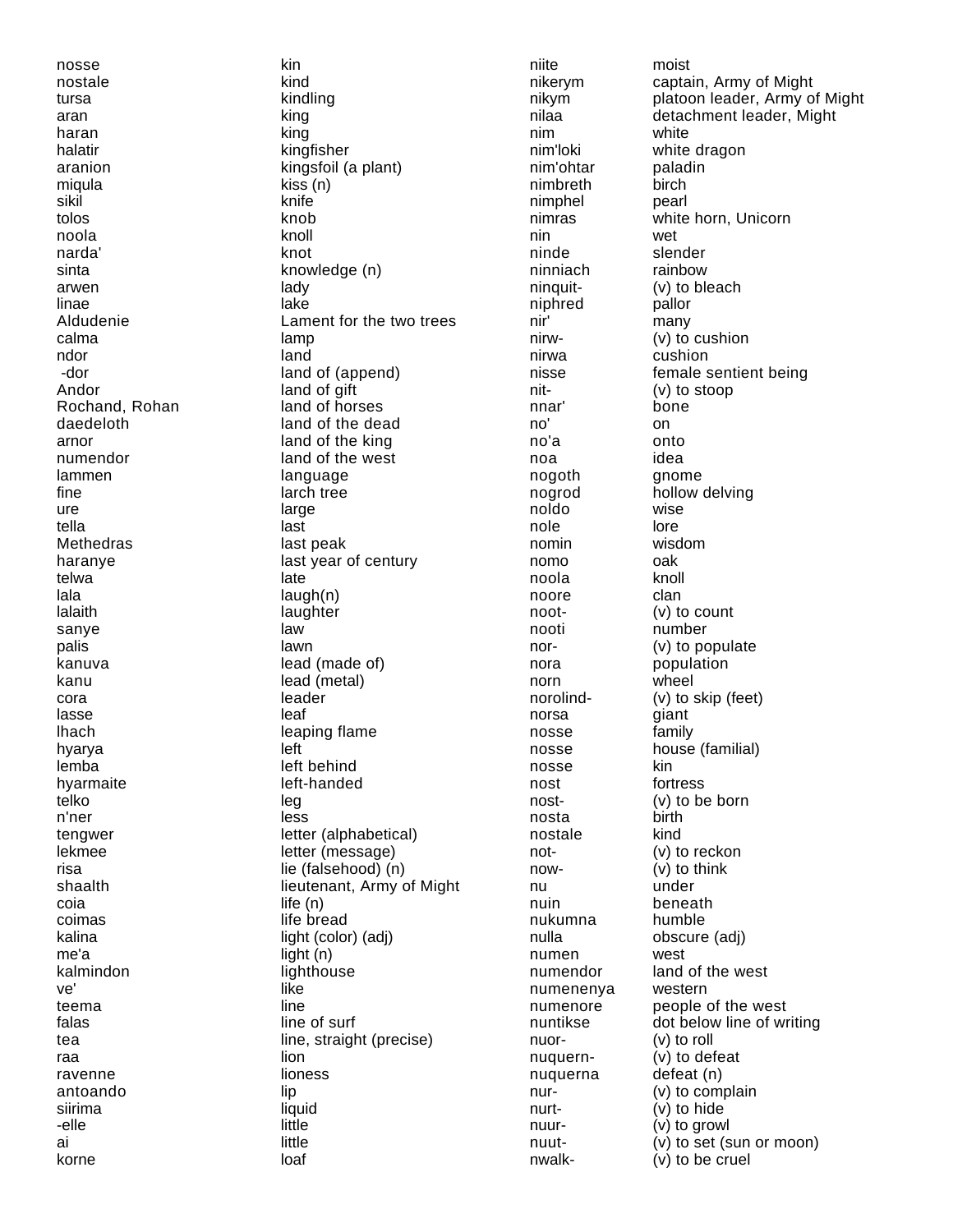nosse kin kin niite moist nostale kind kind his nikerym captain, Army of Might aran king nilaa detachment leader, Might haran king nim white halatir **halatir** kingfisher nim'loki white dragon aranion kingsfoil (a plant) nim'ohtar paladin miqula kiss (n) nimbreth birch sikil knife nimphel pearl tolos **knob** knob **nimras** white horn, Unicorn noola knoll nin wet narda' knot ninde slender sinta knowledge (n) a ninniach rainbow arwen and a lady and the control of the control of the control of the control of the control of the control of the control of the control of the control of the control of the control of the control of the control of the co linae lake lake niphred pallor Aldudenie Lament for the two trees nir' many calma and lamp lamp calma in the cushion of the cushion of the cushion calma in the cushion ndor land land nirwa cushion -dor land of (append) and sentient being in the land of (append) and sentient being Andor and and of gift and  $\lambda$  nit- (v) to stoop Rochand, Rohan **land of horses** nnar' bone daedeloth **land of the dead** no' on arnor and solution in the king and of the king in the motor of the term of the king of the motor of the motor numendor and and of the west and the moan idea lammen language language hogoth gnome fine larch tree nogrod hollow delving ure large large the moldo wise vise and the moldo wise of the moldo wise  $\mathbf{u}$ tella last nole lore Methedras and in the last peak nomin wisdom wisdom haranye last year of century nomo oak telwa late noola knoll lala laugh(n) noore clan lalaith laughter (v) to count sanye law law hooti number palis and in the lawn the lawn of the policy of the populate control of the populate point of the populate point of the populate  $\sim$  100 km s and  $\sim$  100 km s and  $\sim$  100 km s and  $\sim$  100 km s and  $\sim$  100 km s and  $\sim$ kanuva lead (made of) nora population hora population kanu metal lead (metal) norn wheel cora leader norolind- (v) to skip (feet) lasse leaf leaf norsa giant lhach **leaping flame** hosse family hyarya **left** left nosse house (familial) lemba 1999 left behind nosse kin hyarmaite **in the left-handed nost** fortress telko leg leg nost- (v) to be born n'ner less less birth birth birth and the less of the mostal birth birth birth and the birth  $\sim$ tengwer letter (alphabetical) nostale kind lekmee letter (message) hetter (message) hetter (v) to reckon risa lie (falsehood) (n) now- (v) to think shaalth **induced in the lieutenant, Army of Might** nu under coia life (n) coia life (n) coia life (n) coia life (n) coia life (n) coia life ( coimas life bread nukumna humble kalina light (color) (adj) nulla obscure (adj) me'a light (n) numen west kalmindon **induce** lighthouse **numendor** land of the west ve' like numenenya western teema line line is numenore people of the west falas and ine of surf in the nuntikse dot below line of writing tea line, straight (precise) nuor- (v) to roll raa lion lion het nuquern- (v) to defeat ravenne lioness lioness nuquerna defeat (n) antoando lip lip nur- (v) to complain siirima liquid nurt- (v) to hide -elle little nuur- (v) to growl ai little little hot muut- (v) to set (sun or moon) korne loaf loaf nwalk- (v) to be cruel

tursa kindling her nikym platoon leader, Army of Might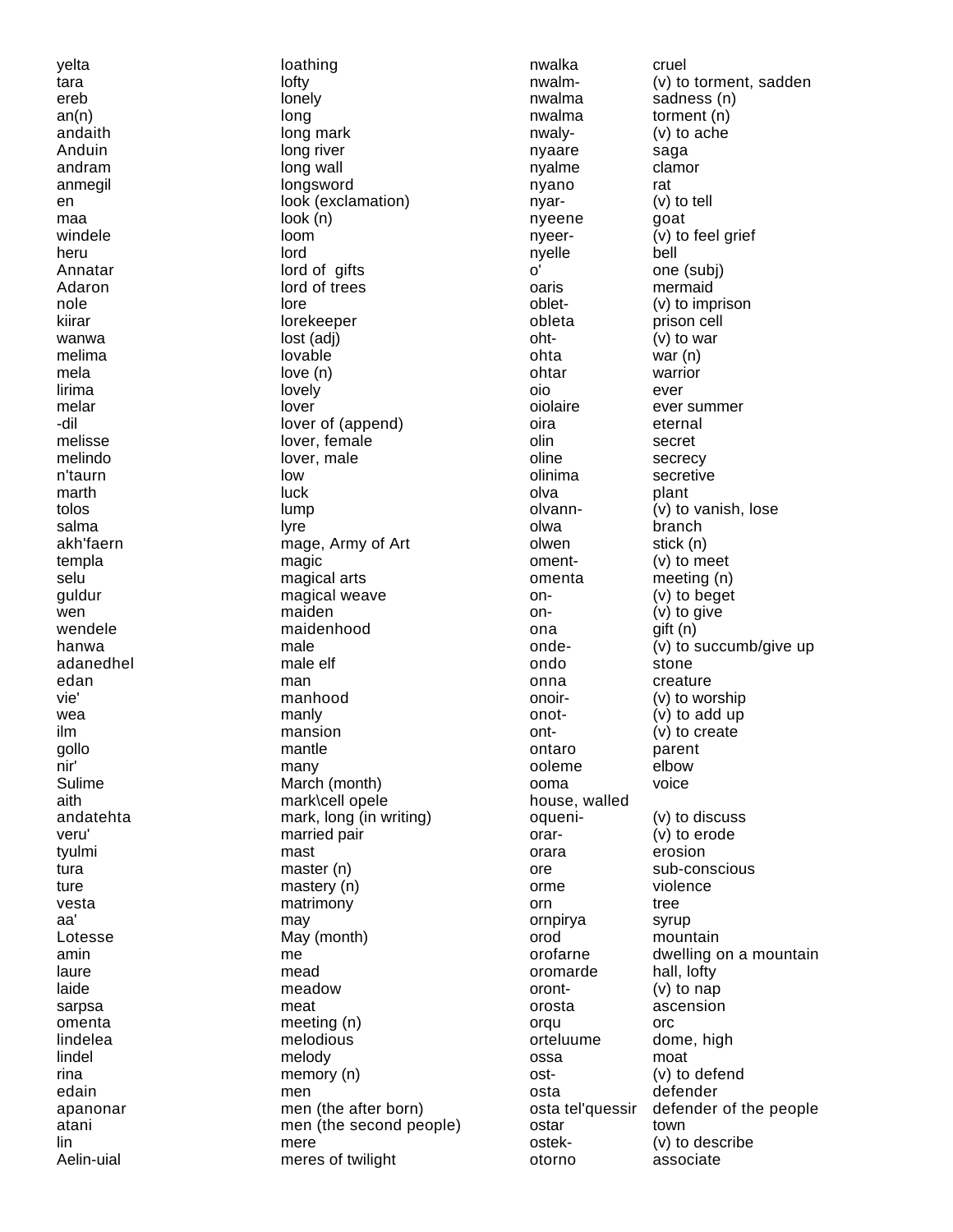Aelin-uial meres of twilight otorno associate of twilight other associate

tara lofty lofty is nwalm- (v) to torment, sadden ereb and invalued a lonely and the method of the sadness (n) and the sadness (n) an(n) long long nwalma torment (n) andaith long mark long mark nwaly- (v) to ache<br>Anduin long river long tree nyaare saga long river nyaare nyaare saga andram long wall nyalme clamor clamor clamor anmegil longsword announced nyano rat en and the look (exclamation) and the nyar- (v) to tell maa look (n) nyeene goat windele loom loom and the series of the loop windele loop in the loop of the local prior to the local value of the local value of the local value of the local value of the local value of the local value of the local value heru lord nyelle bell Annatar and lord of gifts of object one (subj) Adaron and lord of trees and coaris mermaid nole lore lore contract to the lore oblet- (v) to imprison kiirar lorekeeper bookeeper behalf obleta prison cell wanwa lost (adj) oht- (v) to war melima lovable ohta war (n) mela love (n) ohtar warrior lirima lovely oio ever melar and lover the colored colored metal metal ever summer -dil lover of (append) oira eternal melisse and lover, female olin secret in secret melindo lover, male contract oline secrecy n'taurn low olinima secretive marth luck olva plant tolos **lump** lump olvann- (v) to vanish, lose salma lyre olwa branch akh'faern mage, Army of Art olwen stick (n) templa magic oment- (v) to meet selu magical arts omenta meeting (n) guldur magical weave on- (v) to beget wen maiden maiden on- (v) to give wendele maidenhood ona gift (n) hanwa male onde- (v) to succumb/give up adanedhel male elf ondo stone edan man onna creature vie' manhood onoir- (v) to worship wea manly manives onot- (v) to add up ilm in mansion mansion ont- (v) to create gollo mantle ontaro parent nir' many ooleme elbow Sulime **March (month)** ooma voice aith mark\cell opele house, walled andatehta mark, long (in writing) oqueni- (v) to discuss on the mark, long (in writing) veru' veru in the married pair the contract or a contract the contract or the contract or the contract or the contract or the contract or the contract or the contract or the contract or the contract or the contract or the tyulmi mast orara erosion tura master (n) conservative conservative conservative conservative conservative conservative conservative conservative conservative conservative conservative conservative conservative conservative conservative conservativ ture mastery (n) orme violence vesta matrimony orn tree aa' may ornpirya syrup Lotesse **May (month)** orod mountain May (month) amin amin me orofarne dwelling on a mountain amin laure mead and the mead oromarde hall, lofty laide meadow oront- (v) to nap sarpsa meat orosta ascension omenta meeting (n) orgu orc lindelea melodious orteluume dome, high lindel melody ossa moat rina memory (n) ost- (v) to defend only to defend  $\alpha$ edain men osta defender apanonar men (the after born) osta tel'quessir defender of the people atani men (the second people) ostar town lin mere mere ostek- (v) to describe

yelta loathing nwalka cruel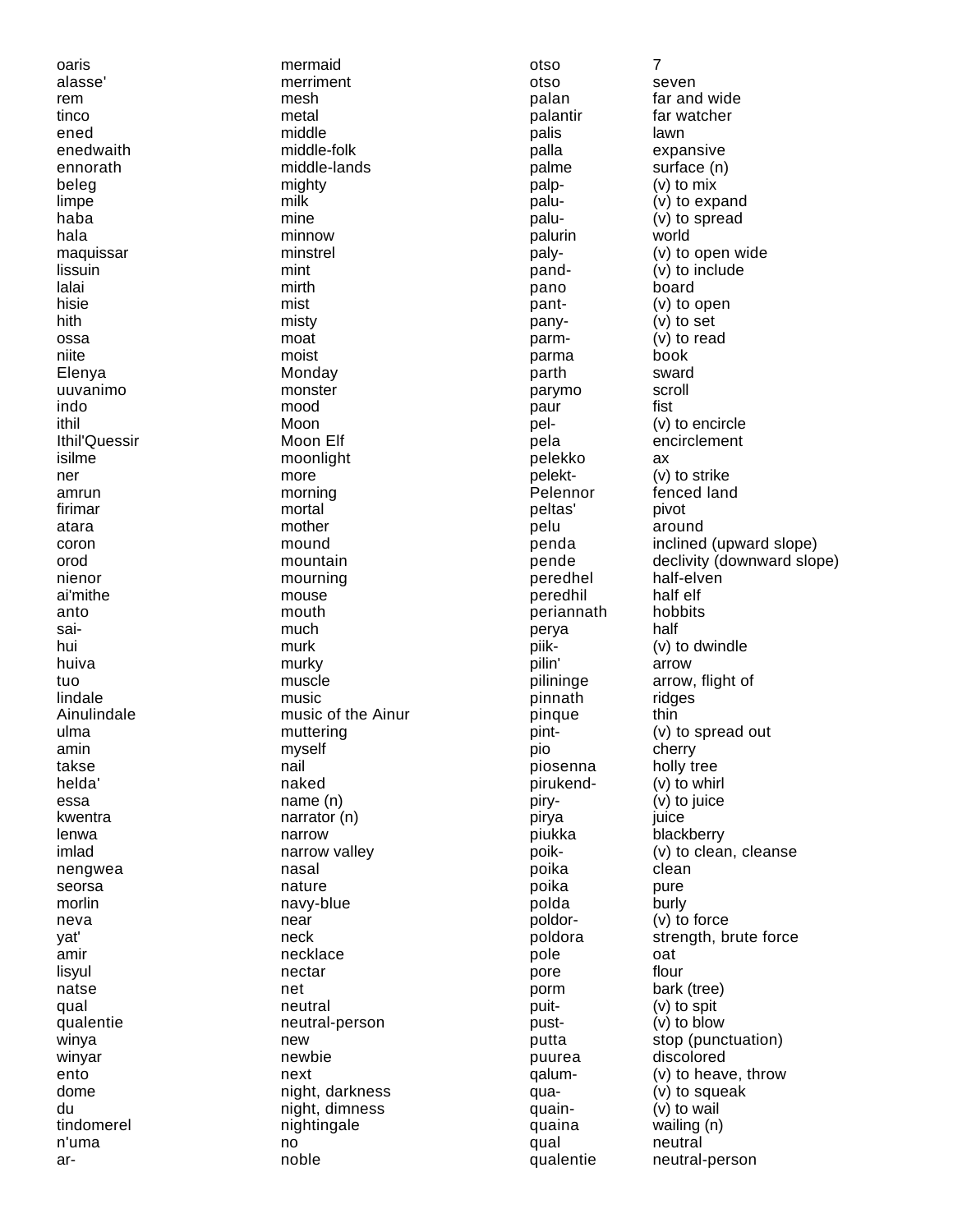ar- noble qualentie neutral-person

oaris mermaid otso alasse' merriment otso seven rem mesh palan far and wide tinco metal palantir far watcher ened middle palis lawn enedwaith middle-folk palla expansive ennorath middle-lands palme surface (n) beleg mighty palp- (v) to mix limpe milk milk palu- (v) to expand haba mine mine palu- (v) to spread hala minnow palurin world maquissar minstrel paly- (v) to open wide lissuin mint pand- (v) to include lalai mirth pano board hisie mist pant- (v) to open hith misty pany- (v) to set ossa **moat** parm- (v) to read parm- (v) to read niite moist parma book Elenya Monday parth sward uuvanimo monster parymo scroll indo mood paur fist ithil<br>
ithil Moon Moon Elf bel-<br>
Ithil'Quessir Moon Elf bela bela encirclement Ithil'Quessir **Moon Elf** pela encirclement isilme moonlight pelekko ax ner more more pelekt- (v) to strike amrun morning morning Pelennor fenced land firimar mortal peltas' pivot atara mother pelu around nienor mourning peredhel half-elven ai'mithe mouse peredhil half elf anto mouth periannath hobbits sai- much perya half hui murk murk piik- (v) to dwindle huiva murky pilin' arrow tuo muscle pilininge arrow, flight of lindale music pinnath ridges Ainulindale **music of the Ainur** pinque thin ulma muttering pint- (v) to spread out of the muttering pint- (v) to spread out amin myself pio cherry takse nail piosenna holly tree helda' naked pirukend- (v) to whirl essa name (n) piry- (v) to juice kwentra **narrator (n)** pirya pirya juice lenwa narrow piukka blackberry nengwea nasal poika clean seorsa nature poika pure morlin navy-blue polda burly neva near news near poldor- (v) to force amir necklace pole oat lisyul nectar pore flour heater and the pore flour natse net porm bark (tree) qual neutral puit- (v) to spit qualentie **neutral-person** pust- (v) to blow winya new putta stop (punctuation) winyar newbie puurea discolored ento **next** next and  $\alpha$  next  $\alpha$  and  $\alpha$  denote  $\alpha$  (v) to heave, throw dome night, darkness qua- (v) to squeak du night, dimness quain- (v) to wail tindomerel **nightingale** nightingale quaina wailing (n) n'uma no qual neutral

7 coron mound penda inclined (upward slope) orod mountain pende declivity (downward slope) imlad **narrow valley** narrow valley poik- (v) to clean, cleanse yat' by the neck poldora strength, brute force  $\mathbf{p}$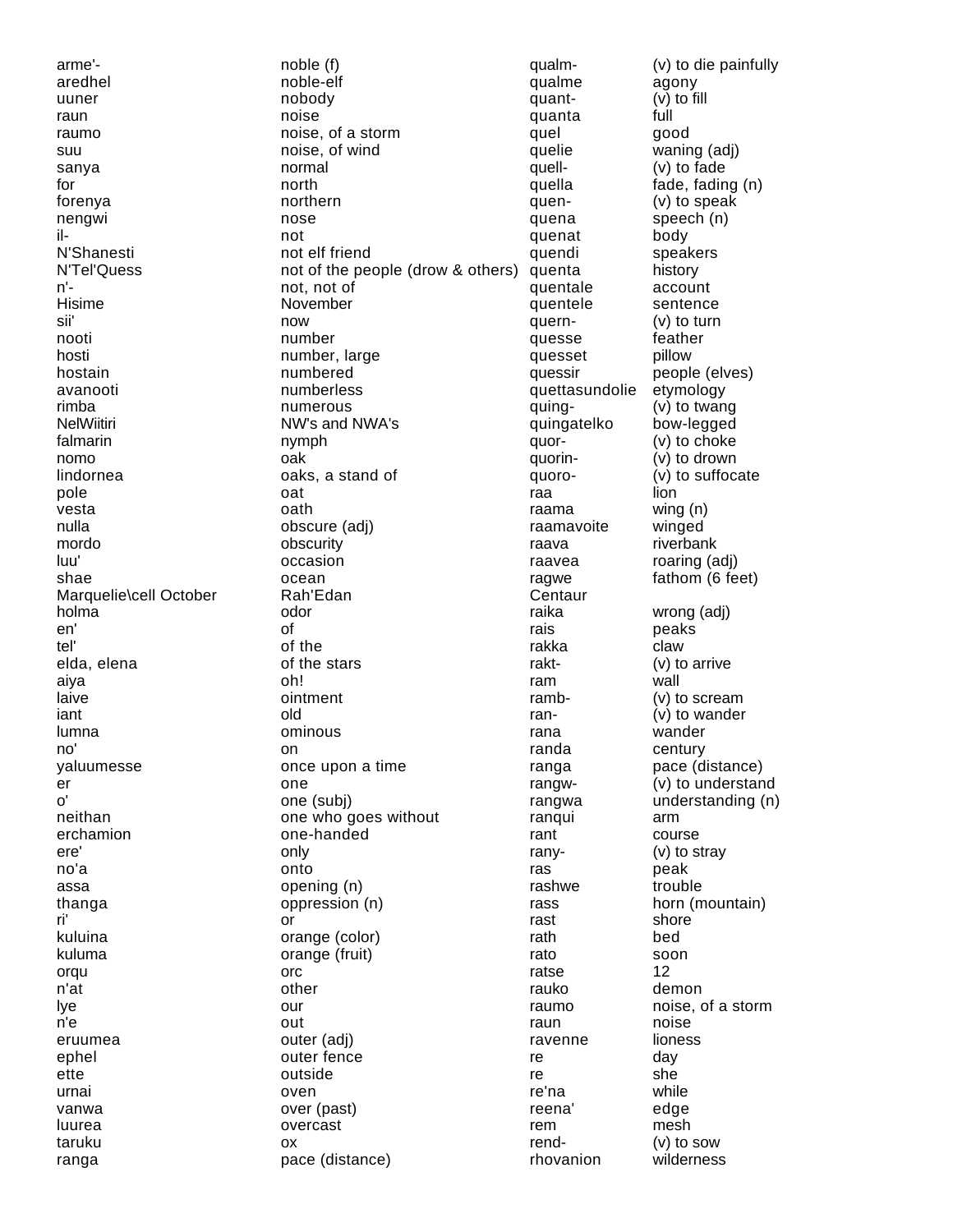arme'- noble (f) qualm- (v) to die painfully aredhel noble-elf qualme agony uuner nobody quant- (v) to fill raun and the contract of the contract of the contract of the contract of the contract of the contract of the c raumo moise, of a storm quel quel good suu compose, of wind quelie waning (adj) sanya normal quell- (v) to fade for the north north quella fade, fading (n) forenya **northern** northern quen- (v) to speak nengwi nose nose quena speech (n) il- https://www.file.com/induction-state-state-state-state-state-state-state-state-state-state-state-state-sta N'Shanesti **not elf friend** quendi speakers N'Tel'Quess hot of the people (drow & others) quenta history n'- he contract account of the contract of the contract of the contract of the contract account Hisime November quentele sentence sii' how how the state of the state of the state of the state of the state of the state of the state of the state of the state of the state of the state of the state of the state of the state of the state of the state of t nooti number quesse feather hosti **number, large** and the squesset pillow hostain **numbered** and **numbered** and **numbered hostain** people (elves) avanooti auxtrasundolie etymology numberless and the quettasundolie etymology rimba **numerous** numerous (v) to twang NelWiitiri **NW's and NWA's common and all and AWA's** quingatelko bow-legged falmarin and nymph quor- (v) to choke nomo oak quorin- (v) to drown lindornea oaks, a stand of quoro- (v) to suffocate pole of the oat raa lion lion in the lion of the original contract of the original contract of the original co vesta oath raama wing (n) nulla **obscure** (adj) raamavoite winged mordo obscurity raava riverbank luu' occasion raavea roaring (adj) shae **ocean** ocean comes a ragwe fathom (6 feet) Marquelie\cell October Rah'Edan Centaur holma odor raika wrong (adj) en' of rais peaks tel' of the rakka claw elda, elena of the stars rakt- (v) to arrive aiya oh! ram wall laive **only substitute of the contract of the contract of the contract of the contract of the contract of the contract of the contract of the contract of the contract of the contract of the contract of the contract of the** iant into the old contract of the old ran- (v) to wander lumna ominous rana wander no' on randa century yaluumesse once upon a time ranga pace (distance) er example the cone one rangw- (v) to understand  $($ v) to understand  $($ v $)$ o' one (subj) rangwa understanding (n) neithan **one who goes without** ranqui arm erchamion one-handed rant course rant course ere' only rany- (v) to stray no'a onto ras peak assa comencing (n) and the state of the state of the state of the state of the state of the state of the state thanga **oppression (n)** rass horn (mountain) ri' a shore that is not contained to the shore of the shore  $\mathsf{r}$  and  $\mathsf{r}$  and  $\mathsf{r}$  and  $\mathsf{r}$  and  $\mathsf{r}$  and  $\mathsf{r}$  and  $\mathsf{r}$  and  $\mathsf{r}$  and  $\mathsf{r}$  and  $\mathsf{r}$  and  $\mathsf{r}$  and  $\mathsf{r}$  and  $\mathsf{r$ kuluina **orange (color)** rath bed kuluma orange (fruit) rato soon orque and the orc ratio orc ratse the 12 n'at other rauko demon lye **the our raumo noise**, of a storm our raumo **noise**, of a storm n'e source out a control out and the moise of the moise of the moise of the moise of the moise of the moise of eruumea **outer (adj)** ravenne lioness ephel outer fence and re day ette outside re she urnai oven re'na while vanwa over (past) reena' edge luurea **overcast** rem mesh taruku ox rend- (v) to sow ranga **pace (distance)** rhovanion wilderness ranga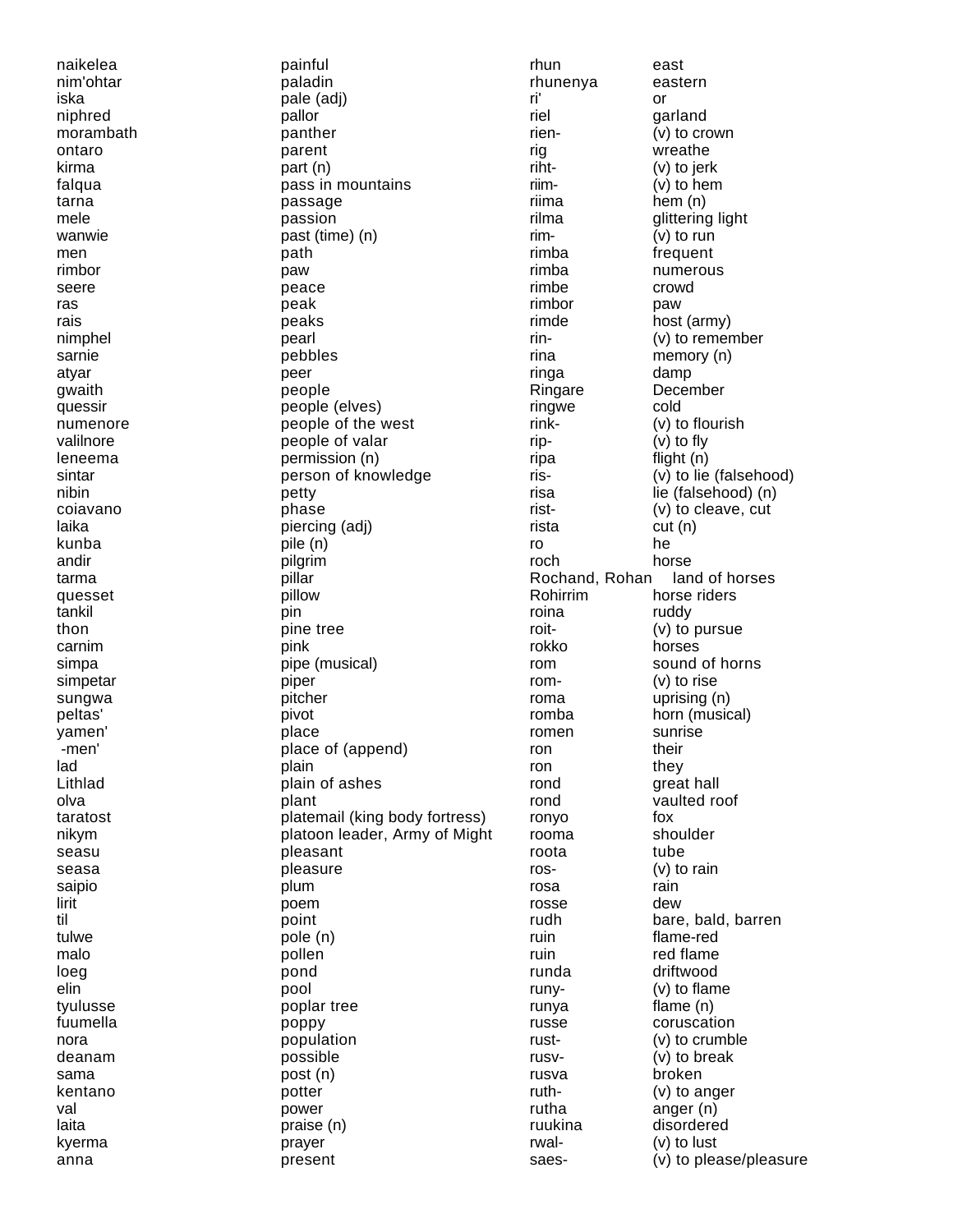naikelea painful rhun east nim'ohtar paladin rhunenya eastern iska pale (adj) ri' or niphred pallor riel garland morambath panther rien- (v) to crown ontaro parent rig wreathe kirma part (n) riht- (v) to jerk falqua example as pass in mountains the moment of the moment of the moment of the pass in mountains filmtarna passage riima hem (n) mele **passion** passion **rilma** glittering light wanwie past (time) (n) rim- (v) to run men path rimba frequent rimbor paw rimba numerous seere rimbe crowd peace the crowd peace of the crowd ras peak rimbor paw rais and the seates rimde host (army) rais rimde host (army) nimphel **pearl** pearl pearl **pearl** pearl **rin-** (v) to remember sarnie between pebbles rina memory (n) atyar peer ringa damp gwaith people Ringare December quessir and people (elves) and cold people (elves) and cold ringwe cold numenore **people of the west** rink- (v) to flourish valilnore **people of valar** rip- (v) to fly leneema **permission (n)** ripa flight (n) ripa flight (n) sintar example ris- person of knowledge ris- (v) to lie (falsehood) nibin **nibin** petty petty **risa** lie (falsehood) (n) coiavano phase phase rist- (v) to cleave, cut laika cut (n) piercing (adj) rista cut (n) kunba pile (n) ro he andir andir pilgrim borse by the matrix of the matrix of the matrix of the matrix of the matrix of the matrix o tarma **pillar** pillar **Rochand, Rochand, Rohan land of horses house pillar notational** quesset **pillow** pillow Rohirrim horse riders tankil pin roina ruddy thon the pine tree roit- (v) to pursue the roitcarnim pink pink borses horses simpa **pipe** (musical) rom sound of horns simpetar and piper rom- (v) to rise sungwa pitcher roma uprising (n) peltas' **providents** pivot peltas' pieses peltas' political points and providence peltas' points providents and p yamen' place romen sunrise -men' place of (append) ron their lad plain ron they Lithlad **plain of ashes** rond great hall olva plant rond vaulted roof taratost platemail (king body fortress) ronyo fox nikym platoon leader, Army of Might rooma shoulder seasu pleasant roota tube seasa pleasure ros- (v) to rain saipio plum rosa rain lirit poem rosse dew til point rudh bare, bald, barren tulwe pole (n) ruin flame-red malo pollen ruin red flame loeg pond runda driftwood elin pool runy- (v) to flame tyulusse **poplar tree** runya flame (n) fuumella poppy russe coruscation nora extendio population rust- (v) to crumble rustdeanam **possible** possible **rusy-** (v) to break sama post (n) rusva broken kentano potter potter ruth- (v) to anger val power rutha anger (n) laita praise (n) ruukina disordered kyerma prayer rwal- (v) to lust anna saes- (v) to please/pleasure samples are safes (v) to please/pleasure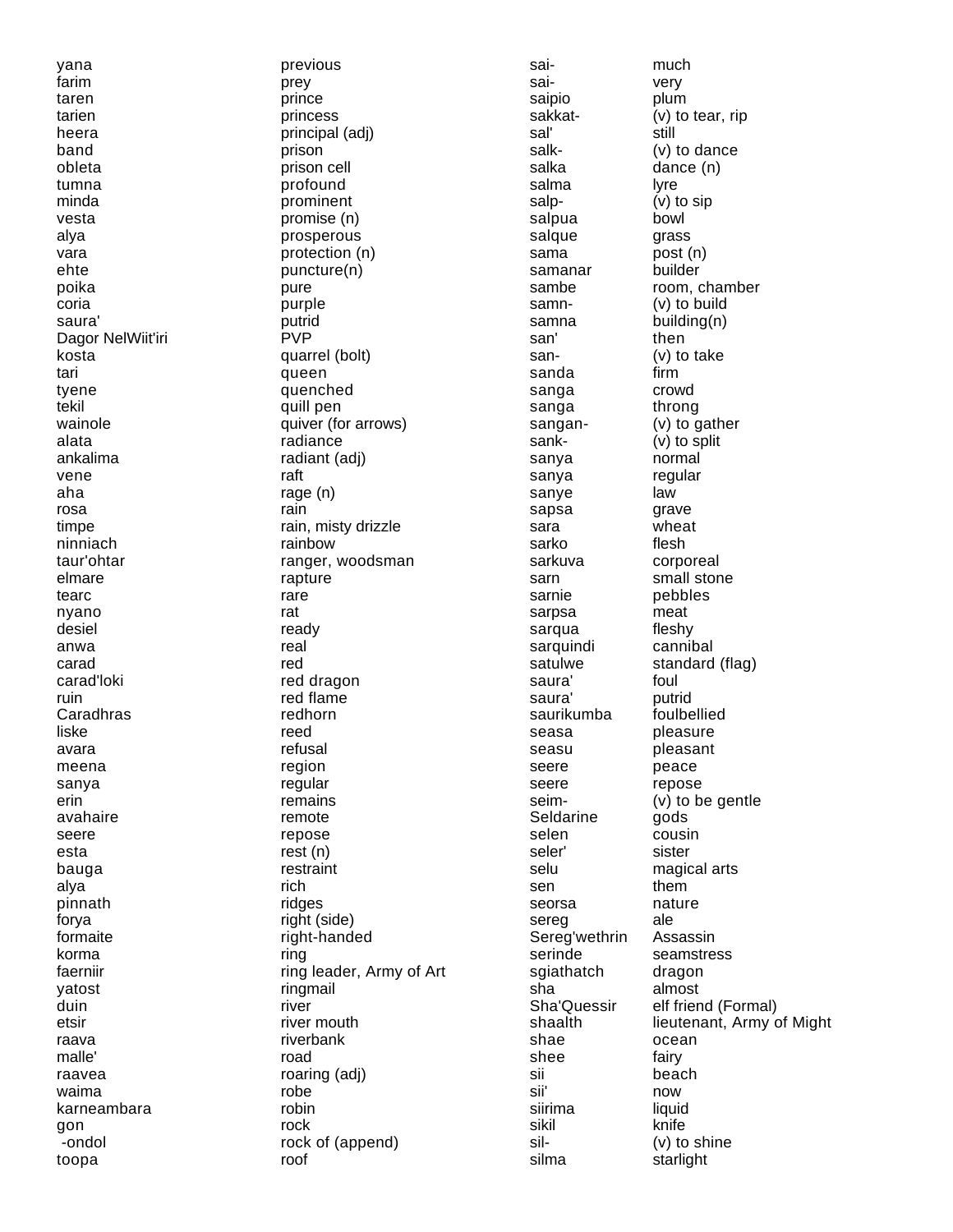toopa roof silma starlight

yana previous sai- much farim prey sai- very taren 1980 - India Prince eta erroria baina erago baina erroria baina erroria eta erroria erroria erroria erro tarien princess sakkat- (v) to tear, rip heera **principal (adj)** sal' still still beera still still beera still beera still still beera still still still band prison prison band (v) to dance obleta prison cell salka dance (n) tumna profound salma lyre minda prominent salp- (v) to sip vesta promise (n) salpua bowl alya prosperous salque grass vara vara protection (n) sama post (n) ehte **puncture(n)** samanar builder poika **pure** pure sambe room, chamber coria purple samn- (v) to build saura' building(n) putrid samma building(n) Dagor NelWiit'iri PVP san' then kosta san- (v) to take quarrel (bolt) san- (v) to take tari queen sanda firm tyene **the crowd** quenched the sanga crowd tekil quill pen sanga throng wainole **contact of the contract of the quiver (for arrows)** sangan- (v) to gather alata radiance sank- (v) to split ankalima **radiant (adj)** sanya normal vene raft sanya regular sanya regular aha rage (n) sanye law rosa rain sapsa grave timpe **rain, misty drizzle** sara wheat ninniach rainbow sarko flesh taur'ohtar mentang ranger, woodsman sarkuva corporeal elmare sarn small stone sarn small stone small stone tearc rare rare sarnie pebbles nyano rat sarpsa meat desiel ready sarqua fleshy anwa real sarquindi cannibal carad red red satulwe standard (flag) carad'loki **red dragon** saura' foul ruin saura' saura' putrid red flame saura' putrid Caradhras **redhorn** saurikumba foulbellied liske reed is not seasa pleasure avara refusal seasu pleasant meena region in the seere peace sanya regular seere repose repose erin remains remains seim- (v) to be gentle avahaire remote Seldarine gods seere repose in the selen cousin esta rest (n) seler' sister bauga **restraint** contract magical arts bauga restraint contract magical arts alya rich sen them them pinnath ridges seorsa nature forya right (side) sereg ale formaite right-handed Sereg'wethrin Assassin korma ring serinde seamstress faerniir ring leader, Army of Art sgiathatch dragon yatost ringmail sha almost almost ringmail sha almost sha duin by the state of the state of the state of the state of the state of the state of the state of the state of the state of the state of the state of the state of the state of the state of the state of the state of the st raava riverbank shae ocean malle' road shee fairy raavea **roaring (adj)** sii beach waima robe sii' now karneambara robin siirima liquid gon rock sikil knife -ondol rock of (append) sil- (v) to shine

etsir river mouth shaalth lieutenant, Army of Might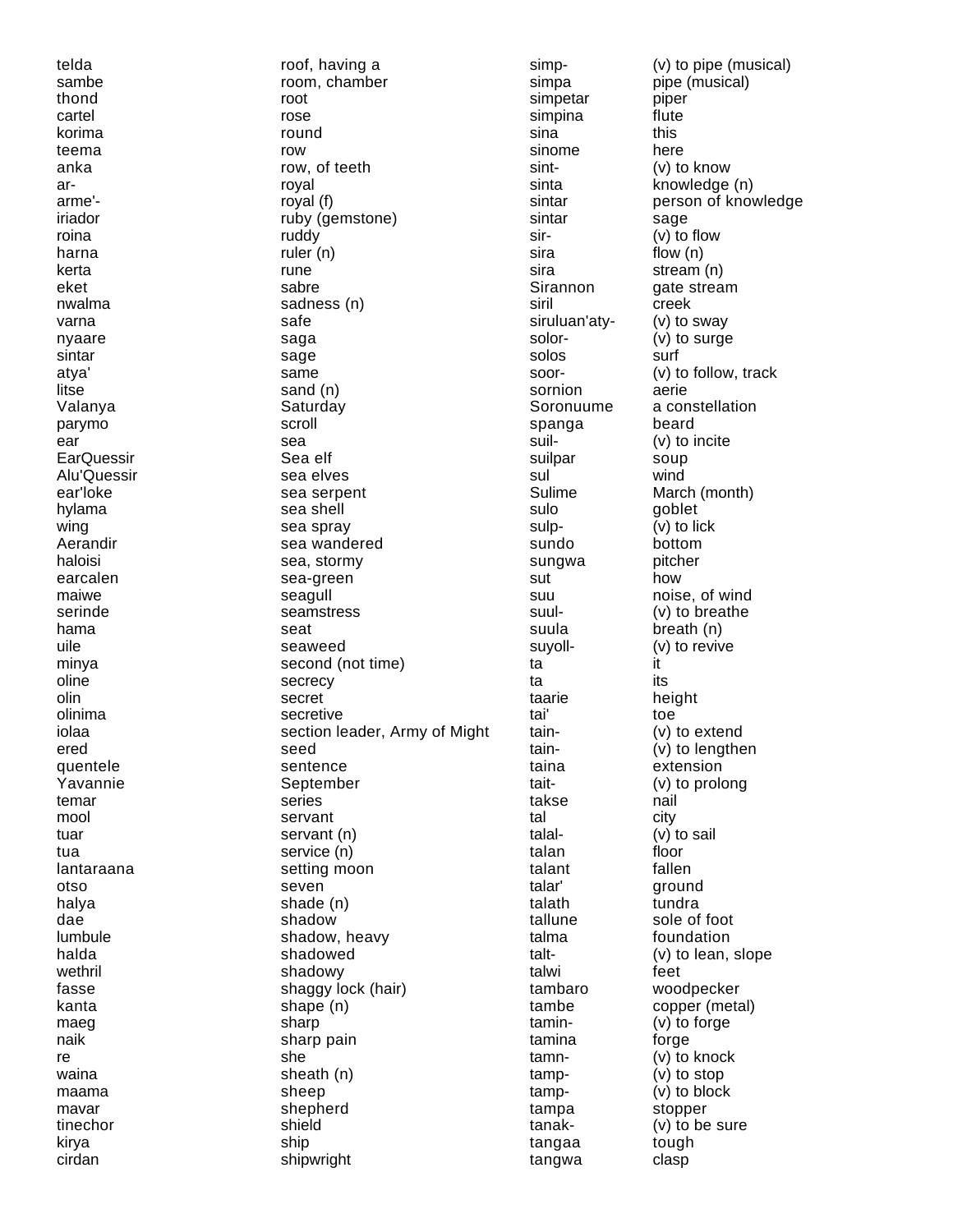cirdan shipwright tangwa clasp clasp

telda roof, having a simp- (v) to pipe (musical) sambe room, chamber simpa pipe (musical) thond **root** root **simpetar** piper cartel **rose** simpina flute korima round sina this teema row sinome here anka anka row, of teeth sint- (v) to know ar- ar- royal compared in the sinta knowledge (n) are sintal sintal compared in the sintal control of the sinta arme'- and royal (f) sintar person of knowledge sintar person of knowledge iriador **a contrary ruby (gemstone)** sintar sage roina ruddy sir- (v) to flow harna ruler (n) sira flow (n) kerta rune sira stream (n) eket sabre sabre Sirannon gate stream nwalma sadness (n) sadness (n) siril creek varna safe safe safe siruluan'aty- (v) to sway nyaare saga solor- (v) to surge sintar sage solos surf atya' same same soor- (v) to follow, track litse sand (n) sornion aerie Valanya Saturday Soronuume a constellation parymo scroll spanga beard ear ear suil- (v) to incite EarQuessir Sea elf suilpar soup Alu'Quessir sea elves sul wind ear'loke sea serpent Sulime March (month) hylama sea shell sulo goblet wing sea spray sulp- (v) to lick Aerandir sea wandered sundo bottom haloisi sea, stormy sungwa pitcher sungwa earcalen sea-green sut how bow sea-green sut how maiwe seagull suu noise, of wind serinde seamstress suul- (v) to breathe hama seat seat suula breath (n) uile seaweed suyoll- (v) to revive minya second (not time) ta it oline ta its secrecy that its secrecy that its secrecy is the secrecy of the secrecy of the secret its secret olin secret taarie height olin secret taarie height oline height taarie height oline height oline height oline olinima secretive tai' toe iolaa section leader, Army of Might tain- (v) to extend ered seed seed tain- (v) to lengthen quentele sentence taina extension Yavannie September tait- (v) to prolong temar series takse nail mool servant tal city tuar servant (n) talal- (v) to sail talal- (v) to sail tua service (n) talan floor lantaraana setting moon talant fallen otso seven talar' ground halya shade (n) talath tundra dae shadow shadow tallune sole of foot lumbule shadow, heavy talma foundation halda shadowed talt- (v) to lean, slope wethril shadowy talwi feet talwi feet fasse shaggy lock (hair) tambaro woodpecker kanta shape (n) tambe copper (metal) maeg sharp sharp tamin- (v) to forge naik sharp pain tamina forge re she she tamn- (v) to knock waina  $\qquad \qquad$  sheath (n)  $\qquad \qquad$  tamp- (v) to stop maama sheep tamp- (v) to block mavar shepherd tampa stopper tinechor shield shield tanak- (v) to be sure kirya ship tangaa tough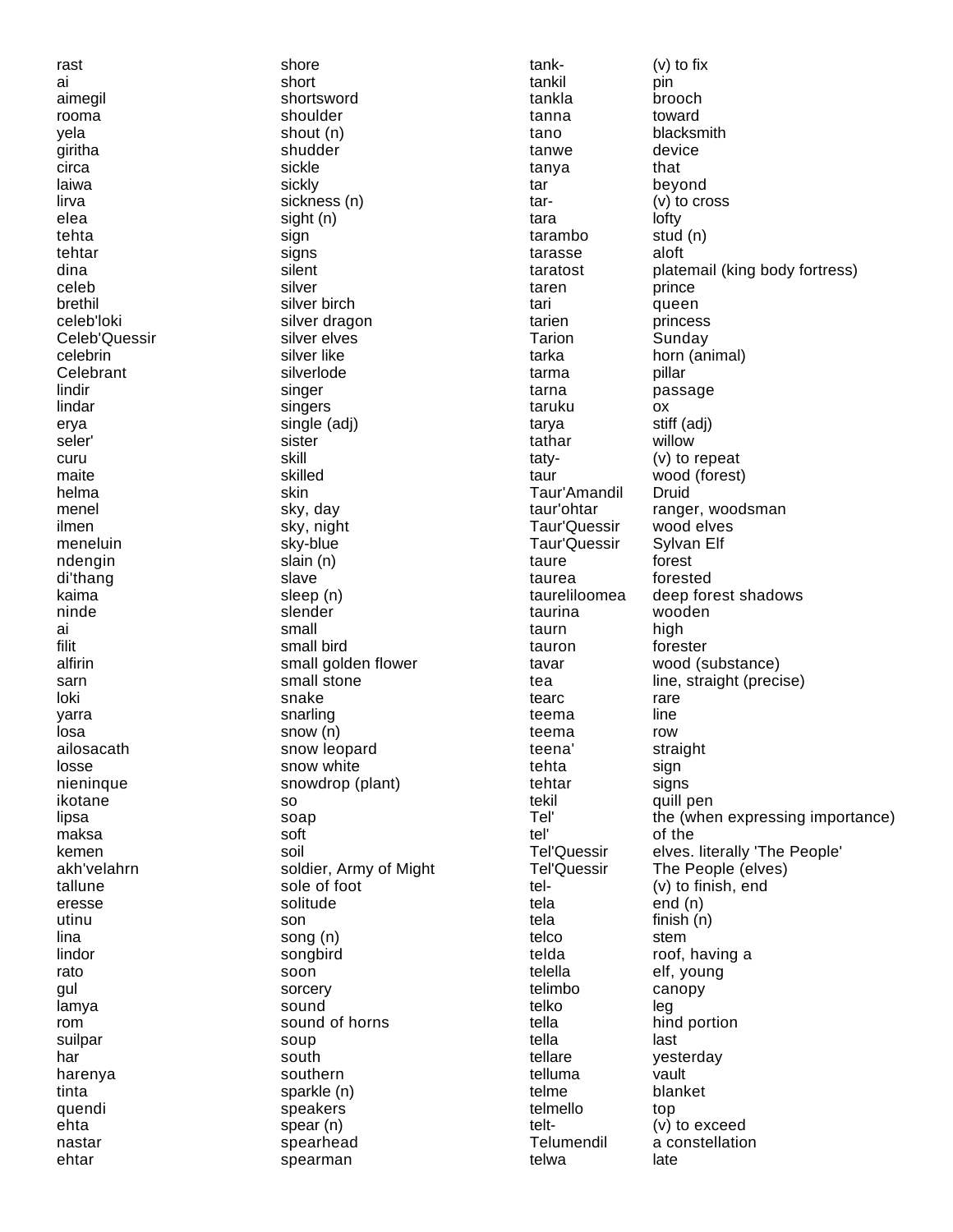ehtar spearman spearman telwa late

rast tank- (v) to fix tank- (v) to fix tank- (v) to fix tankai short tankil pin aimegil shortsword tankla brooch rooma shoulder tanna toward yela shout (n) tano blacksmith giritha shudder shudder tanwe device circa sickle tanya that laiwa sickly tar beyond lirva sickness (n) tar- (v) to cross (sexually sickness (n) tarelea sight (n) tara lofty tehta sign tarambo stud (n) tehtar signs tarasse aloft celeb silver silver taren prince brethil silver birch tari tari queen queen brethil tari queen queen tari queen queen tari queen queen queen que celeb'loki silver dragon tarien princess Celeb'Quessir **Sunday** silver elves Sunday Sunday celebrin silver like tarka horn (animal) Celebrant silverlode tarma pillar lindir singer tarna passage lindar singers taruku ox erya single (adj) tarya stiff (adj) seler' sister tathar willow tathar willow curu curu skill skill taty- (v) to repeat maite skilled skilled taur wood (forest) helma skin skin Shelmandil Druid belmandir Shelmandil Shelmandi menel sky, day taur'ohtar ranger, woodsman ilmen sky, night Taur'Quessir wood elves<br>Taur'Quessir Sylvan Elf (Sky-blue sky-blue Taur'Quessir Sylvan Elf meneluin sky-blue Sky-blue Taur'Quessir ndengin slain (n) taure forest di'thang slave taurea forested kaima sleep (n) taureliloomea deep forest shadows ninde slender taurina wooden slender taurina wooden ai small taurn high filit tauron the small bird tauron the small bird tauron the state of the state of the small bird tauron the s alfirin small golden flower tavar wood (substance) sarn small stone tea line, straight (precise) loki snake tearc rare yarra saarling teema line snarling teema line losa snow (n) teema row ailosacath snow leopard teena' straight losse snow white snow tehta sign nieninque snowdrop (plant) tehtar signs signs ikotane so so tekil quill pen  $m$ aksa soft tel' of the  $m$ soldier, Army of Might Tel'Quessir The People (elves) tallune sole of foot tel- (v) to finish, end eresse solitude tela end (n) utinu son tela finish (n) lina song (n) telco stem lindor songbird telda roof, having a lindor rato soon telella elf, young gul sorcery telimbo canopy sorcery telimbo canopy lamya sound telko leg rom sound of horns tella hind portion suilpar soup tella last har south tellare yesterday and the south tellare tellare yesterday harenya southern telluma vault tinta sparkle (n) telme blanket quendi speakers telmello top ehta spear (n) telt- (v) to exceed (n) that is not telt- (v) to exceed nastar spearhead Telumendil a constellation and the spearhead Telumendil a constellation

dina silent silent taratost platemail (king body fortress) lipsa soap Tel' the (when expressing importance) kemen soil soil soil Soil Supering Tel'Quessir elves literally 'The People'<br>Tel'Quessir The People (elves) soldier, Army of Might Tel'Quessir The People (elves)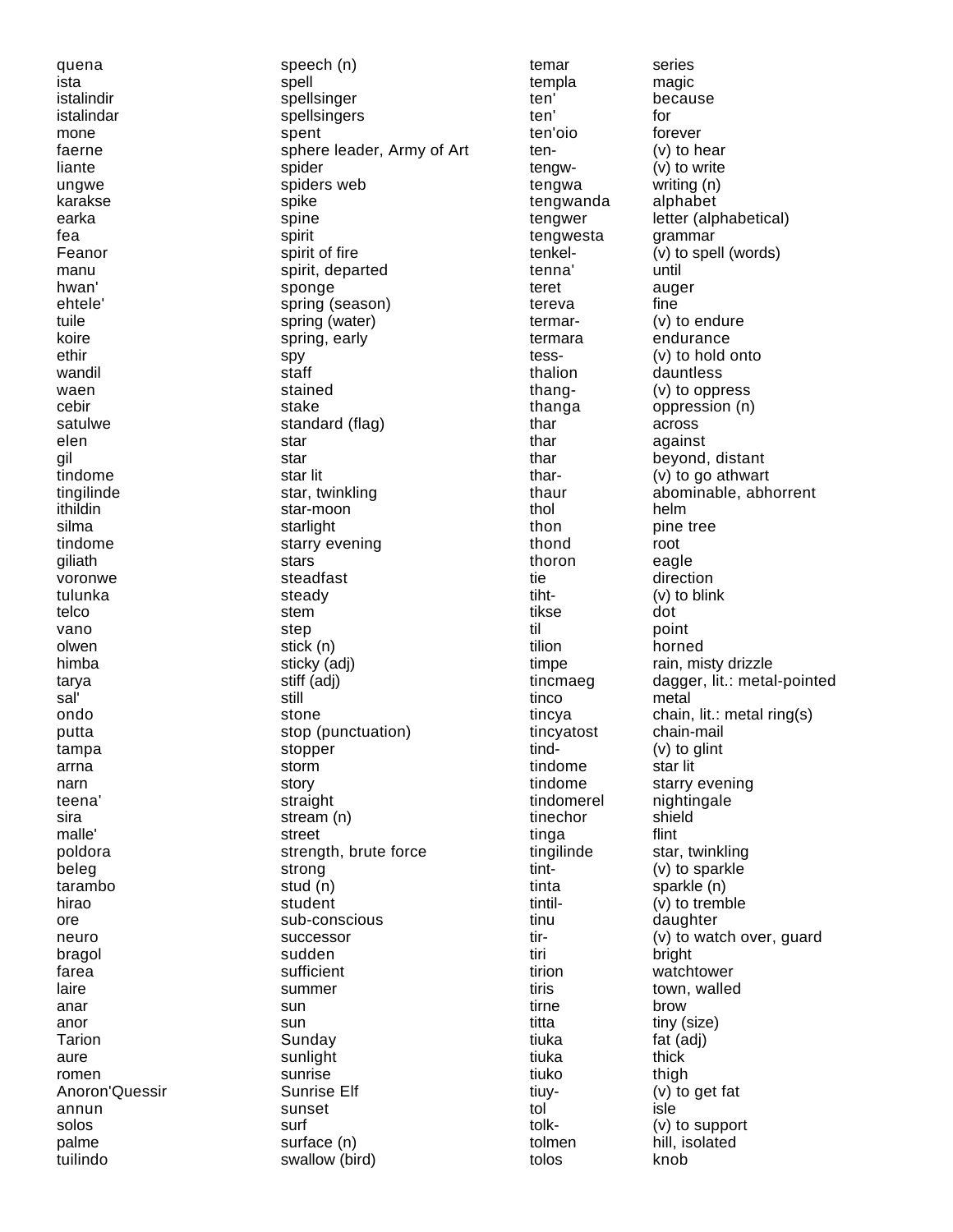quena speech (n) temar series ista spell spell templa magic istalindir spellsinger ten' because istalindar spellsingers ten' for mone spent ten'oio forever ten'oio forever ten'oio forever ten'oio forever ten'oi faerne sphere leader, Army of Art ten- (v) to hear tenliante the spider spider tengw- (v) to write ungwe spiders web tengwa writing (n) karakse spike spike tengwanda alphabet earka spine spine tengwer letter (alphabetical) fea spirit spirit tengwesta grammar Feanor spirit of fire tenkel- (v) to spell (words) manu spirit, departed tenna' until hwan' sponge teret auger auger teret auger ehtele' spring (season) tereva fine tuile spring (water) termar- (v) to endure koire spring, early termara endurance ethir spy spy spy tess- (v) to hold onto wandil staff thalion dauntless wandil thalion dauntless waen stained thang- (v) to oppress waen thang- (v) to oppress cebir stake thanga oppression (n) satulwe standard (flag) standard thar across elen star star thar against against thar against thar against qil star star thar beyond, distant thar beyond, distant tindome star lit that thar- (v) to go athwart thantingilinde star, twinkling thaur abominable, abhorrent ithildin star-moon thol helm silma starlight thon pine tree tindome starry evening thond root giliath stars thoron eagle voronwe steadfast tie direction tulunka steady tiht- (v) to blink telco stem stem tikse dot vano step step til point point til point til point til point til point til point til til point til til point t olwen stick (n) tilion horned stick (n) til tilion horned himba sticky (adj) sticky (metallicky timpe rain, misty drizzle sal' still tinco metal ondo stone tincya chain, lit.: metal ring(s) putta stop (punctuation) tincyatost chain-mail tampa stopper stopper tind- (v) to glint<br>
storm storm tindome star lit arrna storm storm storm tindome star lit narn story story story tindome starry evening teena' straight tindomerel nightingale sira stream (n) tinechor shield malle' street tinga flint poldora strength, brute force tingilinde star, twinkling beleg strong strong tint- (v) to sparkle tarambo stud (n) tinta sparkle (n) hirao student tintil- (v) to tremble ore sub-conscious tinu daughter daughter neuro successor successor the successor the successor the state over, guard bragol sudden tiri bright farea sufficient tirion watchtower laire summer tiris town, walled anar sun sun sun tirne brow anor titla tiny (size) sun sun titta tiny (size) Tarion Sunday tiuka fat (adj) aure sunlight tiuka thick thick romen sunrise tiuko thigh Anoron'Quessir **Sunrise Elf** Sunrise Film tiuy- (v) to get fat annun sunset tol isle solos surf surf tolk- (v) to support palme surface (n) tolmen hill, isolated tuilindo swallow (bird) tolos tolos

tarya stiff (adj) the stiff (adj) the stincmaeg dagger, lit.: metal-pointed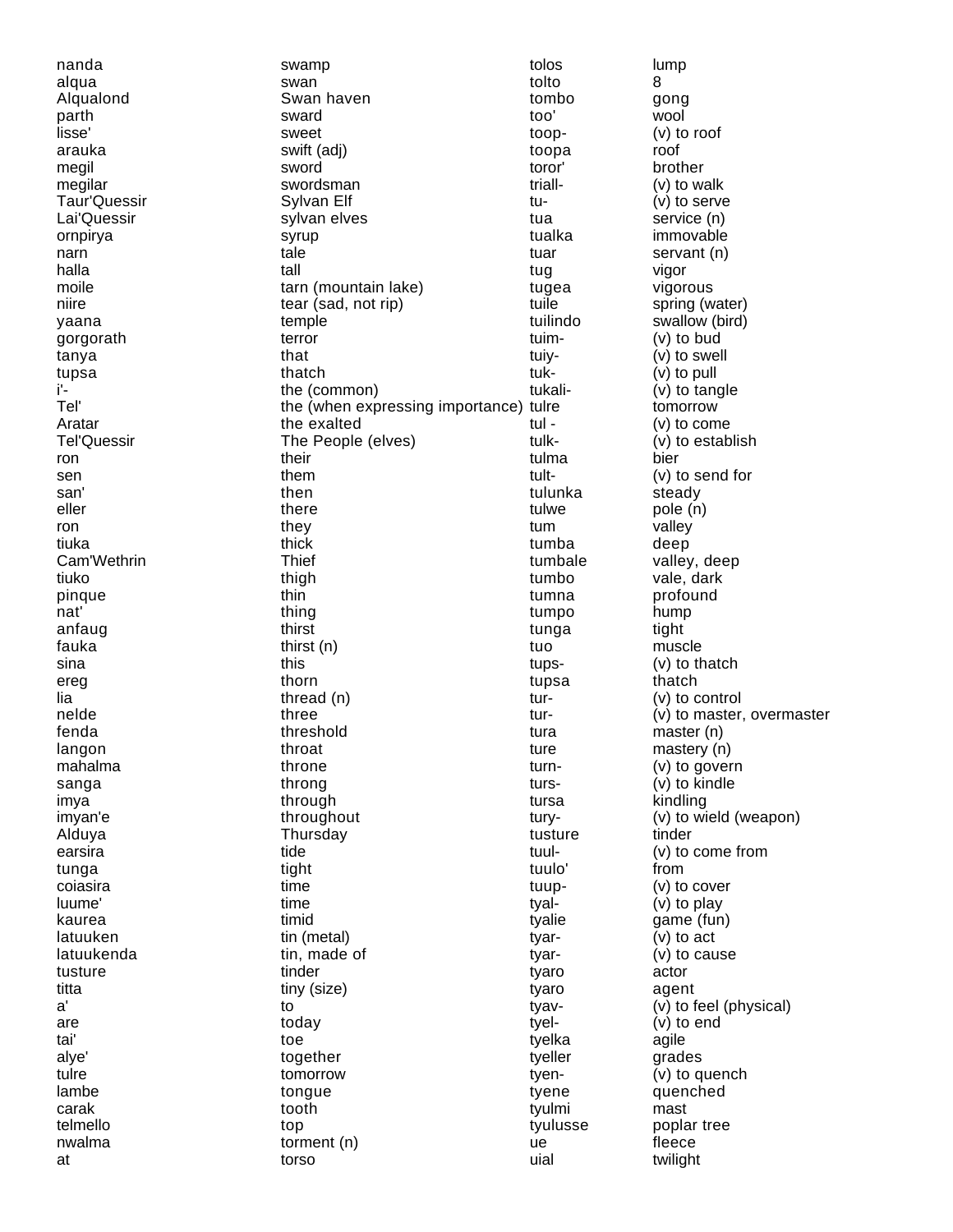nanda swamp tolos lump alqua swan tolto Alqualond Swan haven tombo gong parth sward too' wool lisse' sweet toop- (v) to roof arauka swift (adj) toopa roof megil sword toror' brother brother brother brother to the brother brother brother megilar swordsman triall- (v) to walk Taur'Quessir Sylvan Elf tu- tu- (v) to serve Lai'Quessir sylvan elves tua tua service (n) ornpirya syrup tualka immovable narn tale tale tale tuar servant (n) halla tall tug vigor moile tarn (mountain lake) tugea vigorous niire tear (sad, not rip) tuile tuile spring (water) yaana temple temple temple tuilindo swallow (bird) gorgorath terror tuim- (v) to bud tanya tanàna tanàna tanàna tamin'ny taona tanàna tanàna tanàna tanàna tanàna tanàna tamin'ny taona tamin'ny ta tupsa thatch tuk- (v) to pull tuk- (v) to pull tuki'- the (common) tukali- (v) to tangle Tel' the (when expressing importance) tulre tomorrow Aratar the exalted tul - (v) to come tul - (v) to come Tel'Quessir The People (elves) tulk- (v) to establish ron their tulma bier tulma bier tulma bier tulma bier tulma bier tulma bier tulma bier tulma bier tulma bier t sen them them tult- (v) to send for san' then tulunka steady then tulunka steady eller there there tulwe pole (n) ron they they they tum tum valley tiuka tumba thick tumba deep Cam'Wethrin Thief Thief tumbale valley, deep tiuko thigh tumbo vale, dark tumbo vale, dark pinque thin tumna profound nat' thing the state of tumpo tumpo hump anfaug thirst tunga tight tunga tight fauka thirst (n) tuo muscle sina this this tups- (v) to thatch ereg thorn tupsa thatch lia thread (n) thread thread the tur- (v) to control nelde tur- (v) to master, overmaster fenda threshold tura master (n) langon throat throat ture mastery (n) mahalma throne throne turn- (v) to govern sanga throng throng turs- (v) to kindle imya through through tursa kindling tursa kindling imyan'e throughout throughout tury- (v) to wield (weapon) Alduya Thursday tusture tinder earsira tide tuul- (v) to come from tunga tuulo' from tight tuulo' from coiasira time tuup- (v) to cover luume' time tyal- (v) to play kaurea timid timid tyalie game (fun) latuuken tin (metal) tyar- (v) to act latuukenda tin, made of tyar- (v) to cause tusture the tinder tyaro actor actor actor tyaro actor actor tyaro actor actor actor tyaro actor actor actor a titta tiny (size) tyaro agent a' to tyav- (v) to feel (physical) are the today that the tyel- (v) to end tai' toe toe tyelka agile alye' together tyeller grades tulre tomorrow tomorrow tyen- (v) to quench lambe tongue tongue the tyene quenched carak the caracter of the tooth the caracter of tyulmi mast telmello top top tyulusse poplar tree nwalma torment (n) ue the fleece at the contract of the contract of the contract of the contract of the contract of the contract of the contract

8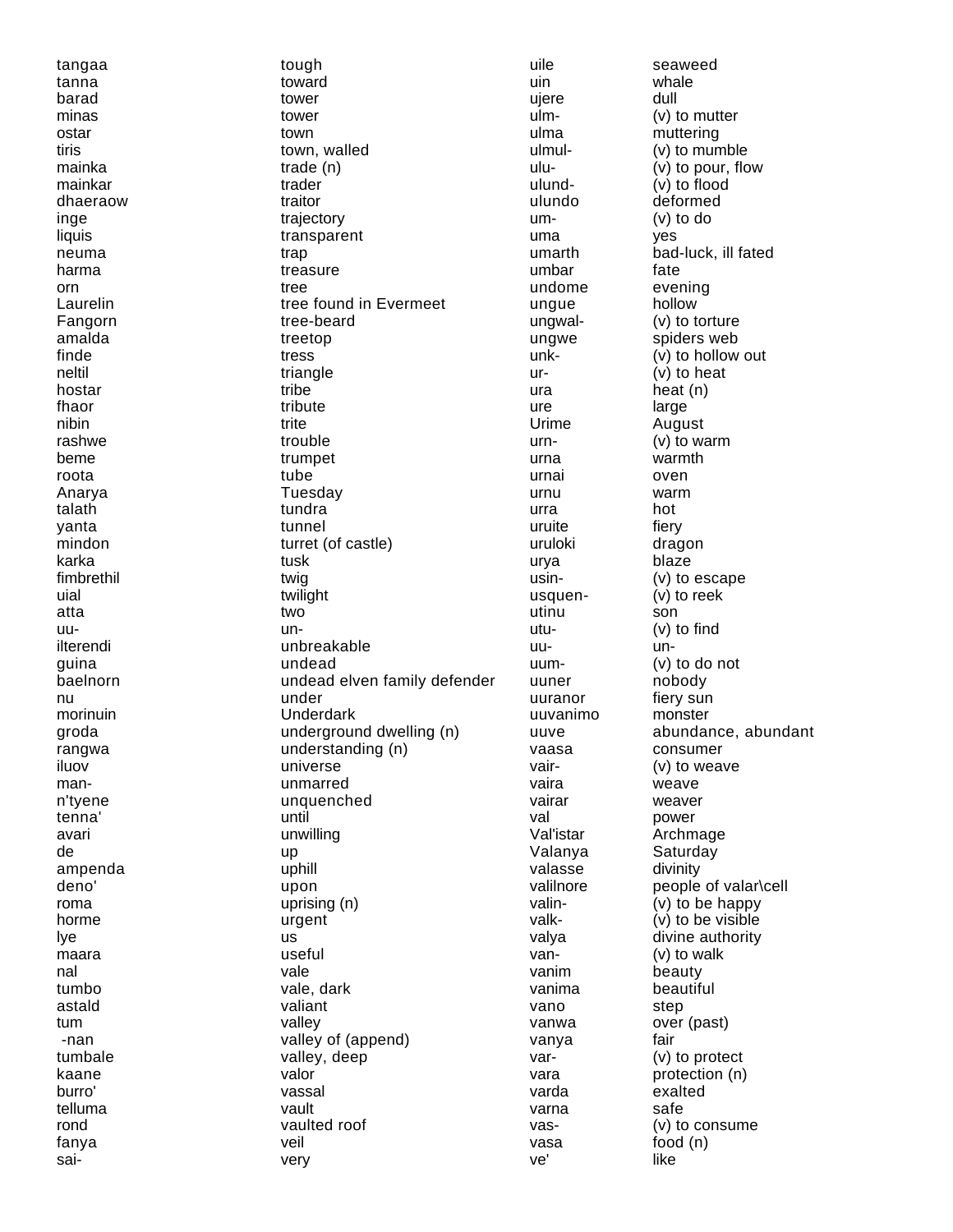sai- very ve' like

tangaa tough tough uile seaweed tanna tha toward toward the set of the set of the transition of the transition of the transition of the transi barad tower ujere dull minas tower tower ulm- (v) to mutter ostar town ulma muttering tiris town, walled ulmul- (v) to mumble mainka trade (n) trade (n) ulu- (v) to pour, flow mainkar trader ulund- (v) to flood dhaeraow traitor ulundo deformed inge trajectory um- (v) to do liquis transparent uma yes neuma trap trap trap trap umarth bad-luck, ill fated harma the second treasure treasure the second treasure that the second the matrix of  $\mathbf{a}$ orn tree tree undome evening Laurelin tree found in Evermeet unque hollow Fangorn tree-beard ungwal- (v) to torture amalda **treetop** ungwe spiders web finde tress tress that the unk- (v) to hollow out neltil triangle ur- (v) to heat hostar tribe tribe ura heat (n) fhaor tribute ure large nibin trite trite the Urime August August (1999), the Magust (1999), the Magust (1999), the Magust (1999), the rashwe trouble trouble trouble the urn- (v) to warm beme the trumpet of the trumpet of the trumpet of the trumpet of the urna  $\mu$  warmth beme trumpet urna warmth roota tube urnai oven Anarya Tuesday urnu warm talath tundra urra hot yanta tunnel uruite fiery fiery terms of the set of the set of the set of the set of the set of the set of the mindon turret (of castle) uruloki dragon karka tusk urya blaze fimbrethil twig twig usin- (v) to escape uial twilight usquen- (v) to reek atta two utinu son uu- un- utu- (v) to find ilterendi unbreakable uu- unguina undead uum- (v) to do not baelnorn undead elven family defender uuner nobody nu under uuranor fiery sun morinuin Underdark uuvanimo monster groda underground dwelling (n) uuve abundance, abundant rangwa understanding (n) vaasa consumer iluov universe vair- (v) to weave man- unmarred vaira weave n'tyene unquenched vairar weaver tenna' until val power avari unwilling Val'istar Archmage de up Valanya Saturday ampenda uphill valasse divinity deno' being upon valilnore people of valar\cell values of values and values of values of values of values of values of values of values of values of values of values of values of values of values of values of values of val roma valin- valin- valin- (v) to be happy valin- valin- (v) to be happy horme valley urgent valley valley valley valley valley valley with the visible lye valya divine authority us and the valya divine authority maara useful van- (v) to walk nal vale vanim beauty tumbo vale, dark vanima beautiful astald valiant vano step tum valley vanwa over (past) -nan valley of (append) vanya fair tumbale valley, deep var- (v) to protect valor valor vara vara protection (n) burro' vassal varda exalted telluma vault varna safe rond vaulted roof variance vas- (v) to consume fanya veil vasa food (n)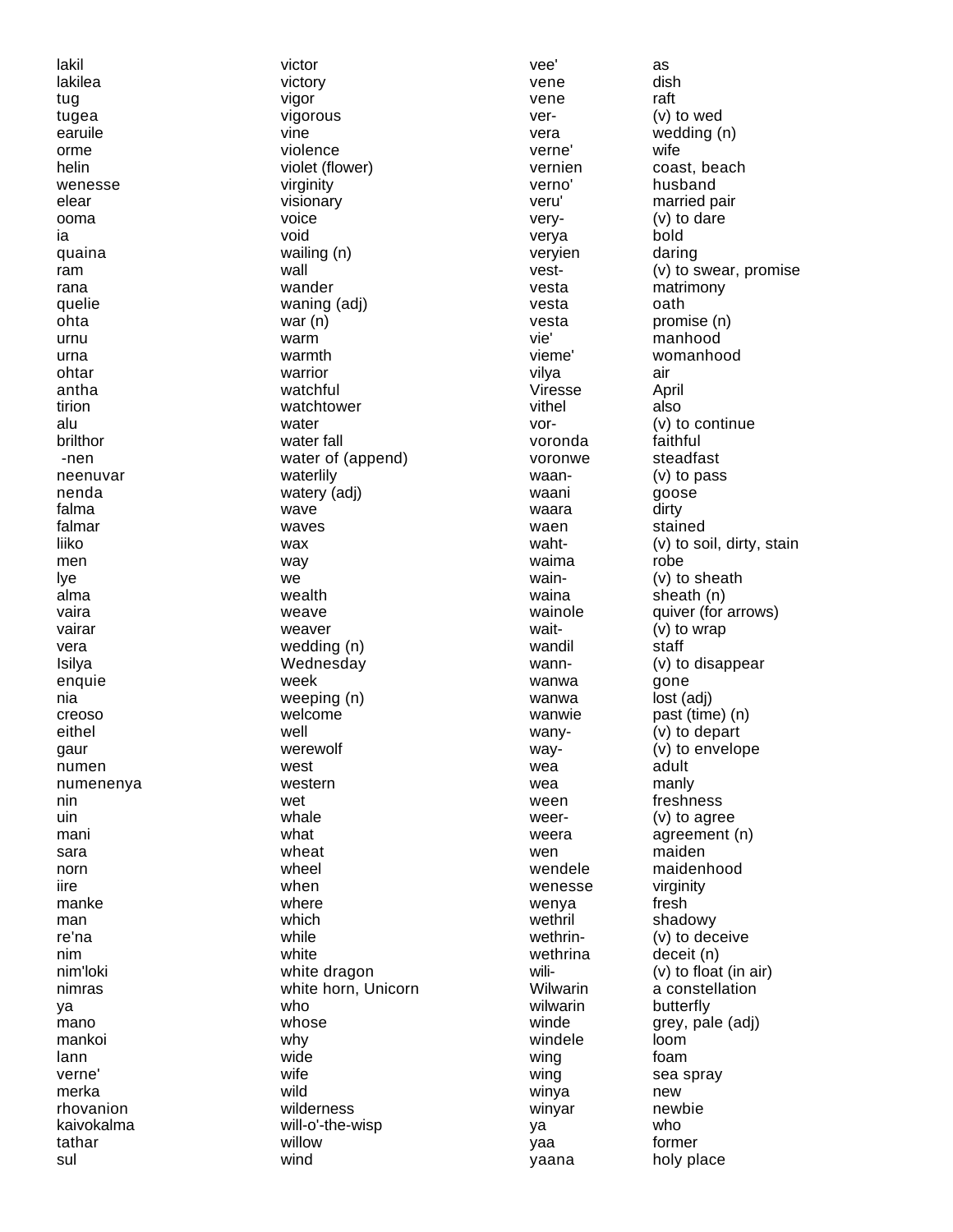lakil victor vee' as lakilea victory vene dish tug vigor vene raft tugea vigorous vigorous ver- (v) to wed earuile vine vine vera wedding (n) orme violence verne' wife helin violet (flower) violet vernien coast, beach wenesse virginity verno' husband elear visionary visionary veru' married pair ooma voice very- (v) to dare ia void verya bold quaina wailing (n) veryien daring rana wander vesta matrimony quelie **waning (adj)** vesta oath ohta war (n) vesta promise (n) urnu warm vie' manhood urna warmth vieme' womanhood ohtar warrior vilya air antha watchful Viresse April tirion watchtower vithel also alu water vor- (v) to continue brilthor water fall voronda faithful -nen water of (append) voronwe steadfast neenuvar waterlily waan- (v) to pass nenda watery (adj) waani goose falma wave waara dirty falmar waves waen stained men way waima robe lye we we wain- (v) to sheath alma wealth waina sheath (n) vaira weave weave weave wainole quiver (for arrows) vairar weaver weaver wait- (v) to wrap vera wedding (n) wedding (n) wandil staff Isilya Wednesday wann- (v) to disappear enquie week wanwa gone nia weeping (n) wanwa lost (adj) creoso welcome wanwie past (time) (n) eithel well wany- (v) to depart gaur source werewolf the state way- (v) to envelope of the waynumen west wea adult numenenya western wea manly nin wet ween freshness uin whale weer- (v) to agree mani what what where weera agreement (n) sara wheat wen maiden norn wheel wheel wendele maidenhood iire when wenesse virginity manke where wenya fresh man which wethril shadowy re'na while wethrin- (v) to deceive nim white wethrina deceit (n) nim'loki white dragon wili- (v) to float (in air) nimras **white horn, Unicorn** Wilwarin a constellation **mix**ya who wilwarin butterfly mano whose whose winde grey, pale (adj) mankoi why windele loom lann wide wing foam verne' wife wing sea spray merka wild winya new rhovanion wilderness winyar newbie kaivokalma will-o'-the-wisp ya who tathar willow yaa former sul wind wind yaana holy place

ram vest- (v) to swear, promise vest- (v) to swear, promise liiko wax waht- (v) to soil, dirty, stain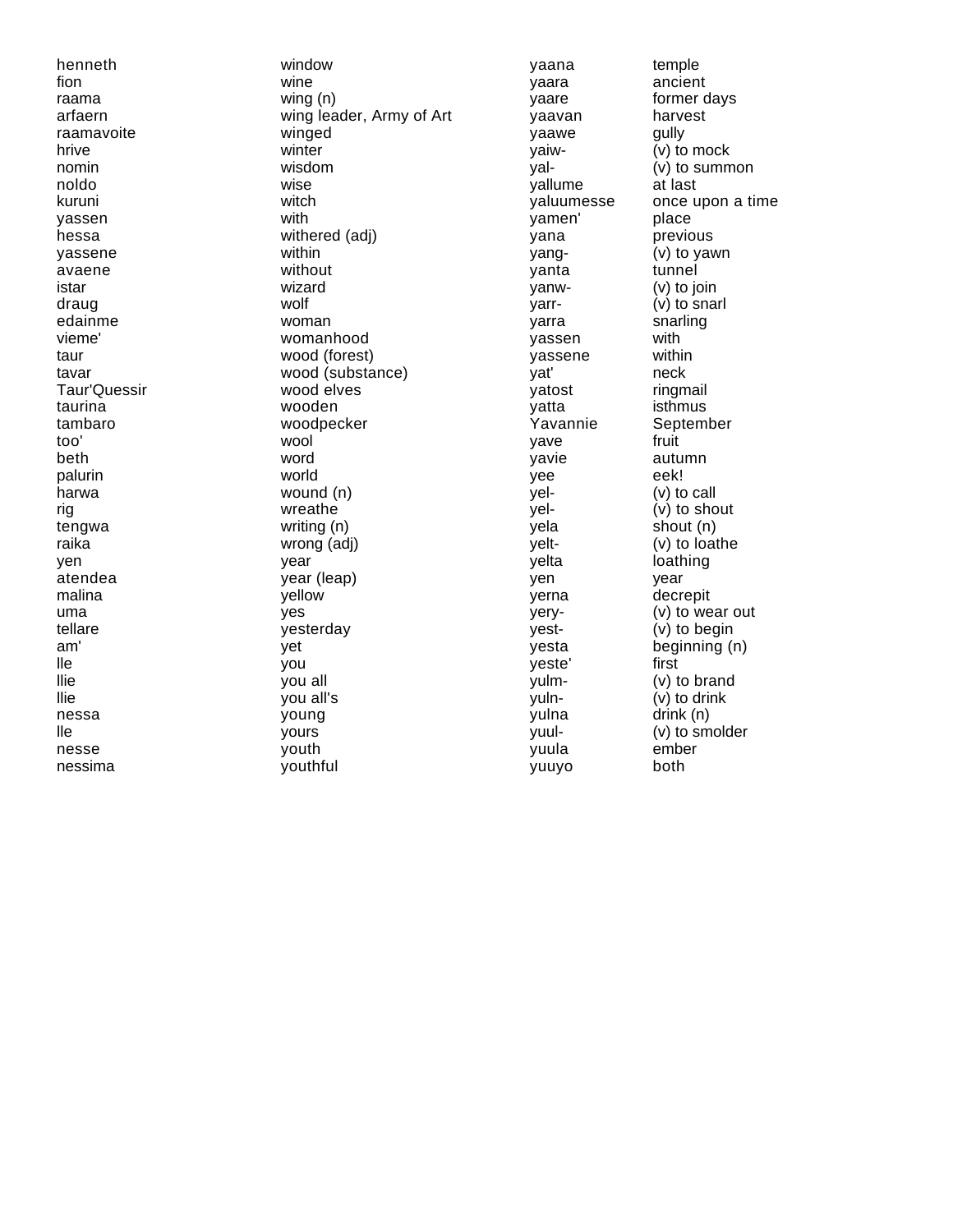nessima youthful yuuyo both

henneth window yaana temple fion wine yaara ancient raama wing (n) wing (n) yaare former days arfaern wing leader, Army of Art yaavan harvest raamavoite winged winged yaawe gully<br>
hrive winter winter vaiw- (v) to nomin wisdom wisdom yal- (v) to summon noldo wise yallume at last kuruni witch yaluumesse once upon a time yassen with yamen' place hessa withered (adj) yana previous yassene within  $\frac{1}{2}$  within  $\frac{1}{2}$  yang- (v) to yawn avaene without yanta tunnel istar wizard yanw- (v) to join draug wolf yarr- (v) to snarl edainme woman yarra snarling vieme' womanhood yassen with taur wood (forest) word with the variable with the value of the value of the value of  $\sim$ tavar med tavar wood (substance) wat' heck Taur'Quessir wood elves yatost ringmail taurina wooden yatta isthmus tambaro woodpecker Yavannie September too' wool yave fruit beth word yavie autumn palurin world yee eek! harwa wound (n) yel- (v) to call rig wreathe wreathe yel- (v) to shout tengwa writing (n) writing (n) yela shout (n) raika wrong (adj) yelt- (v) to loathe yen year yelta loathing atendea year (leap) yen year malina yellow yerna decrepit uma ves yes yers yers yery- (v) to wear out tellare vesterday yesterday yest- (v) to begin am' yet yesta beginning (n) lle you yeste' first llie you all yulm- (v) to brand llie you all's yuln- (v) to drink nessa young yulna drink (n) lle yours yuul- (v) to smolder nesse youth yuula ember

 $(v)$  to mock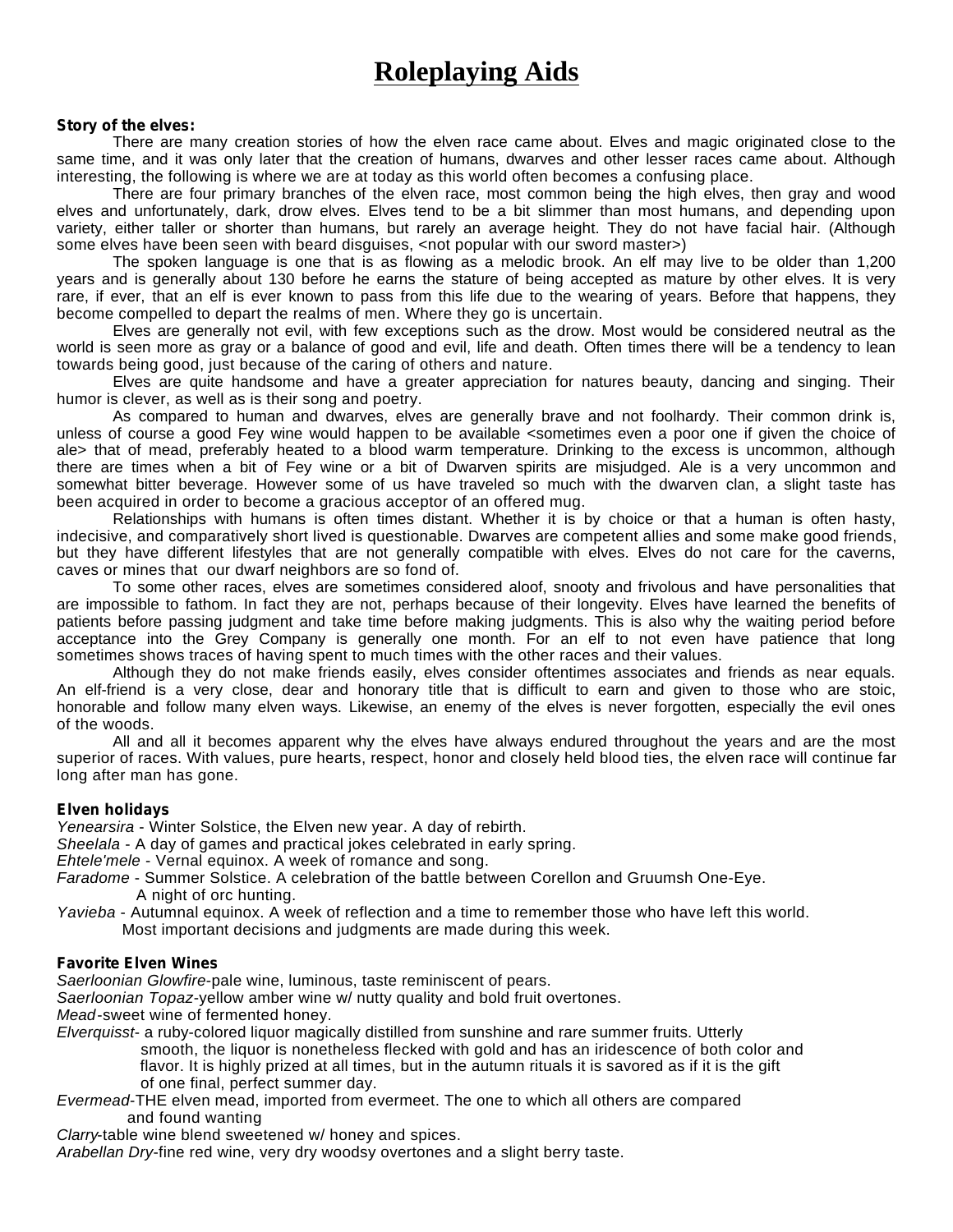# **Roleplaying Aids**

#### **Story of the elves:**

There are many creation stories of how the elven race came about. Elves and magic originated close to the same time, and it was only later that the creation of humans, dwarves and other lesser races came about. Although interesting, the following is where we are at today as this world often becomes a confusing place.

There are four primary branches of the elven race, most common being the high elves, then gray and wood elves and unfortunately, dark, drow elves. Elves tend to be a bit slimmer than most humans, and depending upon variety, either taller or shorter than humans, but rarely an average height. They do not have facial hair. (Although some elves have been seen with beard disguises, <not popular with our sword master>)

The spoken language is one that is as flowing as a melodic brook. An elf may live to be older than 1,200 years and is generally about 130 before he earns the stature of being accepted as mature by other elves. It is very rare, if ever, that an elf is ever known to pass from this life due to the wearing of years. Before that happens, they become compelled to depart the realms of men. Where they go is uncertain.

Elves are generally not evil, with few exceptions such as the drow. Most would be considered neutral as the world is seen more as gray or a balance of good and evil, life and death. Often times there will be a tendency to lean towards being good, just because of the caring of others and nature.

Elves are quite handsome and have a greater appreciation for natures beauty, dancing and singing. Their humor is clever, as well as is their song and poetry.

As compared to human and dwarves, elves are generally brave and not foolhardy. Their common drink is, unless of course a good Fey wine would happen to be available <sometimes even a poor one if given the choice of ale> that of mead, preferably heated to a blood warm temperature. Drinking to the excess is uncommon, although there are times when a bit of Fey wine or a bit of Dwarven spirits are misjudged. Ale is a very uncommon and somewhat bitter beverage. However some of us have traveled so much with the dwarven clan, a slight taste has been acquired in order to become a gracious acceptor of an offered mug.

Relationships with humans is often times distant. Whether it is by choice or that a human is often hasty, indecisive, and comparatively short lived is questionable. Dwarves are competent allies and some make good friends, but they have different lifestyles that are not generally compatible with elves. Elves do not care for the caverns, caves or mines that our dwarf neighbors are so fond of.

To some other races, elves are sometimes considered aloof, snooty and frivolous and have personalities that are impossible to fathom. In fact they are not, perhaps because of their longevity. Elves have learned the benefits of patients before passing judgment and take time before making judgments. This is also why the waiting period before acceptance into the Grey Company is generally one month. For an elf to not even have patience that long sometimes shows traces of having spent to much times with the other races and their values.

Although they do not make friends easily, elves consider oftentimes associates and friends as near equals. An elf-friend is a very close, dear and honorary title that is difficult to earn and given to those who are stoic, honorable and follow many elven ways. Likewise, an enemy of the elves is never forgotten, especially the evil ones of the woods.

All and all it becomes apparent why the elves have always endured throughout the years and are the most superior of races. With values, pure hearts, respect, honor and closely held blood ties, the elven race will continue far long after man has gone.

#### **Elven holidays**

*Yenearsira* - Winter Solstice, the Elven new year. A day of rebirth.

*Sheelala* - A day of games and practical jokes celebrated in early spring.

*Ehtele'mele* - Vernal equinox. A week of romance and song.

*Faradome* - Summer Solstice. A celebration of the battle between Corellon and Gruumsh One-Eye. A night of orc hunting.

*Yavieba* - Autumnal equinox. A week of reflection and a time to remember those who have left this world. Most important decisions and judgments are made during this week.

#### **Favorite Elven Wines**

*Saerloonian Glowfire*-pale wine, luminous, taste reminiscent of pears.

*Saerloonian Topaz*-yellow amber wine w/ nutty quality and bold fruit overtones.

*Mead*-sweet wine of fermented honey.

*Elverquisst*- a ruby-colored liquor magically distilled from sunshine and rare summer fruits. Utterly smooth, the liquor is nonetheless flecked with gold and has an iridescence of both color and flavor. It is highly prized at all times, but in the autumn rituals it is savored as if it is the gift of one final, perfect summer day.

*Evermead*-THE elven mead, imported from evermeet. The one to which all others are compared and found wanting

*Clarry*-table wine blend sweetened w/ honey and spices.

*Arabellan Dry*-fine red wine, very dry woodsy overtones and a slight berry taste.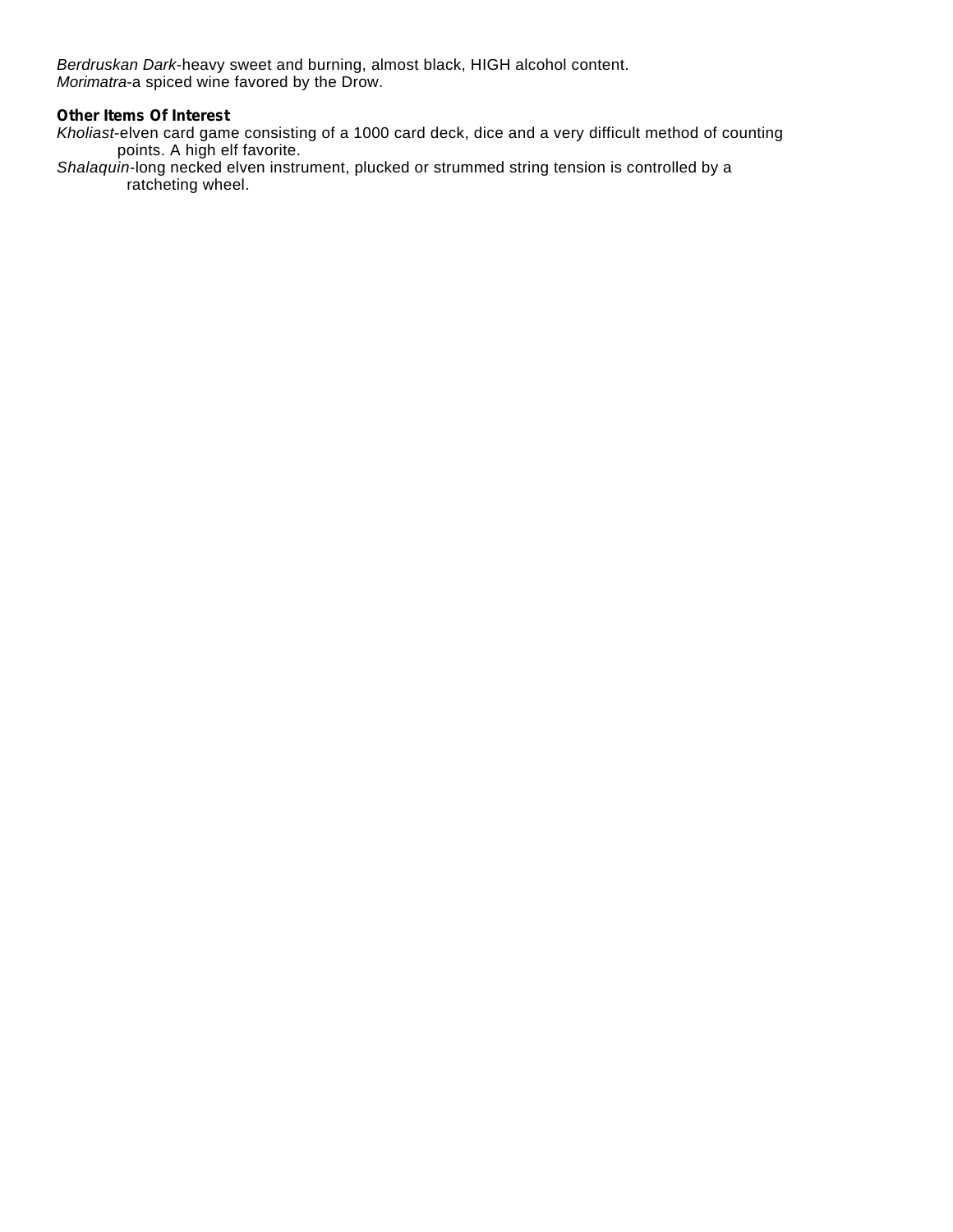*Berdruskan Dark*-heavy sweet and burning, almost black, HIGH alcohol content. *Morimatra*-a spiced wine favored by the Drow.

#### **Other Items Of Interest**

*Kholiast*-elven card game consisting of a 1000 card deck, dice and a very difficult method of counting points. A high elf favorite.

*Shalaquin*-long necked elven instrument, plucked or strummed string tension is controlled by a ratcheting wheel.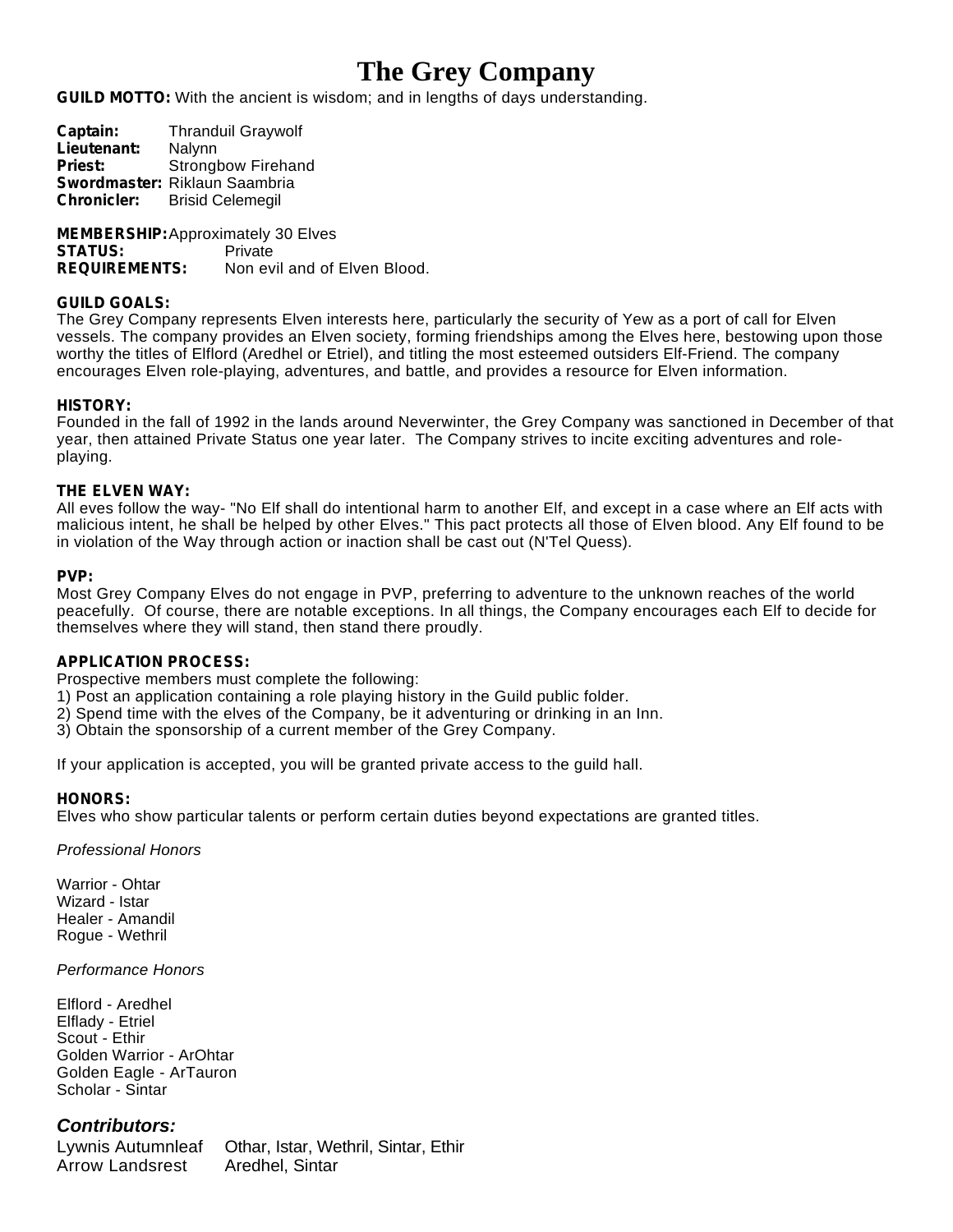# **The Grey Company**

**GUILD MOTTO:** With the ancient is wisdom; and in lengths of days understanding.

**Captain:** Thranduil Graywolf **Lieutenant:** Nalynn **Priest:** Strongbow Firehand **Swordmaster:** Riklaun Saambria **Chronicler:** Brisid Celemegil

**MEMBERSHIP:**Approximately 30 Elves **STATUS:** Private **REQUIREMENTS:** Non evil and of Elven Blood.

#### **GUILD GOALS:**

The Grey Company represents Elven interests here, particularly the security of Yew as a port of call for Elven vessels. The company provides an Elven society, forming friendships among the Elves here, bestowing upon those worthy the titles of Elflord (Aredhel or Etriel), and titling the most esteemed outsiders Elf-Friend. The company encourages Elven role-playing, adventures, and battle, and provides a resource for Elven information.

#### **HISTORY:**

Founded in the fall of 1992 in the lands around Neverwinter, the Grey Company was sanctioned in December of that year, then attained Private Status one year later. The Company strives to incite exciting adventures and roleplaying.

#### **THE ELVEN WAY:**

All eves follow the way- "No Elf shall do intentional harm to another Elf, and except in a case where an Elf acts with malicious intent, he shall be helped by other Elves." This pact protects all those of Elven blood. Any Elf found to be in violation of the Way through action or inaction shall be cast out (N'Tel Quess).

#### **PVP:**

Most Grey Company Elves do not engage in PVP, preferring to adventure to the unknown reaches of the world peacefully. Of course, there are notable exceptions. In all things, the Company encourages each Elf to decide for themselves where they will stand, then stand there proudly.

#### **APPLICATION PROCESS:**

Prospective members must complete the following:

1) Post an application containing a role playing history in the Guild public folder.

2) Spend time with the elves of the Company, be it adventuring or drinking in an Inn.

3) Obtain the sponsorship of a current member of the Grey Company.

If your application is accepted, you will be granted private access to the guild hall.

#### **HONORS:**

Elves who show particular talents or perform certain duties beyond expectations are granted titles.

*Professional Honors*

Warrior - Ohtar Wizard - Istar Healer - Amandil Rogue - Wethril

#### *Performance Honors*

Elflord - Aredhel Elflady - Etriel Scout - Ethir Golden Warrior - ArOhtar Golden Eagle - ArTauron Scholar - Sintar

## *Contributors:*

Lywnis Autumnleaf Othar, Istar, Wethril, Sintar, Ethir Arrow Landsrest Aredhel, Sintar